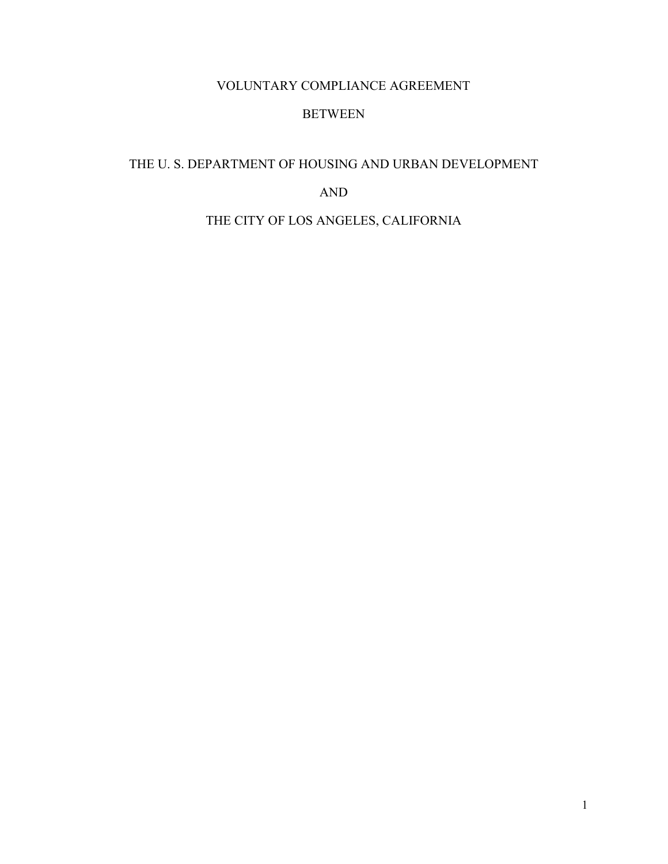## VOLUNTARY COMPLIANCE AGREEMENT

### BETWEEN

# <span id="page-0-0"></span>THE U. S. DEPARTMENT OF HOUSING AND URBAN DEVELOPMENT

#### AND

## THE CITY OF LOS ANGELES, CALIFORNIA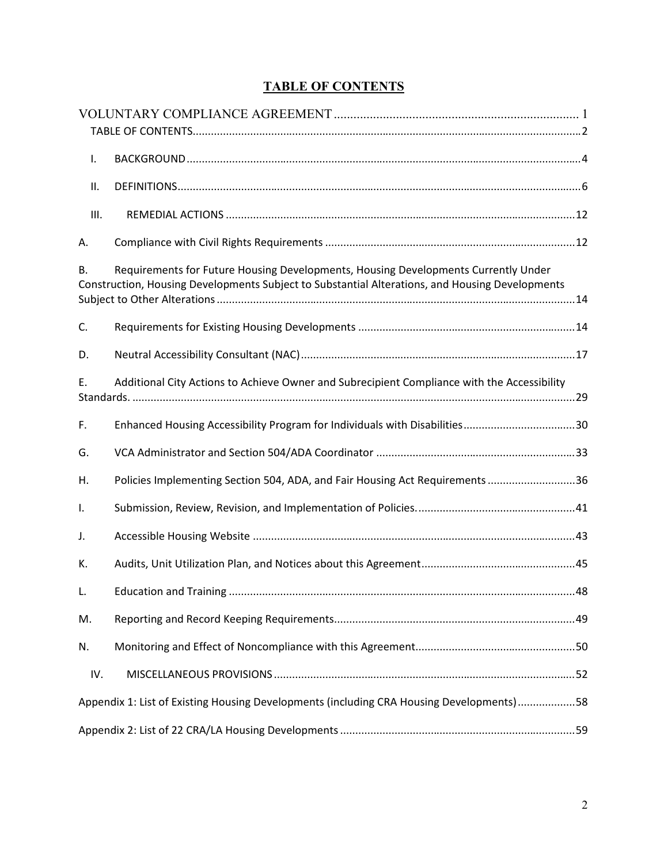<span id="page-1-0"></span>

| I.                                                                                                                                                                                          |                                                                              |  |  |
|---------------------------------------------------------------------------------------------------------------------------------------------------------------------------------------------|------------------------------------------------------------------------------|--|--|
| ΙΙ.                                                                                                                                                                                         |                                                                              |  |  |
| III.                                                                                                                                                                                        |                                                                              |  |  |
| А.                                                                                                                                                                                          |                                                                              |  |  |
| Requirements for Future Housing Developments, Housing Developments Currently Under<br>В.<br>Construction, Housing Developments Subject to Substantial Alterations, and Housing Developments |                                                                              |  |  |
| C.                                                                                                                                                                                          |                                                                              |  |  |
| D.                                                                                                                                                                                          |                                                                              |  |  |
| E.<br>Additional City Actions to Achieve Owner and Subrecipient Compliance with the Accessibility                                                                                           |                                                                              |  |  |
| F.                                                                                                                                                                                          | Enhanced Housing Accessibility Program for Individuals with Disabilities30   |  |  |
| G.                                                                                                                                                                                          |                                                                              |  |  |
| Η.                                                                                                                                                                                          | Policies Implementing Section 504, ADA, and Fair Housing Act Requirements 36 |  |  |
| $\mathsf{L}$                                                                                                                                                                                |                                                                              |  |  |
| J.                                                                                                                                                                                          |                                                                              |  |  |
| К.                                                                                                                                                                                          |                                                                              |  |  |
| L.                                                                                                                                                                                          |                                                                              |  |  |
| M.                                                                                                                                                                                          |                                                                              |  |  |
| N.                                                                                                                                                                                          |                                                                              |  |  |
| IV.                                                                                                                                                                                         |                                                                              |  |  |
| Appendix 1: List of Existing Housing Developments (including CRA Housing Developments)58                                                                                                    |                                                                              |  |  |
|                                                                                                                                                                                             |                                                                              |  |  |

# **TABLE OF CONTENTS**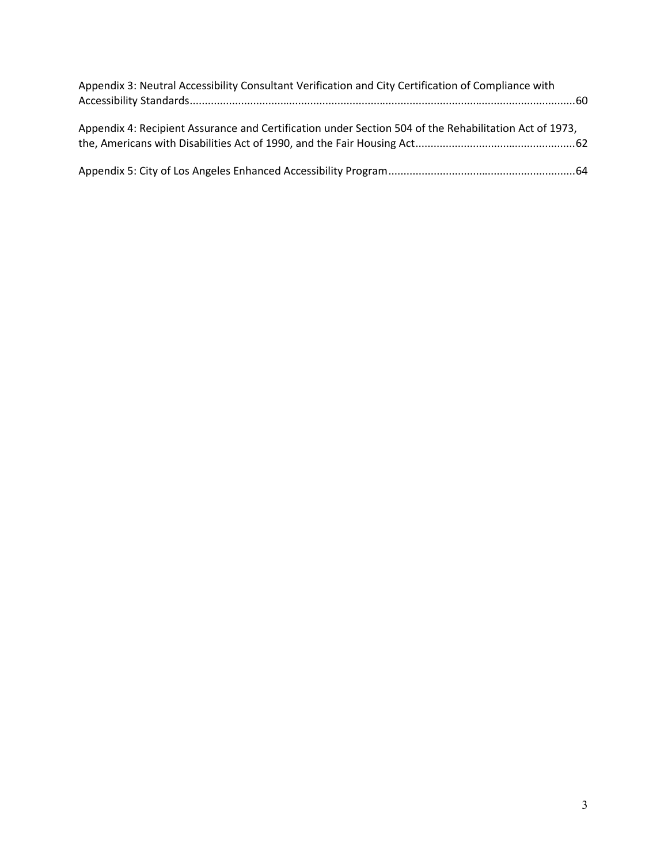| Appendix 3: Neutral Accessibility Consultant Verification and City Certification of Compliance with    |
|--------------------------------------------------------------------------------------------------------|
| Appendix 4: Recipient Assurance and Certification under Section 504 of the Rehabilitation Act of 1973, |
|                                                                                                        |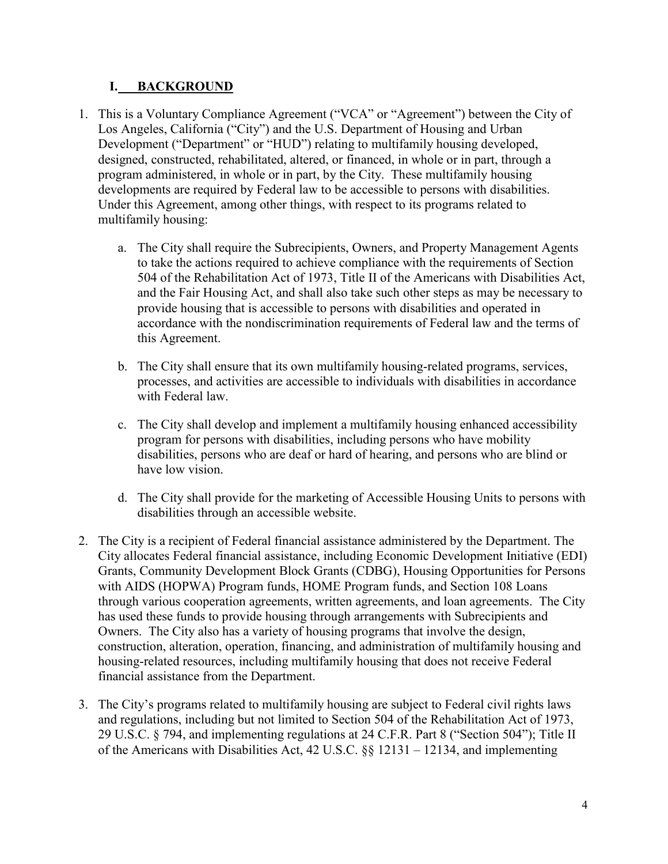## <span id="page-3-0"></span>**I. BACKGROUND**

- 1. This is a Voluntary Compliance Agreement ("VCA" or "Agreement") between the City of Los Angeles, California ("City") and the U.S. Department of Housing and Urban Development ("Department" or "HUD") relating to multifamily housing developed, designed, constructed, rehabilitated, altered, or financed, in whole or in part, through a program administered, in whole or in part, by the City. These multifamily housing developments are required by Federal law to be accessible to persons with disabilities. Under this Agreement, among other things, with respect to its programs related to multifamily housing:
	- a. The City shall require the Subrecipients, Owners, and Property Management Agents to take the actions required to achieve compliance with the requirements of Section 504 of the Rehabilitation Act of 1973, Title II of the Americans with Disabilities Act, and the Fair Housing Act, and shall also take such other steps as may be necessary to provide housing that is accessible to persons with disabilities and operated in accordance with the nondiscrimination requirements of Federal law and the terms of this Agreement.
	- b. The City shall ensure that its own multifamily housing-related programs, services, processes, and activities are accessible to individuals with disabilities in accordance with Federal law.
	- c. The City shall develop and implement a multifamily housing enhanced accessibility program for persons with disabilities, including persons who have mobility disabilities, persons who are deaf or hard of hearing, and persons who are blind or have low vision.
	- d. The City shall provide for the marketing of Accessible Housing Units to persons with disabilities through an accessible website.
- 2. The City is a recipient of Federal financial assistance administered by the Department. The City allocates Federal financial assistance, including Economic Development Initiative (EDI) Grants, Community Development Block Grants (CDBG), Housing Opportunities for Persons with AIDS (HOPWA) Program funds, HOME Program funds, and Section 108 Loans through various cooperation agreements, written agreements, and loan agreements. The City has used these funds to provide housing through arrangements with Subrecipients and Owners. The City also has a variety of housing programs that involve the design, construction, alteration, operation, financing, and administration of multifamily housing and housing-related resources, including multifamily housing that does not receive Federal financial assistance from the Department.
- 3. The City's programs related to multifamily housing are subject to Federal civil rights laws and regulations, including but not limited to Section 504 of the Rehabilitation Act of 1973, 29 U.S.C. § 794, and implementing regulations at 24 C.F.R. Part 8 ("Section 504"); Title II of the Americans with Disabilities Act, 42 U.S.C. §§ 12131 – 12134, and implementing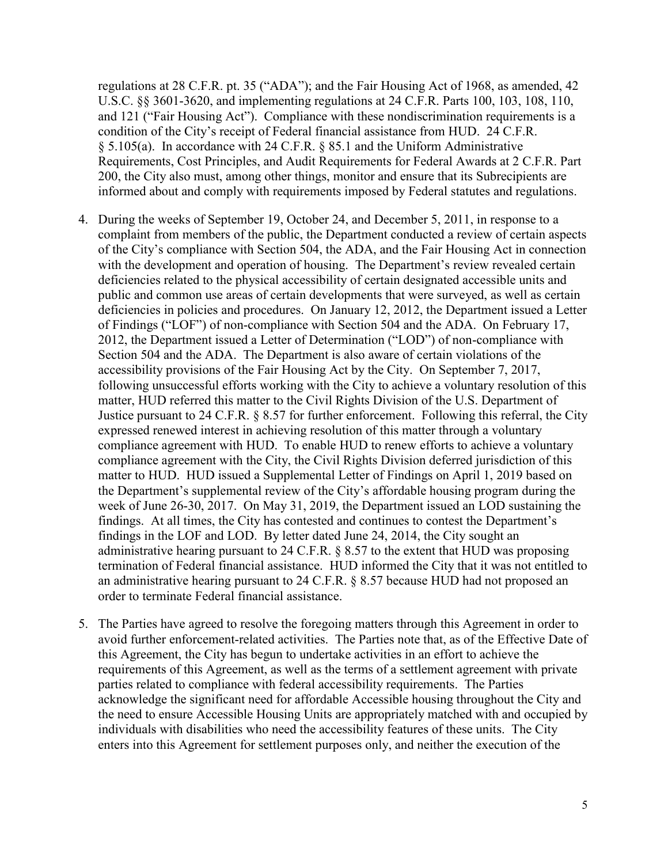regulations at 28 C.F.R. pt. 35 ("ADA"); and the Fair Housing Act of 1968, as amended, 42 U.S.C. §§ 3601-3620, and implementing regulations at 24 C.F.R. Parts 100, 103, 108, 110, and 121 ("Fair Housing Act"). Compliance with these nondiscrimination requirements is a condition of the City's receipt of Federal financial assistance from HUD. 24 C.F.R. § 5.105(a). In accordance with 24 C.F.R. § 85.1 and the Uniform Administrative Requirements, Cost Principles, and Audit Requirements for Federal Awards at 2 C.F.R. Part 200, the City also must, among other things, monitor and ensure that its Subrecipients are informed about and comply with requirements imposed by Federal statutes and regulations.

- 4. During the weeks of September 19, October 24, and December 5, 2011, in response to a complaint from members of the public, the Department conducted a review of certain aspects of the City's compliance with Section 504, the ADA, and the Fair Housing Act in connection with the development and operation of housing. The Department's review revealed certain deficiencies related to the physical accessibility of certain designated accessible units and public and common use areas of certain developments that were surveyed, as well as certain deficiencies in policies and procedures. On January 12, 2012, the Department issued a Letter of Findings ("LOF") of non-compliance with Section 504 and the ADA. On February 17, 2012, the Department issued a Letter of Determination ("LOD") of non-compliance with Section 504 and the ADA. The Department is also aware of certain violations of the accessibility provisions of the Fair Housing Act by the City. On September 7, 2017, following unsuccessful efforts working with the City to achieve a voluntary resolution of this matter, HUD referred this matter to the Civil Rights Division of the U.S. Department of Justice pursuant to 24 C.F.R. § 8.57 for further enforcement. Following this referral, the City expressed renewed interest in achieving resolution of this matter through a voluntary compliance agreement with HUD. To enable HUD to renew efforts to achieve a voluntary compliance agreement with the City, the Civil Rights Division deferred jurisdiction of this matter to HUD. HUD issued a Supplemental Letter of Findings on April 1, 2019 based on the Department's supplemental review of the City's affordable housing program during the week of June 26-30, 2017. On May 31, 2019, the Department issued an LOD sustaining the findings. At all times, the City has contested and continues to contest the Department's findings in the LOF and LOD. By letter dated June 24, 2014, the City sought an administrative hearing pursuant to 24 C.F.R. § 8.57 to the extent that HUD was proposing termination of Federal financial assistance. HUD informed the City that it was not entitled to an administrative hearing pursuant to 24 C.F.R. § 8.57 because HUD had not proposed an order to terminate Federal financial assistance.
- 5. The Parties have agreed to resolve the foregoing matters through this Agreement in order to avoid further enforcement-related activities. The Parties note that, as of the Effective Date of this Agreement, the City has begun to undertake activities in an effort to achieve the requirements of this Agreement, as well as the terms of a settlement agreement with private parties related to compliance with federal accessibility requirements. The Parties acknowledge the significant need for affordable Accessible housing throughout the City and the need to ensure Accessible Housing Units are appropriately matched with and occupied by individuals with disabilities who need the accessibility features of these units. The City enters into this Agreement for settlement purposes only, and neither the execution of the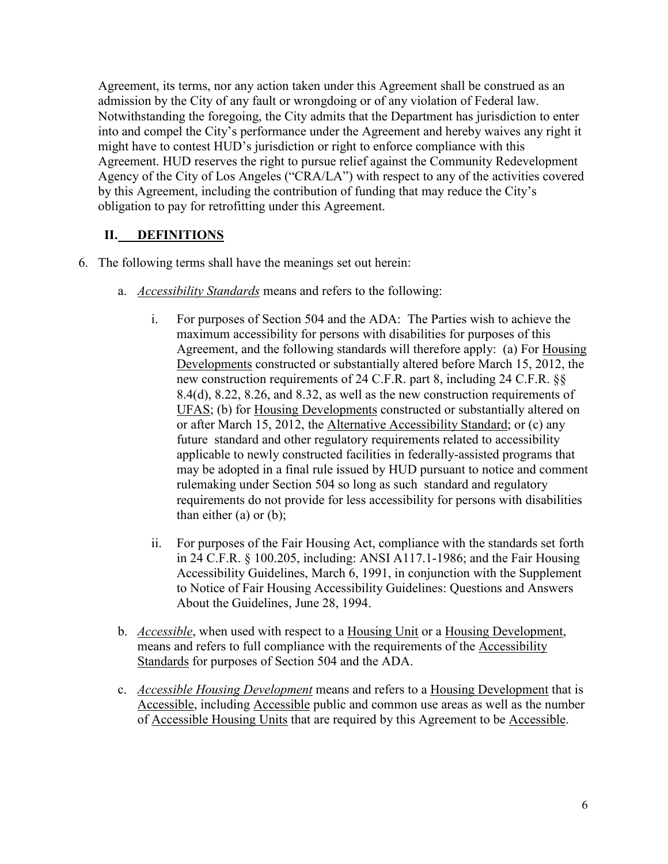Agreement, its terms, nor any action taken under this Agreement shall be construed as an admission by the City of any fault or wrongdoing or of any violation of Federal law. Notwithstanding the foregoing, the City admits that the Department has jurisdiction to enter into and compel the City's performance under the Agreement and hereby waives any right it might have to contest HUD's jurisdiction or right to enforce compliance with this Agreement. HUD reserves the right to pursue relief against the Community Redevelopment Agency of the City of Los Angeles ("CRA/LA") with respect to any of the activities covered by this Agreement, including the contribution of funding that may reduce the City's obligation to pay for retrofitting under this Agreement.

# <span id="page-5-0"></span>**II. DEFINITIONS**

- 6. The following terms shall have the meanings set out herein:
	- a. *Accessibility Standards* means and refers to the following:
		- i. For purposes of Section 504 and the ADA: The Parties wish to achieve the maximum accessibility for persons with disabilities for purposes of this Agreement, and the following standards will therefore apply: (a) For Housing Developments constructed or substantially altered before March 15, 2012, the new construction requirements of 24 C.F.R. part 8, including 24 C.F.R. §§ 8.4(d), 8.22, 8.26, and 8.32, as well as the new construction requirements of UFAS; (b) for Housing Developments constructed or substantially altered on or after March 15, 2012, the Alternative Accessibility Standard; or (c) any future standard and other regulatory requirements related to accessibility applicable to newly constructed facilities in federally-assisted programs that may be adopted in a final rule issued by HUD pursuant to notice and comment rulemaking under Section 504 so long as such standard and regulatory requirements do not provide for less accessibility for persons with disabilities than either (a) or (b);
		- ii. For purposes of the Fair Housing Act, compliance with the standards set forth in 24 C.F.R. § 100.205, including: ANSI A117.1-1986; and the Fair Housing Accessibility Guidelines, March 6, 1991, in conjunction with the Supplement to Notice of Fair Housing Accessibility Guidelines: Questions and Answers About the Guidelines, June 28, 1994.
	- b. *Accessible*, when used with respect to a Housing Unit or a Housing Development, means and refers to full compliance with the requirements of the Accessibility Standards for purposes of Section 504 and the ADA.
	- c. *Accessible Housing Development* means and refers to a Housing Development that is Accessible, including Accessible public and common use areas as well as the number of Accessible Housing Units that are required by this Agreement to be Accessible.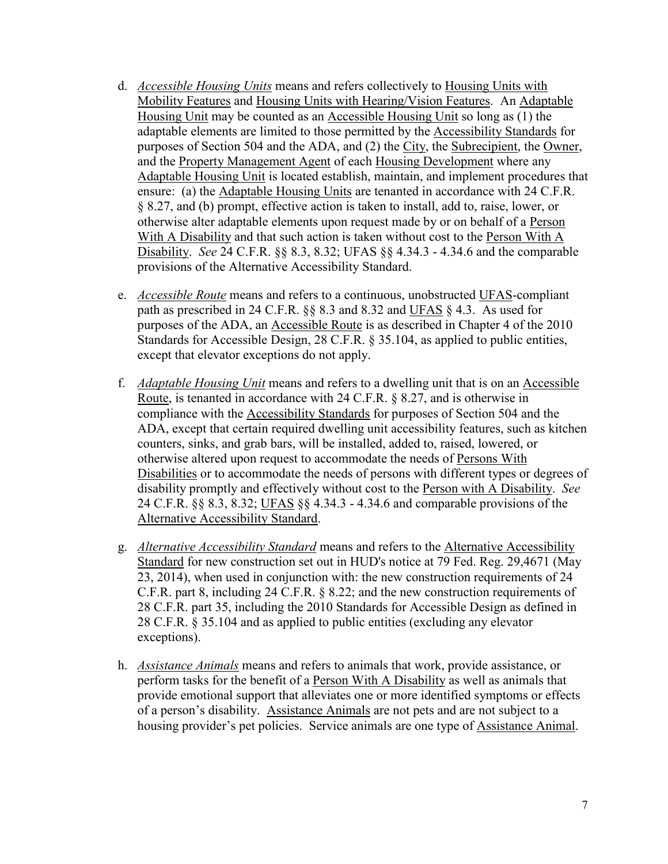- d. *Accessible Housing Units* means and refers collectively to Housing Units with Mobility Features and Housing Units with Hearing/Vision Features. An Adaptable Housing Unit may be counted as an Accessible Housing Unit so long as (1) the adaptable elements are limited to those permitted by the Accessibility Standards for purposes of Section 504 and the ADA, and (2) the City, the Subrecipient, the Owner, and the Property Management Agent of each Housing Development where any Adaptable Housing Unit is located establish, maintain, and implement procedures that ensure: (a) the Adaptable Housing Units are tenanted in accordance with 24 C.F.R. § 8.27, and (b) prompt, effective action is taken to install, add to, raise, lower, or otherwise alter adaptable elements upon request made by or on behalf of a Person With A Disability and that such action is taken without cost to the Person With A Disability. *See* 24 C.F.R. §§ 8.3, 8.32; UFAS §§ 4.34.3 - 4.34.6 and the comparable provisions of the Alternative Accessibility Standard.
- e. *Accessible Route* means and refers to a continuous, unobstructed UFAS-compliant path as prescribed in 24 C.F.R. §§ 8.3 and 8.32 and UFAS § 4.3. As used for purposes of the ADA, an Accessible Route is as described in Chapter 4 of the 2010 Standards for Accessible Design, 28 C.F.R. § 35.104, as applied to public entities, except that elevator exceptions do not apply.
- f. *Adaptable Housing Unit* means and refers to a dwelling unit that is on an Accessible Route, is tenanted in accordance with 24 C.F.R. § 8.27, and is otherwise in compliance with the Accessibility Standards for purposes of Section 504 and the ADA, except that certain required dwelling unit accessibility features, such as kitchen counters, sinks, and grab bars, will be installed, added to, raised, lowered, or otherwise altered upon request to accommodate the needs of Persons With Disabilities or to accommodate the needs of persons with different types or degrees of disability promptly and effectively without cost to the Person with A Disability. *See* 24 C.F.R. §§ 8.3, 8.32; UFAS §§ 4.34.3 - 4.34.6 and comparable provisions of the Alternative Accessibility Standard.
- g. *Alternative Accessibility Standard* means and refers to the Alternative Accessibility Standard for new construction set out in HUD's notice at 79 Fed. Reg. 29,4671 (May 23, 2014), when used in conjunction with: the new construction requirements of 24 C.F.R. part 8, including 24 C.F.R. § 8.22; and the new construction requirements of 28 C.F.R. part 35, including the 2010 Standards for Accessible Design as defined in 28 C.F.R. § 35.104 and as applied to public entities (excluding any elevator exceptions).
- h. *Assistance Animals* means and refers to animals that work, provide assistance, or perform tasks for the benefit of a Person With A Disability as well as animals that provide emotional support that alleviates one or more identified symptoms or effects of a person's disability. Assistance Animals are not pets and are not subject to a housing provider's pet policies. Service animals are one type of Assistance Animal.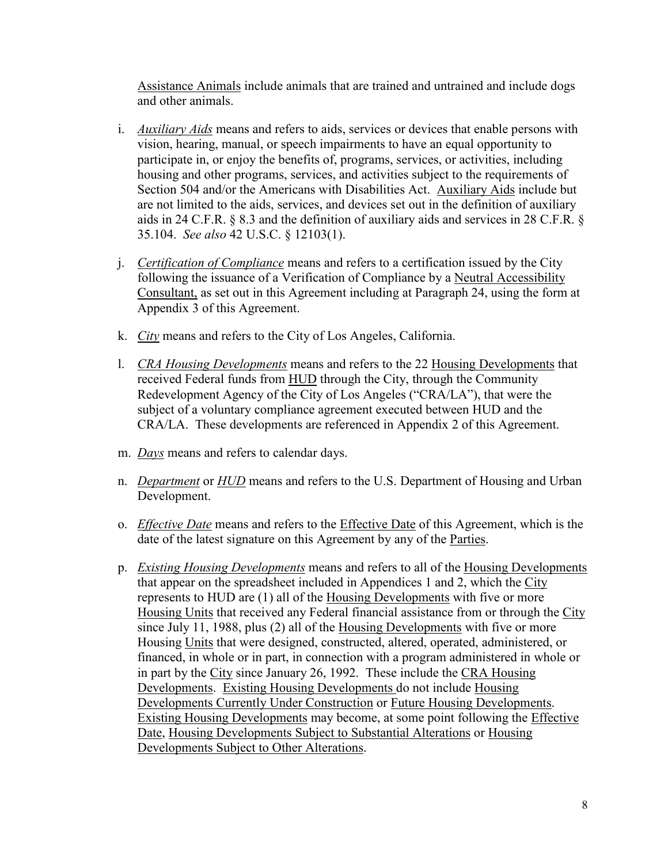Assistance Animals include animals that are trained and untrained and include dogs and other animals.

- i. *Auxiliary Aids* means and refers to aids, services or devices that enable persons with vision, hearing, manual, or speech impairments to have an equal opportunity to participate in, or enjoy the benefits of, programs, services, or activities, including housing and other programs, services, and activities subject to the requirements of Section 504 and/or the Americans with Disabilities Act. Auxiliary Aids include but are not limited to the aids, services, and devices set out in the definition of auxiliary aids in 24 C.F.R. § 8.3 and the definition of auxiliary aids and services in 28 C.F.R. § 35.104. *See also* 42 U.S.C. § 12103(1).
- j. *Certification of Compliance* means and refers to a certification issued by the City following the issuance of a Verification of Compliance by a Neutral Accessibility Consultant, as set out in this Agreement including at Paragraph 24, using the form at Appendix 3 of this Agreement.
- k. *City* means and refers to the City of Los Angeles, California.
- l. *CRA Housing Developments* means and refers to the 22 Housing Developments that received Federal funds from HUD through the City, through the Community Redevelopment Agency of the City of Los Angeles ("CRA/LA"), that were the subject of a voluntary compliance agreement executed between HUD and the CRA/LA. These developments are referenced in Appendix 2 of this Agreement.
- m. *Days* means and refers to calendar days.
- n. *Department* or *HUD* means and refers to the U.S. Department of Housing and Urban Development.
- o. *Effective Date* means and refers to the Effective Date of this Agreement, which is the date of the latest signature on this Agreement by any of the Parties.
- p. *Existing Housing Developments* means and refers to all of the Housing Developments that appear on the spreadsheet included in Appendices 1 and 2, which the City represents to HUD are (1) all of the Housing Developments with five or more Housing Units that received any Federal financial assistance from or through the City since July 11, 1988, plus (2) all of the Housing Developments with five or more Housing Units that were designed, constructed, altered, operated, administered, or financed, in whole or in part, in connection with a program administered in whole or in part by the City since January 26, 1992. These include the CRA Housing Developments. Existing Housing Developments do not include Housing Developments Currently Under Construction or Future Housing Developments. Existing Housing Developments may become, at some point following the Effective Date, Housing Developments Subject to Substantial Alterations or Housing Developments Subject to Other Alterations.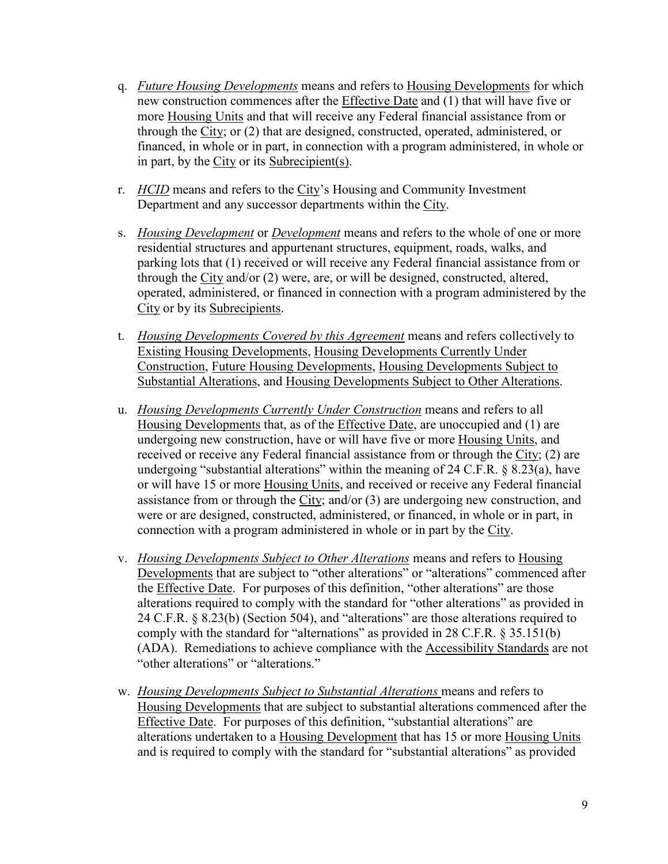- q. *Future Housing Developments* means and refers to Housing Developments for which new construction commences after the Effective Date and (1) that will have five or more Housing Units and that will receive any Federal financial assistance from or through the City; or (2) that are designed, constructed, operated, administered, or financed, in whole or in part, in connection with a program administered, in whole or in part, by the City or its Subrecipient(s).
- r. *HCID* means and refers to the City's Housing and Community Investment Department and any successor departments within the City.
- s. *Housing Development* or *Development* means and refers to the whole of one or more residential structures and appurtenant structures, equipment, roads, walks, and parking lots that (1) received or will receive any Federal financial assistance from or through the City and/or (2) were, are, or will be designed, constructed, altered, operated, administered, or financed in connection with a program administered by the City or by its Subrecipients.
- t. *Housing Developments Covered by this Agreement* means and refers collectively to Existing Housing Developments, Housing Developments Currently Under Construction, Future Housing Developments, Housing Developments Subject to Substantial Alterations, and Housing Developments Subject to Other Alterations.
- u. *Housing Developments Currently Under Construction* means and refers to all Housing Developments that, as of the Effective Date, are unoccupied and (1) are undergoing new construction, have or will have five or more Housing Units, and received or receive any Federal financial assistance from or through the City; (2) are undergoing "substantial alterations" within the meaning of 24 C.F.R.  $\S$  8.23(a), have or will have 15 or more Housing Units, and received or receive any Federal financial assistance from or through the City; and/or (3) are undergoing new construction, and were or are designed, constructed, administered, or financed, in whole or in part, in connection with a program administered in whole or in part by the City.
- v. *Housing Developments Subject to Other Alterations* means and refers to Housing Developments that are subject to "other alterations" or "alterations" commenced after the Effective Date. For purposes of this definition, "other alterations" are those alterations required to comply with the standard for "other alterations" as provided in 24 C.F.R. § 8.23(b) (Section 504), and "alterations" are those alterations required to comply with the standard for "alternations" as provided in 28 C.F.R. § 35.151(b) (ADA). Remediations to achieve compliance with the Accessibility Standards are not "other alterations" or "alterations."
- w. *Housing Developments Subject to Substantial Alterations* means and refers to Housing Developments that are subject to substantial alterations commenced after the Effective Date. For purposes of this definition, "substantial alterations" are alterations undertaken to a Housing Development that has 15 or more Housing Units and is required to comply with the standard for "substantial alterations" as provided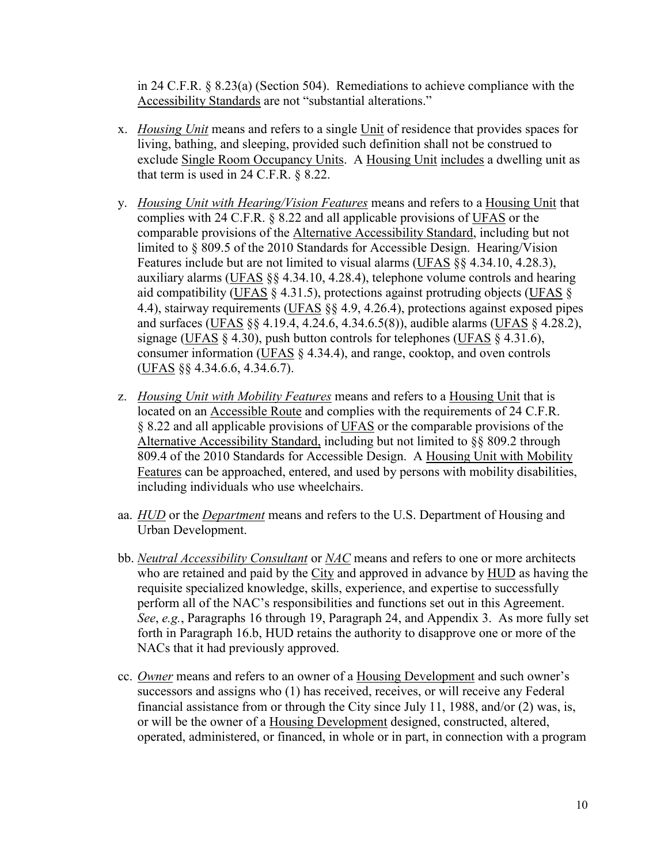in 24 C.F.R. § 8.23(a) (Section 504). Remediations to achieve compliance with the Accessibility Standards are not "substantial alterations."

- x. *Housing Unit* means and refers to a single Unit of residence that provides spaces for living, bathing, and sleeping, provided such definition shall not be construed to exclude Single Room Occupancy Units. A Housing Unit includes a dwelling unit as that term is used in 24 C.F.R. § 8.22.
- y. *Housing Unit with Hearing/Vision Features* means and refers to a Housing Unit that complies with 24 C.F.R. § 8.22 and all applicable provisions of UFAS or the comparable provisions of the Alternative Accessibility Standard, including but not limited to § 809.5 of the 2010 Standards for Accessible Design. Hearing/Vision Features include but are not limited to visual alarms (UFAS §§ 4.34.10, 4.28.3), auxiliary alarms (UFAS §§ 4.34.10, 4.28.4), telephone volume controls and hearing aid compatibility (UFAS § 4.31.5), protections against protruding objects (UFAS § 4.4), stairway requirements (UFAS §§ 4.9, 4.26.4), protections against exposed pipes and surfaces (UFAS §§ 4.19.4, 4.24.6, 4.34.6.5(8)), audible alarms (UFAS § 4.28.2), signage (UFAS § 4.30), push button controls for telephones (UFAS § 4.31.6), consumer information ( $UFAS \$ § 4.34.4), and range, cooktop, and oven controls (UFAS §§ 4.34.6.6, 4.34.6.7).
- z. *Housing Unit with Mobility Features* means and refers to a Housing Unit that is located on an Accessible Route and complies with the requirements of 24 C.F.R. § 8.22 and all applicable provisions of UFAS or the comparable provisions of the Alternative Accessibility Standard, including but not limited to §§ 809.2 through 809.4 of the 2010 Standards for Accessible Design. A Housing Unit with Mobility Features can be approached, entered, and used by persons with mobility disabilities, including individuals who use wheelchairs.
- aa. *HUD* or the *Department* means and refers to the U.S. Department of Housing and Urban Development.
- bb. *Neutral Accessibility Consultant* or *NAC* means and refers to one or more architects who are retained and paid by the City and approved in advance by HUD as having the requisite specialized knowledge, skills, experience, and expertise to successfully perform all of the NAC's responsibilities and functions set out in this Agreement. *See*, *e.g.*, Paragraphs 16 through 19, Paragraph 24, and Appendix 3. As more fully set forth in Paragraph 16.b, HUD retains the authority to disapprove one or more of the NACs that it had previously approved.
- cc. *Owner* means and refers to an owner of a Housing Development and such owner's successors and assigns who (1) has received, receives, or will receive any Federal financial assistance from or through the City since July 11, 1988, and/or (2) was, is, or will be the owner of a Housing Development designed, constructed, altered, operated, administered, or financed, in whole or in part, in connection with a program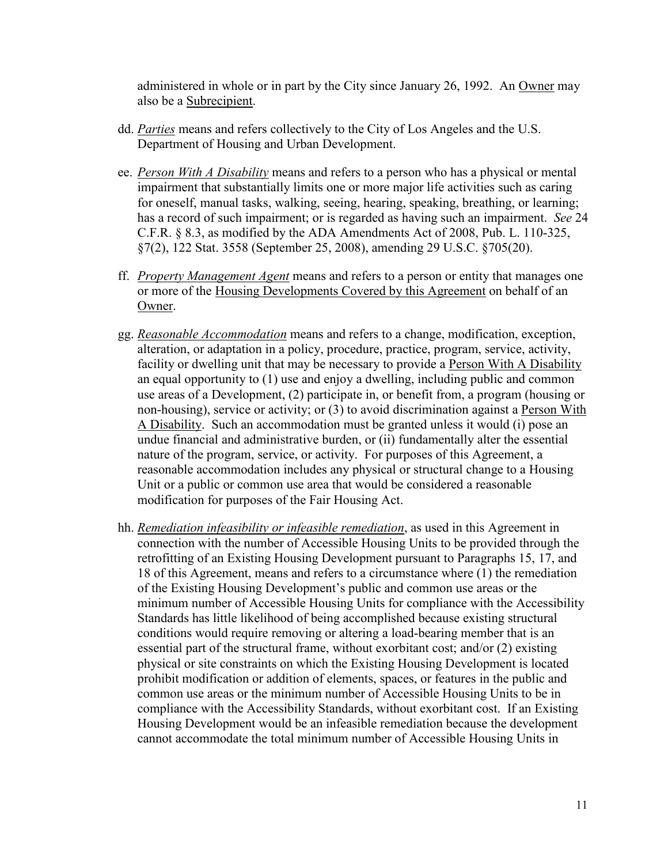administered in whole or in part by the City since January 26, 1992. An Owner may also be a Subrecipient.

- dd. *Parties* means and refers collectively to the City of Los Angeles and the U.S. Department of Housing and Urban Development.
- ee. *Person With A Disability* means and refers to a person who has a physical or mental impairment that substantially limits one or more major life activities such as caring for oneself, manual tasks, walking, seeing, hearing, speaking, breathing, or learning; has a record of such impairment; or is regarded as having such an impairment. *See* 24 C.F.R. § 8.3, as modified by the ADA Amendments Act of 2008, Pub. L. 110-325, §7(2), 122 Stat. 3558 (September 25, 2008), amending 29 U.S.C. §705(20).
- ff. *Property Management Agent* means and refers to a person or entity that manages one or more of the Housing Developments Covered by this Agreement on behalf of an Owner.
- gg. *Reasonable Accommodation* means and refers to a change, modification, exception, alteration, or adaptation in a policy, procedure, practice, program, service, activity, facility or dwelling unit that may be necessary to provide a Person With A Disability an equal opportunity to (1) use and enjoy a dwelling, including public and common use areas of a Development, (2) participate in, or benefit from, a program (housing or non-housing), service or activity; or (3) to avoid discrimination against a Person With A Disability. Such an accommodation must be granted unless it would (i) pose an undue financial and administrative burden, or (ii) fundamentally alter the essential nature of the program, service, or activity. For purposes of this Agreement, a reasonable accommodation includes any physical or structural change to a Housing Unit or a public or common use area that would be considered a reasonable modification for purposes of the Fair Housing Act.
- hh. *Remediation infeasibility or infeasible remediation*, as used in this Agreement in connection with the number of Accessible Housing Units to be provided through the retrofitting of an Existing Housing Development pursuant to Paragraphs 15, 17, and 18 of this Agreement, means and refers to a circumstance where (1) the remediation of the Existing Housing Development's public and common use areas or the minimum number of Accessible Housing Units for compliance with the Accessibility Standards has little likelihood of being accomplished because existing structural conditions would require removing or altering a load-bearing member that is an essential part of the structural frame, without exorbitant cost; and/or (2) existing physical or site constraints on which the Existing Housing Development is located prohibit modification or addition of elements, spaces, or features in the public and common use areas or the minimum number of Accessible Housing Units to be in compliance with the Accessibility Standards, without exorbitant cost. If an Existing Housing Development would be an infeasible remediation because the development cannot accommodate the total minimum number of Accessible Housing Units in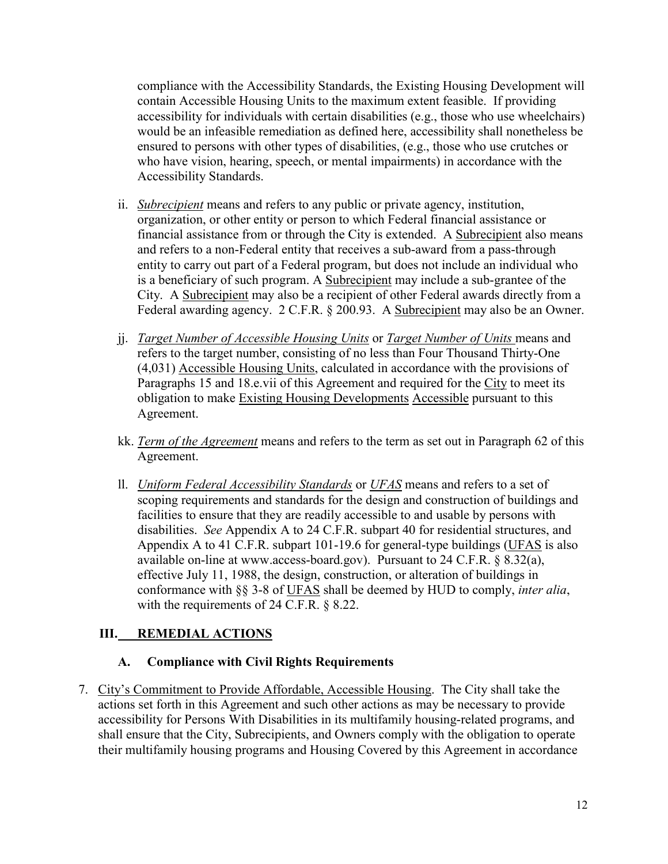compliance with the Accessibility Standards, the Existing Housing Development will contain Accessible Housing Units to the maximum extent feasible. If providing accessibility for individuals with certain disabilities (e.g., those who use wheelchairs) would be an infeasible remediation as defined here, accessibility shall nonetheless be ensured to persons with other types of disabilities, (e.g., those who use crutches or who have vision, hearing, speech, or mental impairments) in accordance with the Accessibility Standards.

- ii. *Subrecipient* means and refers to any public or private agency, institution, organization, or other entity or person to which Federal financial assistance or financial assistance from or through the City is extended. A Subrecipient also means and refers to a non-Federal entity that receives a sub-award from a pass-through entity to carry out part of a Federal program, but does not include an individual who is a beneficiary of such program. A Subrecipient may include a sub-grantee of the City. A Subrecipient may also be a recipient of other Federal awards directly from a Federal awarding agency. 2 C.F.R. § 200.93. A Subrecipient may also be an Owner.
- jj. *Target Number of Accessible Housing Units* or *Target Number of Units* means and refers to the target number, consisting of no less than Four Thousand Thirty-One (4,031) Accessible Housing Units, calculated in accordance with the provisions of Paragraphs 15 and 18.e.vii of this Agreement and required for the City to meet its obligation to make Existing Housing Developments Accessible pursuant to this Agreement.
- kk. *Term of the Agreement* means and refers to the term as set out in Paragraph 62 of this Agreement.
- ll. *Uniform Federal Accessibility Standards* or *UFAS* means and refers to a set of scoping requirements and standards for the design and construction of buildings and facilities to ensure that they are readily accessible to and usable by persons with disabilities. *See* Appendix A to 24 C.F.R. subpart 40 for residential structures, and Appendix A to 41 C.F.R. subpart 101-19.6 for general-type buildings (UFAS is also available on-line at www.access-board.gov). Pursuant to 24 C.F.R. § 8.32(a), effective July 11, 1988, the design, construction, or alteration of buildings in conformance with §§ 3-8 of UFAS shall be deemed by HUD to comply, *inter alia*, with the requirements of 24 C.F.R. § 8.22.

# <span id="page-11-0"></span>**III. REMEDIAL ACTIONS**

## <span id="page-11-1"></span>**A. Compliance with Civil Rights Requirements**

7. City's Commitment to Provide Affordable, Accessible Housing. The City shall take the actions set forth in this Agreement and such other actions as may be necessary to provide accessibility for Persons With Disabilities in its multifamily housing-related programs, and shall ensure that the City, Subrecipients, and Owners comply with the obligation to operate their multifamily housing programs and Housing Covered by this Agreement in accordance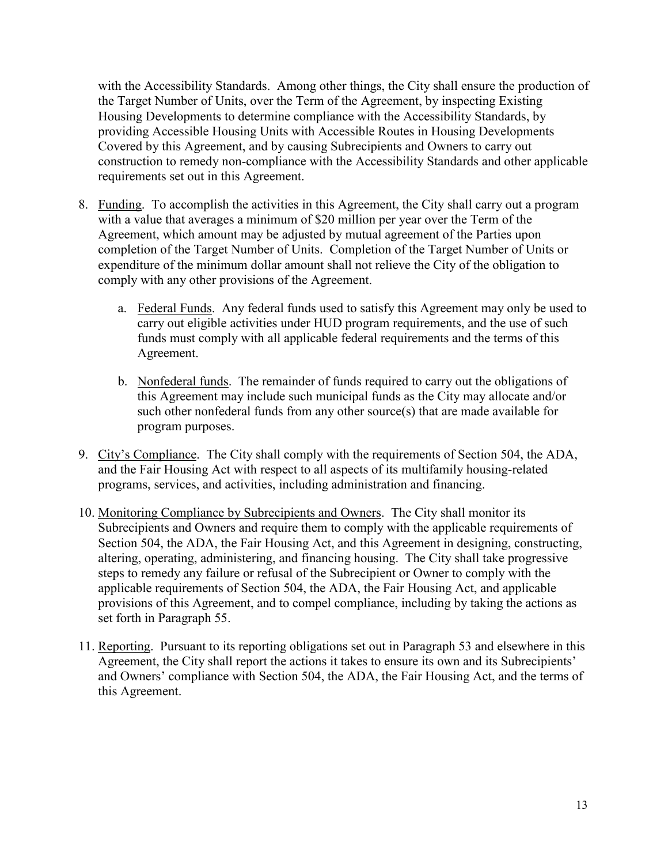with the Accessibility Standards. Among other things, the City shall ensure the production of the Target Number of Units, over the Term of the Agreement, by inspecting Existing Housing Developments to determine compliance with the Accessibility Standards, by providing Accessible Housing Units with Accessible Routes in Housing Developments Covered by this Agreement, and by causing Subrecipients and Owners to carry out construction to remedy non-compliance with the Accessibility Standards and other applicable requirements set out in this Agreement.

- 8. Funding. To accomplish the activities in this Agreement, the City shall carry out a program with a value that averages a minimum of \$20 million per year over the Term of the Agreement, which amount may be adjusted by mutual agreement of the Parties upon completion of the Target Number of Units. Completion of the Target Number of Units or expenditure of the minimum dollar amount shall not relieve the City of the obligation to comply with any other provisions of the Agreement.
	- a. Federal Funds. Any federal funds used to satisfy this Agreement may only be used to carry out eligible activities under HUD program requirements, and the use of such funds must comply with all applicable federal requirements and the terms of this Agreement.
	- b. Nonfederal funds. The remainder of funds required to carry out the obligations of this Agreement may include such municipal funds as the City may allocate and/or such other nonfederal funds from any other source(s) that are made available for program purposes.
- 9. City's Compliance. The City shall comply with the requirements of Section 504, the ADA, and the Fair Housing Act with respect to all aspects of its multifamily housing-related programs, services, and activities, including administration and financing.
- 10. Monitoring Compliance by Subrecipients and Owners. The City shall monitor its Subrecipients and Owners and require them to comply with the applicable requirements of Section 504, the ADA, the Fair Housing Act, and this Agreement in designing, constructing, altering, operating, administering, and financing housing. The City shall take progressive steps to remedy any failure or refusal of the Subrecipient or Owner to comply with the applicable requirements of Section 504, the ADA, the Fair Housing Act, and applicable provisions of this Agreement, and to compel compliance, including by taking the actions as set forth in Paragraph 55.
- 11. Reporting. Pursuant to its reporting obligations set out in Paragraph 53 and elsewhere in this Agreement, the City shall report the actions it takes to ensure its own and its Subrecipients' and Owners' compliance with Section 504, the ADA, the Fair Housing Act, and the terms of this Agreement.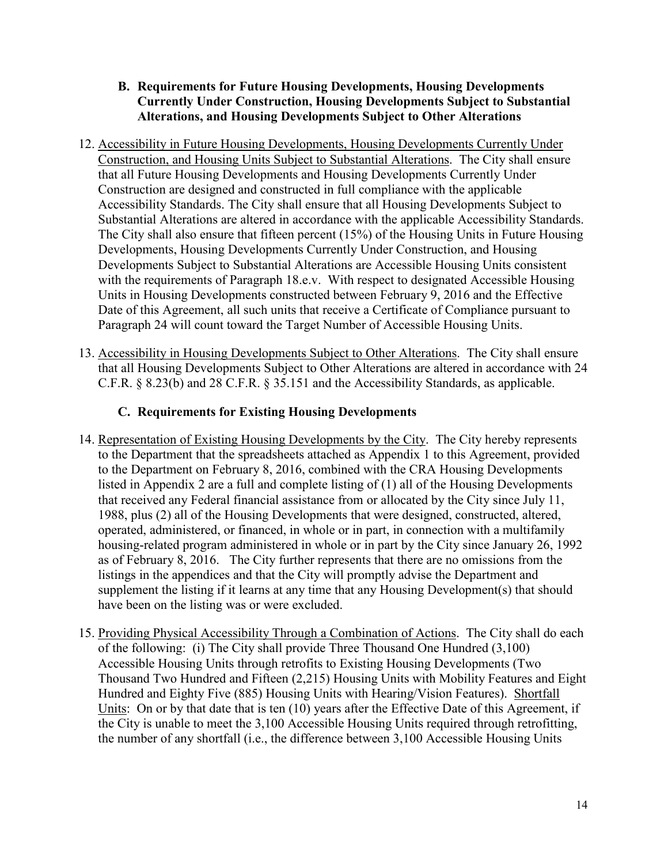## <span id="page-13-0"></span>**B. Requirements for Future Housing Developments, Housing Developments Currently Under Construction, Housing Developments Subject to Substantial Alterations, and Housing Developments Subject to Other Alterations**

- 12. Accessibility in Future Housing Developments, Housing Developments Currently Under Construction, and Housing Units Subject to Substantial Alterations. The City shall ensure that all Future Housing Developments and Housing Developments Currently Under Construction are designed and constructed in full compliance with the applicable Accessibility Standards. The City shall ensure that all Housing Developments Subject to Substantial Alterations are altered in accordance with the applicable Accessibility Standards. The City shall also ensure that fifteen percent (15%) of the Housing Units in Future Housing Developments, Housing Developments Currently Under Construction, and Housing Developments Subject to Substantial Alterations are Accessible Housing Units consistent with the requirements of Paragraph 18.e.v. With respect to designated Accessible Housing Units in Housing Developments constructed between February 9, 2016 and the Effective Date of this Agreement, all such units that receive a Certificate of Compliance pursuant to Paragraph 24 will count toward the Target Number of Accessible Housing Units.
- 13. Accessibility in Housing Developments Subject to Other Alterations. The City shall ensure that all Housing Developments Subject to Other Alterations are altered in accordance with 24 C.F.R. § 8.23(b) and 28 C.F.R. § 35.151 and the Accessibility Standards, as applicable.

# <span id="page-13-1"></span>**C. Requirements for Existing Housing Developments**

- 14. Representation of Existing Housing Developments by the City. The City hereby represents to the Department that the spreadsheets attached as Appendix 1 to this Agreement, provided to the Department on February 8, 2016, combined with the CRA Housing Developments listed in Appendix 2 are a full and complete listing of (1) all of the Housing Developments that received any Federal financial assistance from or allocated by the City since July 11, 1988, plus (2) all of the Housing Developments that were designed, constructed, altered, operated, administered, or financed, in whole or in part, in connection with a multifamily housing-related program administered in whole or in part by the City since January 26, 1992 as of February 8, 2016. The City further represents that there are no omissions from the listings in the appendices and that the City will promptly advise the Department and supplement the listing if it learns at any time that any Housing Development(s) that should have been on the listing was or were excluded.
- 15. Providing Physical Accessibility Through a Combination of Actions. The City shall do each of the following: (i) The City shall provide Three Thousand One Hundred (3,100) Accessible Housing Units through retrofits to Existing Housing Developments (Two Thousand Two Hundred and Fifteen (2,215) Housing Units with Mobility Features and Eight Hundred and Eighty Five (885) Housing Units with Hearing/Vision Features). Shortfall Units: On or by that date that is ten (10) years after the Effective Date of this Agreement, if the City is unable to meet the 3,100 Accessible Housing Units required through retrofitting, the number of any shortfall (i.e., the difference between 3,100 Accessible Housing Units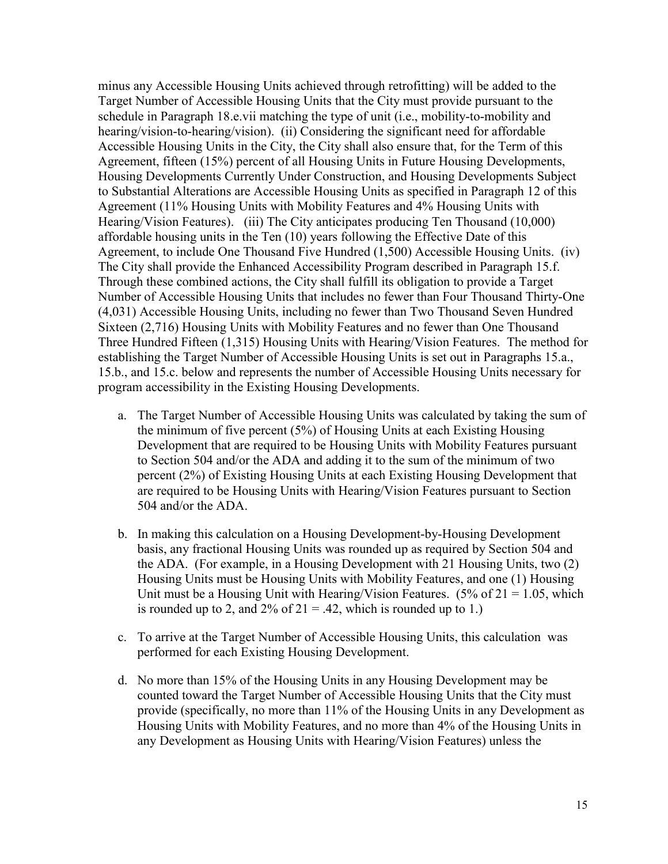minus any Accessible Housing Units achieved through retrofitting) will be added to the Target Number of Accessible Housing Units that the City must provide pursuant to the schedule in Paragraph 18.e.vii matching the type of unit (i.e., mobility-to-mobility and hearing/vision-to-hearing/vision). (ii) Considering the significant need for affordable Accessible Housing Units in the City, the City shall also ensure that, for the Term of this Agreement, fifteen (15%) percent of all Housing Units in Future Housing Developments, Housing Developments Currently Under Construction, and Housing Developments Subject to Substantial Alterations are Accessible Housing Units as specified in Paragraph 12 of this Agreement (11% Housing Units with Mobility Features and 4% Housing Units with Hearing/Vision Features). (iii) The City anticipates producing Ten Thousand (10,000) affordable housing units in the Ten (10) years following the Effective Date of this Agreement, to include One Thousand Five Hundred (1,500) Accessible Housing Units. (iv) The City shall provide the Enhanced Accessibility Program described in Paragraph 15.f. Through these combined actions, the City shall fulfill its obligation to provide a Target Number of Accessible Housing Units that includes no fewer than Four Thousand Thirty-One (4,031) Accessible Housing Units, including no fewer than Two Thousand Seven Hundred Sixteen (2,716) Housing Units with Mobility Features and no fewer than One Thousand Three Hundred Fifteen (1,315) Housing Units with Hearing/Vision Features. The method for establishing the Target Number of Accessible Housing Units is set out in Paragraphs 15.a., 15.b., and 15.c. below and represents the number of Accessible Housing Units necessary for program accessibility in the Existing Housing Developments.

- a. The Target Number of Accessible Housing Units was calculated by taking the sum of the minimum of five percent (5%) of Housing Units at each Existing Housing Development that are required to be Housing Units with Mobility Features pursuant to Section 504 and/or the ADA and adding it to the sum of the minimum of two percent (2%) of Existing Housing Units at each Existing Housing Development that are required to be Housing Units with Hearing/Vision Features pursuant to Section 504 and/or the ADA.
- b. In making this calculation on a Housing Development-by-Housing Development basis, any fractional Housing Units was rounded up as required by Section 504 and the ADA. (For example, in a Housing Development with 21 Housing Units, two (2) Housing Units must be Housing Units with Mobility Features, and one (1) Housing Unit must be a Housing Unit with Hearing/Vision Features. (5% of  $21 = 1.05$ , which is rounded up to 2, and  $2\%$  of  $21 = .42$ , which is rounded up to 1.)
- c. To arrive at the Target Number of Accessible Housing Units, this calculation was performed for each Existing Housing Development.
- d. No more than 15% of the Housing Units in any Housing Development may be counted toward the Target Number of Accessible Housing Units that the City must provide (specifically, no more than 11% of the Housing Units in any Development as Housing Units with Mobility Features, and no more than 4% of the Housing Units in any Development as Housing Units with Hearing/Vision Features) unless the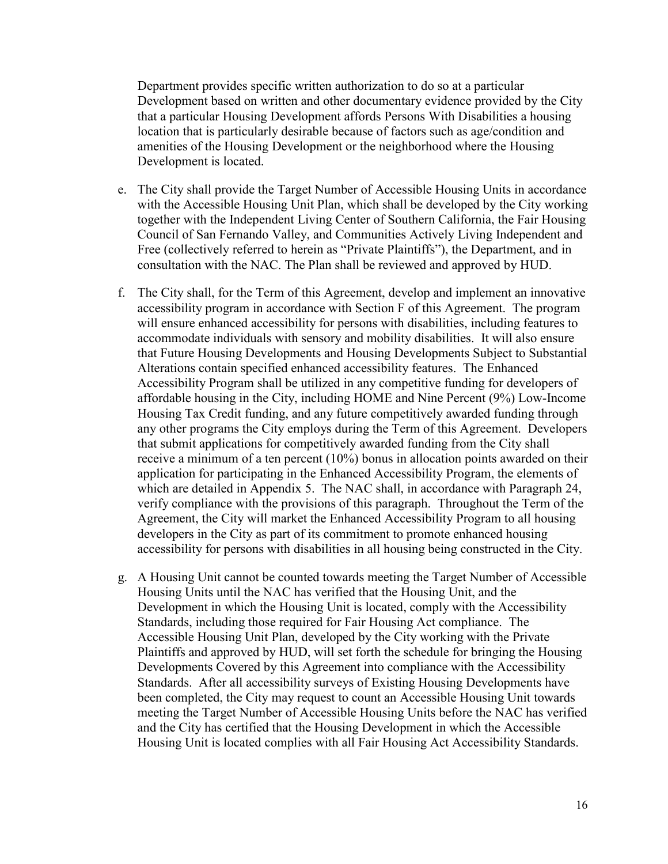Department provides specific written authorization to do so at a particular Development based on written and other documentary evidence provided by the City that a particular Housing Development affords Persons With Disabilities a housing location that is particularly desirable because of factors such as age/condition and amenities of the Housing Development or the neighborhood where the Housing Development is located.

- e. The City shall provide the Target Number of Accessible Housing Units in accordance with the Accessible Housing Unit Plan, which shall be developed by the City working together with the Independent Living Center of Southern California, the Fair Housing Council of San Fernando Valley, and Communities Actively Living Independent and Free (collectively referred to herein as "Private Plaintiffs"), the Department, and in consultation with the NAC. The Plan shall be reviewed and approved by HUD.
- f. The City shall, for the Term of this Agreement, develop and implement an innovative accessibility program in accordance with Section F of this Agreement. The program will ensure enhanced accessibility for persons with disabilities, including features to accommodate individuals with sensory and mobility disabilities. It will also ensure that Future Housing Developments and Housing Developments Subject to Substantial Alterations contain specified enhanced accessibility features. The Enhanced Accessibility Program shall be utilized in any competitive funding for developers of affordable housing in the City, including HOME and Nine Percent (9%) Low-Income Housing Tax Credit funding, and any future competitively awarded funding through any other programs the City employs during the Term of this Agreement. Developers that submit applications for competitively awarded funding from the City shall receive a minimum of a ten percent (10%) bonus in allocation points awarded on their application for participating in the Enhanced Accessibility Program, the elements of which are detailed in Appendix 5. The NAC shall, in accordance with Paragraph 24, verify compliance with the provisions of this paragraph. Throughout the Term of the Agreement, the City will market the Enhanced Accessibility Program to all housing developers in the City as part of its commitment to promote enhanced housing accessibility for persons with disabilities in all housing being constructed in the City.
- g. A Housing Unit cannot be counted towards meeting the Target Number of Accessible Housing Units until the NAC has verified that the Housing Unit, and the Development in which the Housing Unit is located, comply with the Accessibility Standards, including those required for Fair Housing Act compliance. The Accessible Housing Unit Plan, developed by the City working with the Private Plaintiffs and approved by HUD, will set forth the schedule for bringing the Housing Developments Covered by this Agreement into compliance with the Accessibility Standards. After all accessibility surveys of Existing Housing Developments have been completed, the City may request to count an Accessible Housing Unit towards meeting the Target Number of Accessible Housing Units before the NAC has verified and the City has certified that the Housing Development in which the Accessible Housing Unit is located complies with all Fair Housing Act Accessibility Standards.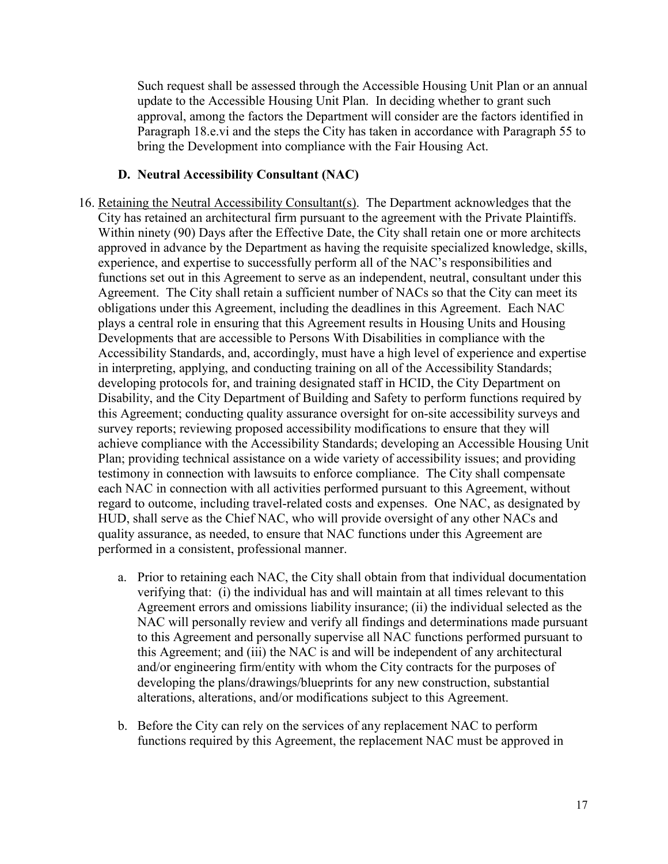Such request shall be assessed through the Accessible Housing Unit Plan or an annual update to the Accessible Housing Unit Plan. In deciding whether to grant such approval, among the factors the Department will consider are the factors identified in Paragraph 18.e.vi and the steps the City has taken in accordance with Paragraph 55 to bring the Development into compliance with the Fair Housing Act.

#### <span id="page-16-0"></span>**D. Neutral Accessibility Consultant (NAC)**

- 16. Retaining the Neutral Accessibility Consultant(s). The Department acknowledges that the City has retained an architectural firm pursuant to the agreement with the Private Plaintiffs. Within ninety (90) Days after the Effective Date, the City shall retain one or more architects approved in advance by the Department as having the requisite specialized knowledge, skills, experience, and expertise to successfully perform all of the NAC's responsibilities and functions set out in this Agreement to serve as an independent, neutral, consultant under this Agreement. The City shall retain a sufficient number of NACs so that the City can meet its obligations under this Agreement, including the deadlines in this Agreement. Each NAC plays a central role in ensuring that this Agreement results in Housing Units and Housing Developments that are accessible to Persons With Disabilities in compliance with the Accessibility Standards, and, accordingly, must have a high level of experience and expertise in interpreting, applying, and conducting training on all of the Accessibility Standards; developing protocols for, and training designated staff in HCID, the City Department on Disability, and the City Department of Building and Safety to perform functions required by this Agreement; conducting quality assurance oversight for on-site accessibility surveys and survey reports; reviewing proposed accessibility modifications to ensure that they will achieve compliance with the Accessibility Standards; developing an Accessible Housing Unit Plan; providing technical assistance on a wide variety of accessibility issues; and providing testimony in connection with lawsuits to enforce compliance. The City shall compensate each NAC in connection with all activities performed pursuant to this Agreement, without regard to outcome, including travel-related costs and expenses. One NAC, as designated by HUD, shall serve as the Chief NAC, who will provide oversight of any other NACs and quality assurance, as needed, to ensure that NAC functions under this Agreement are performed in a consistent, professional manner.
	- a. Prior to retaining each NAC, the City shall obtain from that individual documentation verifying that: (i) the individual has and will maintain at all times relevant to this Agreement errors and omissions liability insurance; (ii) the individual selected as the NAC will personally review and verify all findings and determinations made pursuant to this Agreement and personally supervise all NAC functions performed pursuant to this Agreement; and (iii) the NAC is and will be independent of any architectural and/or engineering firm/entity with whom the City contracts for the purposes of developing the plans/drawings/blueprints for any new construction, substantial alterations, alterations, and/or modifications subject to this Agreement.
	- b. Before the City can rely on the services of any replacement NAC to perform functions required by this Agreement, the replacement NAC must be approved in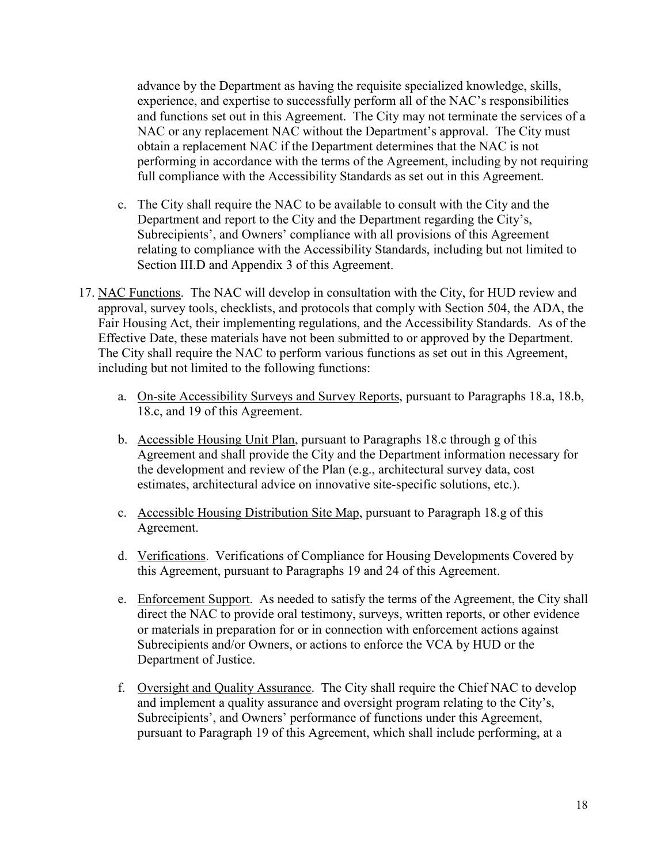advance by the Department as having the requisite specialized knowledge, skills, experience, and expertise to successfully perform all of the NAC's responsibilities and functions set out in this Agreement. The City may not terminate the services of a NAC or any replacement NAC without the Department's approval. The City must obtain a replacement NAC if the Department determines that the NAC is not performing in accordance with the terms of the Agreement, including by not requiring full compliance with the Accessibility Standards as set out in this Agreement.

- c. The City shall require the NAC to be available to consult with the City and the Department and report to the City and the Department regarding the City's, Subrecipients', and Owners' compliance with all provisions of this Agreement relating to compliance with the Accessibility Standards, including but not limited to Section III.D and Appendix 3 of this Agreement.
- 17. NAC Functions. The NAC will develop in consultation with the City, for HUD review and approval, survey tools, checklists, and protocols that comply with Section 504, the ADA, the Fair Housing Act, their implementing regulations, and the Accessibility Standards. As of the Effective Date, these materials have not been submitted to or approved by the Department. The City shall require the NAC to perform various functions as set out in this Agreement, including but not limited to the following functions:
	- a. On-site Accessibility Surveys and Survey Reports, pursuant to Paragraphs 18.a, 18.b, 18.c, and 19 of this Agreement.
	- b. Accessible Housing Unit Plan, pursuant to Paragraphs 18.c through g of this Agreement and shall provide the City and the Department information necessary for the development and review of the Plan (e.g., architectural survey data, cost estimates, architectural advice on innovative site-specific solutions, etc.).
	- c. Accessible Housing Distribution Site Map, pursuant to Paragraph 18.g of this Agreement.
	- d. Verifications. Verifications of Compliance for Housing Developments Covered by this Agreement, pursuant to Paragraphs 19 and 24 of this Agreement.
	- e. Enforcement Support. As needed to satisfy the terms of the Agreement, the City shall direct the NAC to provide oral testimony, surveys, written reports, or other evidence or materials in preparation for or in connection with enforcement actions against Subrecipients and/or Owners, or actions to enforce the VCA by HUD or the Department of Justice.
	- f. Oversight and Quality Assurance. The City shall require the Chief NAC to develop and implement a quality assurance and oversight program relating to the City's, Subrecipients', and Owners' performance of functions under this Agreement, pursuant to Paragraph 19 of this Agreement, which shall include performing, at a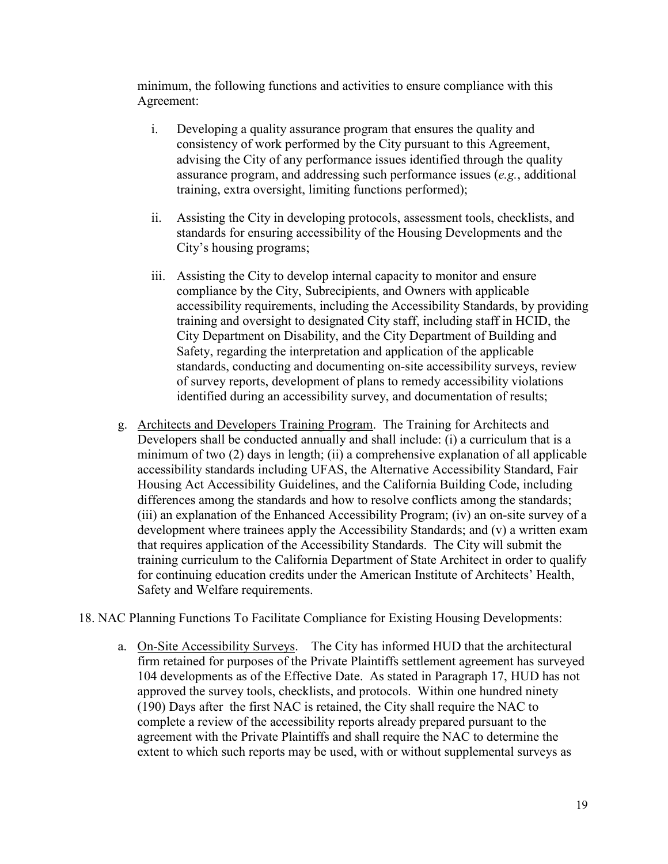minimum, the following functions and activities to ensure compliance with this Agreement:

- i. Developing a quality assurance program that ensures the quality and consistency of work performed by the City pursuant to this Agreement, advising the City of any performance issues identified through the quality assurance program, and addressing such performance issues (*e.g.*, additional training, extra oversight, limiting functions performed);
- ii. Assisting the City in developing protocols, assessment tools, checklists, and standards for ensuring accessibility of the Housing Developments and the City's housing programs;
- iii. Assisting the City to develop internal capacity to monitor and ensure compliance by the City, Subrecipients, and Owners with applicable accessibility requirements, including the Accessibility Standards, by providing training and oversight to designated City staff, including staff in HCID, the City Department on Disability, and the City Department of Building and Safety, regarding the interpretation and application of the applicable standards, conducting and documenting on-site accessibility surveys, review of survey reports, development of plans to remedy accessibility violations identified during an accessibility survey, and documentation of results;
- g. Architects and Developers Training Program. The Training for Architects and Developers shall be conducted annually and shall include: (i) a curriculum that is a minimum of two (2) days in length; (ii) a comprehensive explanation of all applicable accessibility standards including UFAS, the Alternative Accessibility Standard, Fair Housing Act Accessibility Guidelines, and the California Building Code, including differences among the standards and how to resolve conflicts among the standards; (iii) an explanation of the Enhanced Accessibility Program; (iv) an on-site survey of a development where trainees apply the Accessibility Standards; and (v) a written exam that requires application of the Accessibility Standards. The City will submit the training curriculum to the California Department of State Architect in order to qualify for continuing education credits under the American Institute of Architects' Health, Safety and Welfare requirements.
- 18. NAC Planning Functions To Facilitate Compliance for Existing Housing Developments:
	- a. On-Site Accessibility Surveys. The City has informed HUD that the architectural firm retained for purposes of the Private Plaintiffs settlement agreement has surveyed 104 developments as of the Effective Date. As stated in Paragraph 17, HUD has not approved the survey tools, checklists, and protocols. Within one hundred ninety (190) Days after the first NAC is retained, the City shall require the NAC to complete a review of the accessibility reports already prepared pursuant to the agreement with the Private Plaintiffs and shall require the NAC to determine the extent to which such reports may be used, with or without supplemental surveys as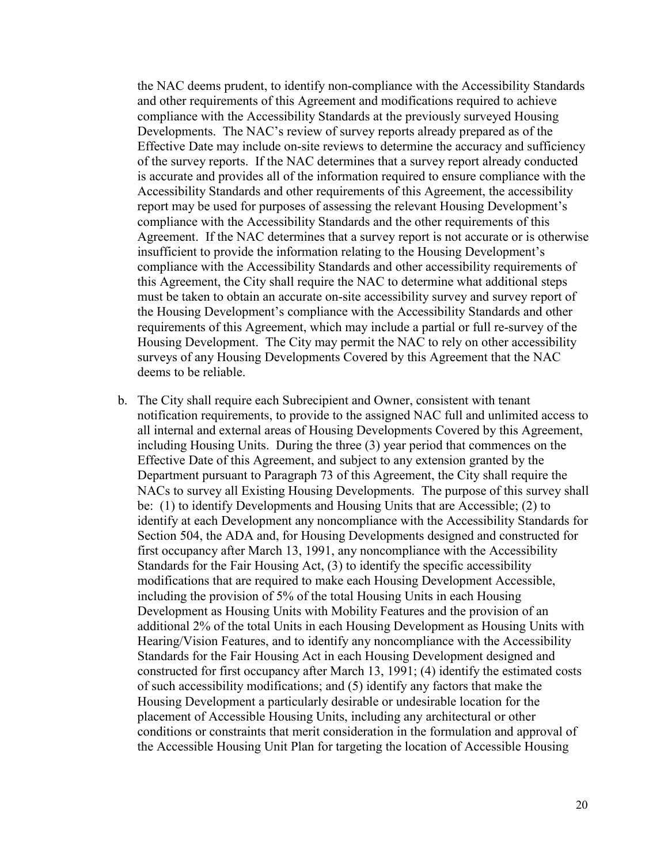the NAC deems prudent, to identify non-compliance with the Accessibility Standards and other requirements of this Agreement and modifications required to achieve compliance with the Accessibility Standards at the previously surveyed Housing Developments. The NAC's review of survey reports already prepared as of the Effective Date may include on-site reviews to determine the accuracy and sufficiency of the survey reports. If the NAC determines that a survey report already conducted is accurate and provides all of the information required to ensure compliance with the Accessibility Standards and other requirements of this Agreement, the accessibility report may be used for purposes of assessing the relevant Housing Development's compliance with the Accessibility Standards and the other requirements of this Agreement. If the NAC determines that a survey report is not accurate or is otherwise insufficient to provide the information relating to the Housing Development's compliance with the Accessibility Standards and other accessibility requirements of this Agreement, the City shall require the NAC to determine what additional steps must be taken to obtain an accurate on-site accessibility survey and survey report of the Housing Development's compliance with the Accessibility Standards and other requirements of this Agreement, which may include a partial or full re-survey of the Housing Development. The City may permit the NAC to rely on other accessibility surveys of any Housing Developments Covered by this Agreement that the NAC deems to be reliable.

b. The City shall require each Subrecipient and Owner, consistent with tenant notification requirements, to provide to the assigned NAC full and unlimited access to all internal and external areas of Housing Developments Covered by this Agreement, including Housing Units. During the three (3) year period that commences on the Effective Date of this Agreement, and subject to any extension granted by the Department pursuant to Paragraph 73 of this Agreement, the City shall require the NACs to survey all Existing Housing Developments. The purpose of this survey shall be: (1) to identify Developments and Housing Units that are Accessible; (2) to identify at each Development any noncompliance with the Accessibility Standards for Section 504, the ADA and, for Housing Developments designed and constructed for first occupancy after March 13, 1991, any noncompliance with the Accessibility Standards for the Fair Housing Act, (3) to identify the specific accessibility modifications that are required to make each Housing Development Accessible, including the provision of 5% of the total Housing Units in each Housing Development as Housing Units with Mobility Features and the provision of an additional 2% of the total Units in each Housing Development as Housing Units with Hearing/Vision Features, and to identify any noncompliance with the Accessibility Standards for the Fair Housing Act in each Housing Development designed and constructed for first occupancy after March 13, 1991; (4) identify the estimated costs of such accessibility modifications; and (5) identify any factors that make the Housing Development a particularly desirable or undesirable location for the placement of Accessible Housing Units, including any architectural or other conditions or constraints that merit consideration in the formulation and approval of the Accessible Housing Unit Plan for targeting the location of Accessible Housing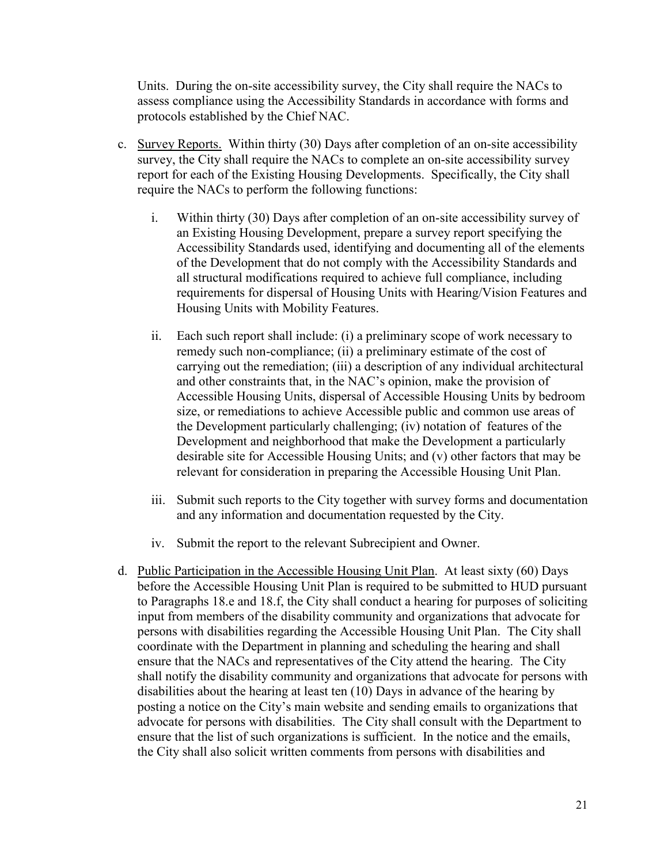Units. During the on-site accessibility survey, the City shall require the NACs to assess compliance using the Accessibility Standards in accordance with forms and protocols established by the Chief NAC.

- c. Survey Reports. Within thirty (30) Days after completion of an on-site accessibility survey, the City shall require the NACs to complete an on-site accessibility survey report for each of the Existing Housing Developments. Specifically, the City shall require the NACs to perform the following functions:
	- i. Within thirty (30) Days after completion of an on-site accessibility survey of an Existing Housing Development, prepare a survey report specifying the Accessibility Standards used, identifying and documenting all of the elements of the Development that do not comply with the Accessibility Standards and all structural modifications required to achieve full compliance, including requirements for dispersal of Housing Units with Hearing/Vision Features and Housing Units with Mobility Features.
	- ii. Each such report shall include: (i) a preliminary scope of work necessary to remedy such non-compliance; (ii) a preliminary estimate of the cost of carrying out the remediation; (iii) a description of any individual architectural and other constraints that, in the NAC's opinion, make the provision of Accessible Housing Units, dispersal of Accessible Housing Units by bedroom size, or remediations to achieve Accessible public and common use areas of the Development particularly challenging; (iv) notation of features of the Development and neighborhood that make the Development a particularly desirable site for Accessible Housing Units; and (v) other factors that may be relevant for consideration in preparing the Accessible Housing Unit Plan.
	- iii. Submit such reports to the City together with survey forms and documentation and any information and documentation requested by the City.
	- iv. Submit the report to the relevant Subrecipient and Owner.
- d. Public Participation in the Accessible Housing Unit Plan. At least sixty (60) Days before the Accessible Housing Unit Plan is required to be submitted to HUD pursuant to Paragraphs 18.e and 18.f, the City shall conduct a hearing for purposes of soliciting input from members of the disability community and organizations that advocate for persons with disabilities regarding the Accessible Housing Unit Plan. The City shall coordinate with the Department in planning and scheduling the hearing and shall ensure that the NACs and representatives of the City attend the hearing. The City shall notify the disability community and organizations that advocate for persons with disabilities about the hearing at least ten (10) Days in advance of the hearing by posting a notice on the City's main website and sending emails to organizations that advocate for persons with disabilities. The City shall consult with the Department to ensure that the list of such organizations is sufficient. In the notice and the emails, the City shall also solicit written comments from persons with disabilities and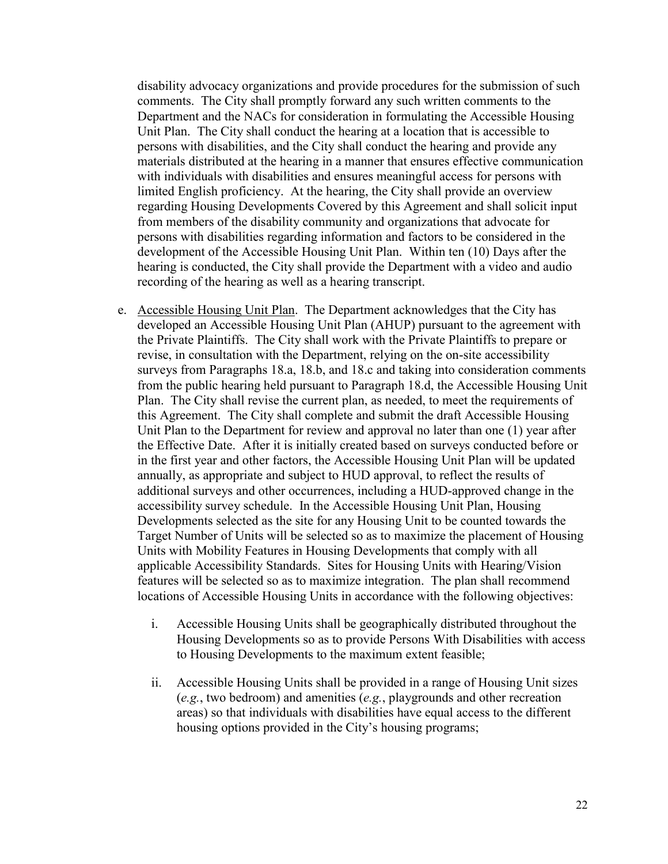disability advocacy organizations and provide procedures for the submission of such comments. The City shall promptly forward any such written comments to the Department and the NACs for consideration in formulating the Accessible Housing Unit Plan. The City shall conduct the hearing at a location that is accessible to persons with disabilities, and the City shall conduct the hearing and provide any materials distributed at the hearing in a manner that ensures effective communication with individuals with disabilities and ensures meaningful access for persons with limited English proficiency. At the hearing, the City shall provide an overview regarding Housing Developments Covered by this Agreement and shall solicit input from members of the disability community and organizations that advocate for persons with disabilities regarding information and factors to be considered in the development of the Accessible Housing Unit Plan. Within ten (10) Days after the hearing is conducted, the City shall provide the Department with a video and audio recording of the hearing as well as a hearing transcript.

- e. Accessible Housing Unit Plan. The Department acknowledges that the City has developed an Accessible Housing Unit Plan (AHUP) pursuant to the agreement with the Private Plaintiffs. The City shall work with the Private Plaintiffs to prepare or revise, in consultation with the Department, relying on the on-site accessibility surveys from Paragraphs 18.a, 18.b, and 18.c and taking into consideration comments from the public hearing held pursuant to Paragraph 18.d, the Accessible Housing Unit Plan. The City shall revise the current plan, as needed, to meet the requirements of this Agreement. The City shall complete and submit the draft Accessible Housing Unit Plan to the Department for review and approval no later than one (1) year after the Effective Date. After it is initially created based on surveys conducted before or in the first year and other factors, the Accessible Housing Unit Plan will be updated annually, as appropriate and subject to HUD approval, to reflect the results of additional surveys and other occurrences, including a HUD-approved change in the accessibility survey schedule. In the Accessible Housing Unit Plan, Housing Developments selected as the site for any Housing Unit to be counted towards the Target Number of Units will be selected so as to maximize the placement of Housing Units with Mobility Features in Housing Developments that comply with all applicable Accessibility Standards. Sites for Housing Units with Hearing/Vision features will be selected so as to maximize integration. The plan shall recommend locations of Accessible Housing Units in accordance with the following objectives:
	- i. Accessible Housing Units shall be geographically distributed throughout the Housing Developments so as to provide Persons With Disabilities with access to Housing Developments to the maximum extent feasible;
	- ii. Accessible Housing Units shall be provided in a range of Housing Unit sizes (*e.g.*, two bedroom) and amenities (*e.g.*, playgrounds and other recreation areas) so that individuals with disabilities have equal access to the different housing options provided in the City's housing programs;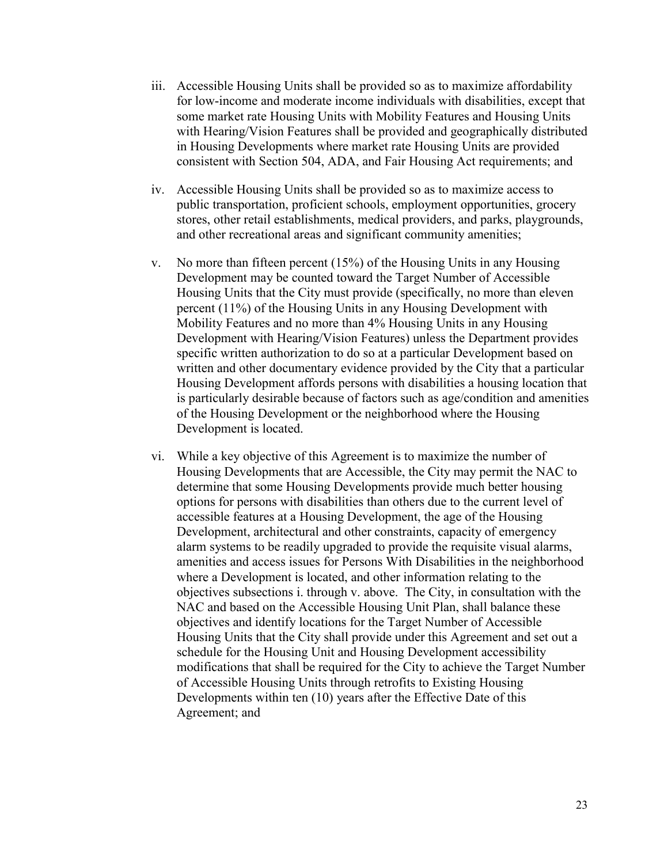- iii. Accessible Housing Units shall be provided so as to maximize affordability for low-income and moderate income individuals with disabilities, except that some market rate Housing Units with Mobility Features and Housing Units with Hearing/Vision Features shall be provided and geographically distributed in Housing Developments where market rate Housing Units are provided consistent with Section 504, ADA, and Fair Housing Act requirements; and
- iv. Accessible Housing Units shall be provided so as to maximize access to public transportation, proficient schools, employment opportunities, grocery stores, other retail establishments, medical providers, and parks, playgrounds, and other recreational areas and significant community amenities;
- v. No more than fifteen percent (15%) of the Housing Units in any Housing Development may be counted toward the Target Number of Accessible Housing Units that the City must provide (specifically, no more than eleven percent (11%) of the Housing Units in any Housing Development with Mobility Features and no more than 4% Housing Units in any Housing Development with Hearing/Vision Features) unless the Department provides specific written authorization to do so at a particular Development based on written and other documentary evidence provided by the City that a particular Housing Development affords persons with disabilities a housing location that is particularly desirable because of factors such as age/condition and amenities of the Housing Development or the neighborhood where the Housing Development is located.
- vi. While a key objective of this Agreement is to maximize the number of Housing Developments that are Accessible, the City may permit the NAC to determine that some Housing Developments provide much better housing options for persons with disabilities than others due to the current level of accessible features at a Housing Development, the age of the Housing Development, architectural and other constraints, capacity of emergency alarm systems to be readily upgraded to provide the requisite visual alarms, amenities and access issues for Persons With Disabilities in the neighborhood where a Development is located, and other information relating to the objectives subsections i. through v. above. The City, in consultation with the NAC and based on the Accessible Housing Unit Plan, shall balance these objectives and identify locations for the Target Number of Accessible Housing Units that the City shall provide under this Agreement and set out a schedule for the Housing Unit and Housing Development accessibility modifications that shall be required for the City to achieve the Target Number of Accessible Housing Units through retrofits to Existing Housing Developments within ten (10) years after the Effective Date of this Agreement; and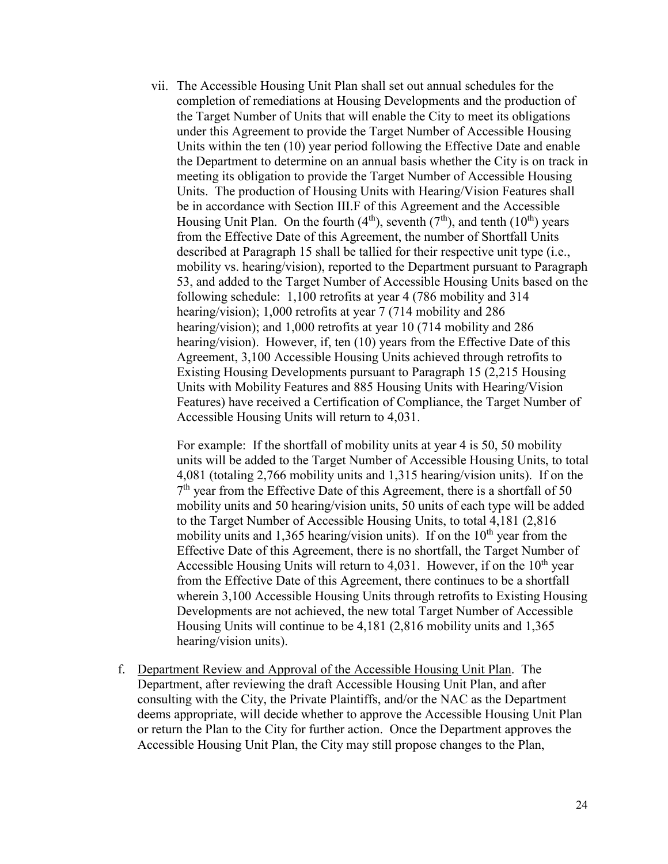vii. The Accessible Housing Unit Plan shall set out annual schedules for the completion of remediations at Housing Developments and the production of the Target Number of Units that will enable the City to meet its obligations under this Agreement to provide the Target Number of Accessible Housing Units within the ten (10) year period following the Effective Date and enable the Department to determine on an annual basis whether the City is on track in meeting its obligation to provide the Target Number of Accessible Housing Units. The production of Housing Units with Hearing/Vision Features shall be in accordance with Section III.F of this Agreement and the Accessible Housing Unit Plan. On the fourth  $(4<sup>th</sup>)$ , seventh  $(7<sup>th</sup>)$ , and tenth  $(10<sup>th</sup>)$  years from the Effective Date of this Agreement, the number of Shortfall Units described at Paragraph 15 shall be tallied for their respective unit type (i.e., mobility vs. hearing/vision), reported to the Department pursuant to Paragraph 53, and added to the Target Number of Accessible Housing Units based on the following schedule: 1,100 retrofits at year 4 (786 mobility and 314 hearing/vision); 1,000 retrofits at year 7 (714 mobility and 286 hearing/vision); and 1,000 retrofits at year 10 (714 mobility and 286 hearing/vision). However, if, ten (10) years from the Effective Date of this Agreement, 3,100 Accessible Housing Units achieved through retrofits to Existing Housing Developments pursuant to Paragraph 15 (2,215 Housing Units with Mobility Features and 885 Housing Units with Hearing/Vision Features) have received a Certification of Compliance, the Target Number of Accessible Housing Units will return to 4,031.

For example: If the shortfall of mobility units at year 4 is 50, 50 mobility units will be added to the Target Number of Accessible Housing Units, to total 4,081 (totaling 2,766 mobility units and 1,315 hearing/vision units). If on the 7<sup>th</sup> year from the Effective Date of this Agreement, there is a shortfall of 50 mobility units and 50 hearing/vision units, 50 units of each type will be added to the Target Number of Accessible Housing Units, to total 4,181 (2,816 mobility units and 1,365 hearing/vision units). If on the  $10<sup>th</sup>$  year from the Effective Date of this Agreement, there is no shortfall, the Target Number of Accessible Housing Units will return to 4,031. However, if on the  $10<sup>th</sup>$  year from the Effective Date of this Agreement, there continues to be a shortfall wherein 3,100 Accessible Housing Units through retrofits to Existing Housing Developments are not achieved, the new total Target Number of Accessible Housing Units will continue to be 4,181 (2,816 mobility units and 1,365 hearing/vision units).

f. Department Review and Approval of the Accessible Housing Unit Plan. The Department, after reviewing the draft Accessible Housing Unit Plan, and after consulting with the City, the Private Plaintiffs, and/or the NAC as the Department deems appropriate, will decide whether to approve the Accessible Housing Unit Plan or return the Plan to the City for further action. Once the Department approves the Accessible Housing Unit Plan, the City may still propose changes to the Plan,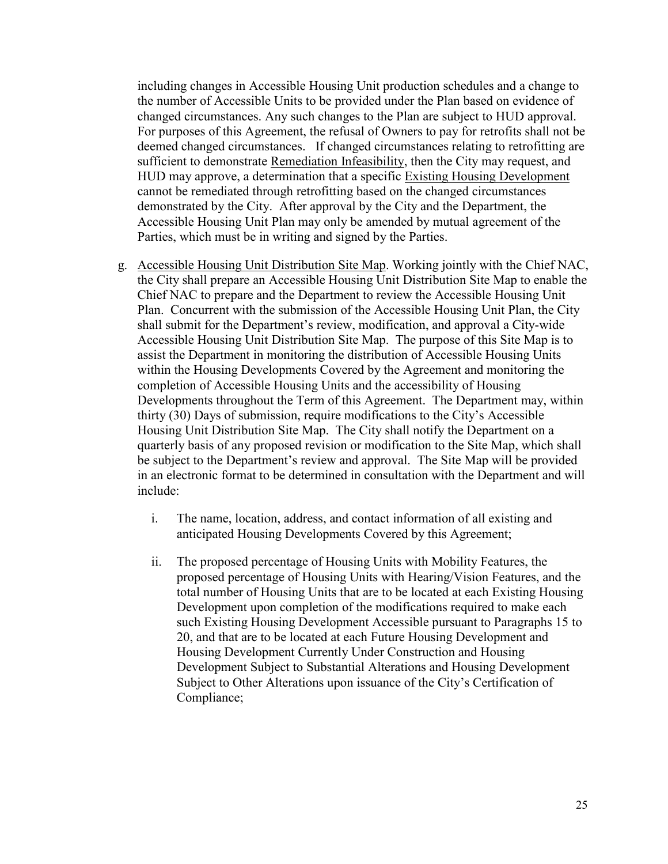including changes in Accessible Housing Unit production schedules and a change to the number of Accessible Units to be provided under the Plan based on evidence of changed circumstances. Any such changes to the Plan are subject to HUD approval. For purposes of this Agreement, the refusal of Owners to pay for retrofits shall not be deemed changed circumstances. If changed circumstances relating to retrofitting are sufficient to demonstrate Remediation Infeasibility, then the City may request, and HUD may approve, a determination that a specific Existing Housing Development cannot be remediated through retrofitting based on the changed circumstances demonstrated by the City. After approval by the City and the Department, the Accessible Housing Unit Plan may only be amended by mutual agreement of the Parties, which must be in writing and signed by the Parties.

- g. Accessible Housing Unit Distribution Site Map. Working jointly with the Chief NAC, the City shall prepare an Accessible Housing Unit Distribution Site Map to enable the Chief NAC to prepare and the Department to review the Accessible Housing Unit Plan. Concurrent with the submission of the Accessible Housing Unit Plan, the City shall submit for the Department's review, modification, and approval a City-wide Accessible Housing Unit Distribution Site Map. The purpose of this Site Map is to assist the Department in monitoring the distribution of Accessible Housing Units within the Housing Developments Covered by the Agreement and monitoring the completion of Accessible Housing Units and the accessibility of Housing Developments throughout the Term of this Agreement. The Department may, within thirty (30) Days of submission, require modifications to the City's Accessible Housing Unit Distribution Site Map. The City shall notify the Department on a quarterly basis of any proposed revision or modification to the Site Map, which shall be subject to the Department's review and approval. The Site Map will be provided in an electronic format to be determined in consultation with the Department and will include:
	- i. The name, location, address, and contact information of all existing and anticipated Housing Developments Covered by this Agreement;
	- ii. The proposed percentage of Housing Units with Mobility Features, the proposed percentage of Housing Units with Hearing/Vision Features, and the total number of Housing Units that are to be located at each Existing Housing Development upon completion of the modifications required to make each such Existing Housing Development Accessible pursuant to Paragraphs 15 to 20, and that are to be located at each Future Housing Development and Housing Development Currently Under Construction and Housing Development Subject to Substantial Alterations and Housing Development Subject to Other Alterations upon issuance of the City's Certification of Compliance;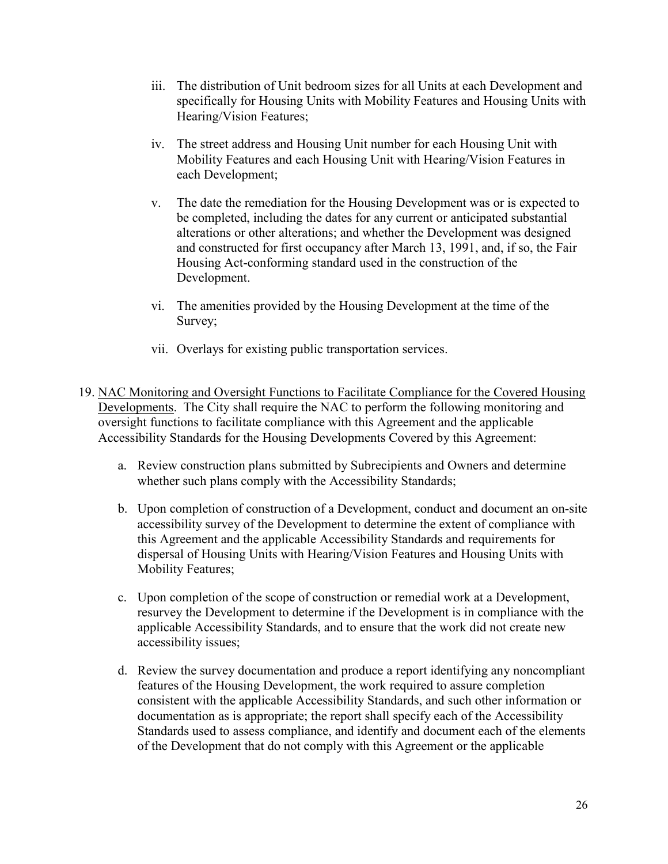- iii. The distribution of Unit bedroom sizes for all Units at each Development and specifically for Housing Units with Mobility Features and Housing Units with Hearing/Vision Features;
- iv. The street address and Housing Unit number for each Housing Unit with Mobility Features and each Housing Unit with Hearing/Vision Features in each Development;
- v. The date the remediation for the Housing Development was or is expected to be completed, including the dates for any current or anticipated substantial alterations or other alterations; and whether the Development was designed and constructed for first occupancy after March 13, 1991, and, if so, the Fair Housing Act-conforming standard used in the construction of the Development.
- vi. The amenities provided by the Housing Development at the time of the Survey;
- vii. Overlays for existing public transportation services.
- 19. NAC Monitoring and Oversight Functions to Facilitate Compliance for the Covered Housing Developments. The City shall require the NAC to perform the following monitoring and oversight functions to facilitate compliance with this Agreement and the applicable Accessibility Standards for the Housing Developments Covered by this Agreement:
	- a. Review construction plans submitted by Subrecipients and Owners and determine whether such plans comply with the Accessibility Standards;
	- b. Upon completion of construction of a Development, conduct and document an on-site accessibility survey of the Development to determine the extent of compliance with this Agreement and the applicable Accessibility Standards and requirements for dispersal of Housing Units with Hearing/Vision Features and Housing Units with Mobility Features;
	- c. Upon completion of the scope of construction or remedial work at a Development, resurvey the Development to determine if the Development is in compliance with the applicable Accessibility Standards, and to ensure that the work did not create new accessibility issues;
	- d. Review the survey documentation and produce a report identifying any noncompliant features of the Housing Development, the work required to assure completion consistent with the applicable Accessibility Standards, and such other information or documentation as is appropriate; the report shall specify each of the Accessibility Standards used to assess compliance, and identify and document each of the elements of the Development that do not comply with this Agreement or the applicable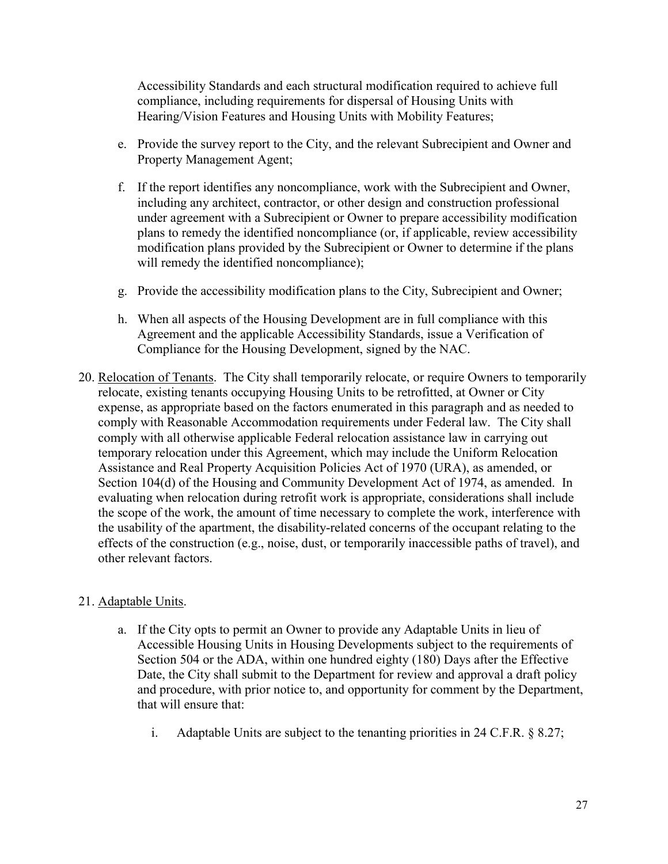Accessibility Standards and each structural modification required to achieve full compliance, including requirements for dispersal of Housing Units with Hearing/Vision Features and Housing Units with Mobility Features;

- e. Provide the survey report to the City, and the relevant Subrecipient and Owner and Property Management Agent;
- f. If the report identifies any noncompliance, work with the Subrecipient and Owner, including any architect, contractor, or other design and construction professional under agreement with a Subrecipient or Owner to prepare accessibility modification plans to remedy the identified noncompliance (or, if applicable, review accessibility modification plans provided by the Subrecipient or Owner to determine if the plans will remedy the identified noncompliance);
- g. Provide the accessibility modification plans to the City, Subrecipient and Owner;
- h. When all aspects of the Housing Development are in full compliance with this Agreement and the applicable Accessibility Standards, issue a Verification of Compliance for the Housing Development, signed by the NAC.
- 20. Relocation of Tenants. The City shall temporarily relocate, or require Owners to temporarily relocate, existing tenants occupying Housing Units to be retrofitted, at Owner or City expense, as appropriate based on the factors enumerated in this paragraph and as needed to comply with Reasonable Accommodation requirements under Federal law. The City shall comply with all otherwise applicable Federal relocation assistance law in carrying out temporary relocation under this Agreement, which may include the Uniform Relocation Assistance and Real Property Acquisition Policies Act of 1970 (URA), as amended, or Section 104(d) of the Housing and Community Development Act of 1974, as amended. In evaluating when relocation during retrofit work is appropriate, considerations shall include the scope of the work, the amount of time necessary to complete the work, interference with the usability of the apartment, the disability-related concerns of the occupant relating to the effects of the construction (e.g., noise, dust, or temporarily inaccessible paths of travel), and other relevant factors.

# 21. Adaptable Units.

- a. If the City opts to permit an Owner to provide any Adaptable Units in lieu of Accessible Housing Units in Housing Developments subject to the requirements of Section 504 or the ADA, within one hundred eighty (180) Days after the Effective Date, the City shall submit to the Department for review and approval a draft policy and procedure, with prior notice to, and opportunity for comment by the Department, that will ensure that:
	- i. Adaptable Units are subject to the tenanting priorities in 24 C.F.R. § 8.27;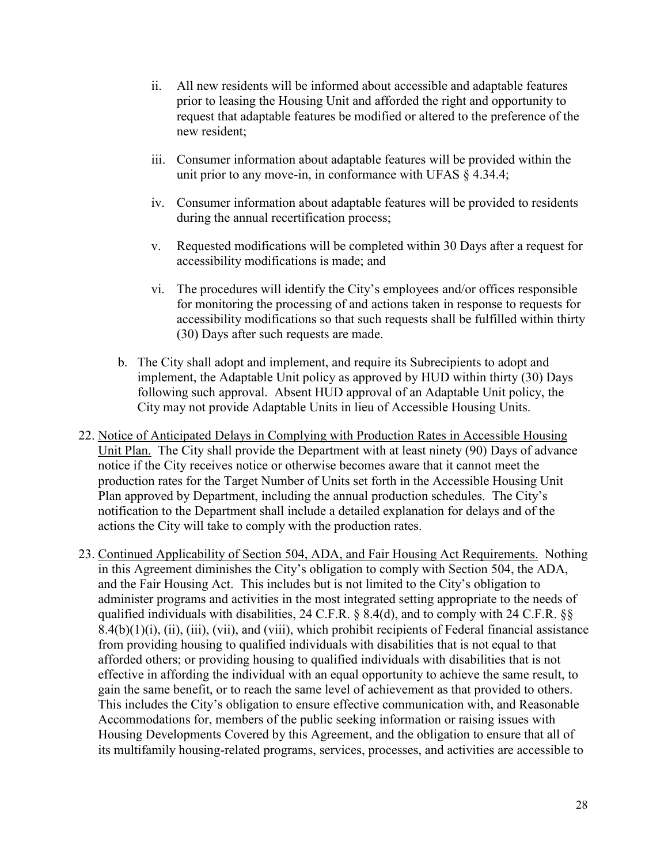- ii. All new residents will be informed about accessible and adaptable features prior to leasing the Housing Unit and afforded the right and opportunity to request that adaptable features be modified or altered to the preference of the new resident;
- iii. Consumer information about adaptable features will be provided within the unit prior to any move-in, in conformance with UFAS § 4.34.4;
- iv. Consumer information about adaptable features will be provided to residents during the annual recertification process;
- v. Requested modifications will be completed within 30 Days after a request for accessibility modifications is made; and
- vi. The procedures will identify the City's employees and/or offices responsible for monitoring the processing of and actions taken in response to requests for accessibility modifications so that such requests shall be fulfilled within thirty (30) Days after such requests are made.
- b. The City shall adopt and implement, and require its Subrecipients to adopt and implement, the Adaptable Unit policy as approved by HUD within thirty (30) Days following such approval. Absent HUD approval of an Adaptable Unit policy, the City may not provide Adaptable Units in lieu of Accessible Housing Units.
- 22. Notice of Anticipated Delays in Complying with Production Rates in Accessible Housing Unit Plan. The City shall provide the Department with at least ninety (90) Days of advance notice if the City receives notice or otherwise becomes aware that it cannot meet the production rates for the Target Number of Units set forth in the Accessible Housing Unit Plan approved by Department, including the annual production schedules. The City's notification to the Department shall include a detailed explanation for delays and of the actions the City will take to comply with the production rates.
- 23. Continued Applicability of Section 504, ADA, and Fair Housing Act Requirements. Nothing in this Agreement diminishes the City's obligation to comply with Section 504, the ADA, and the Fair Housing Act. This includes but is not limited to the City's obligation to administer programs and activities in the most integrated setting appropriate to the needs of qualified individuals with disabilities, 24 C.F.R. § 8.4(d), and to comply with 24 C.F.R. §§ 8.4(b)(1)(i), (ii), (iii), (vii), and (viii), which prohibit recipients of Federal financial assistance from providing housing to qualified individuals with disabilities that is not equal to that afforded others; or providing housing to qualified individuals with disabilities that is not effective in affording the individual with an equal opportunity to achieve the same result, to gain the same benefit, or to reach the same level of achievement as that provided to others. This includes the City's obligation to ensure effective communication with, and Reasonable Accommodations for, members of the public seeking information or raising issues with Housing Developments Covered by this Agreement, and the obligation to ensure that all of its multifamily housing-related programs, services, processes, and activities are accessible to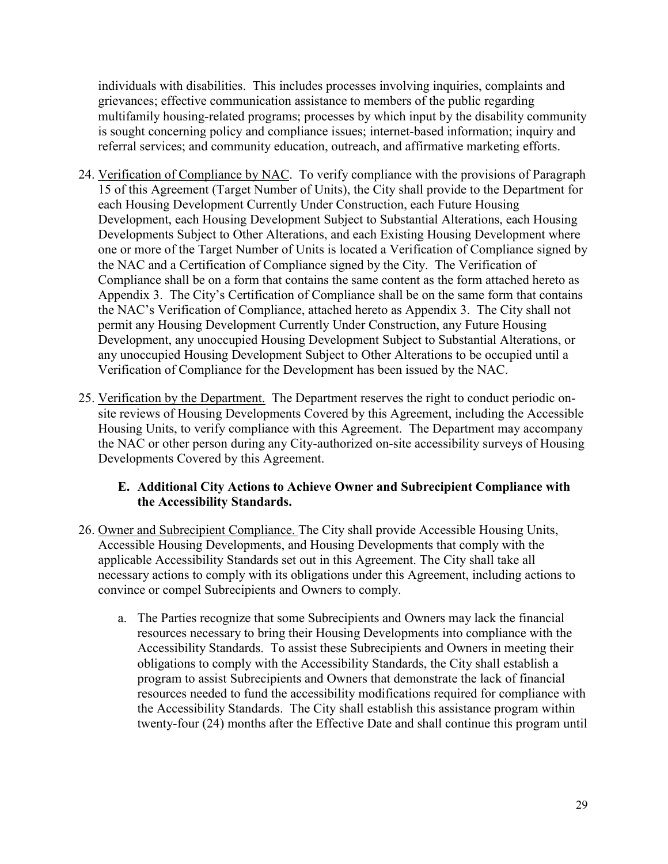individuals with disabilities. This includes processes involving inquiries, complaints and grievances; effective communication assistance to members of the public regarding multifamily housing-related programs; processes by which input by the disability community is sought concerning policy and compliance issues; internet-based information; inquiry and referral services; and community education, outreach, and affirmative marketing efforts.

- 24. Verification of Compliance by NAC. To verify compliance with the provisions of Paragraph 15 of this Agreement (Target Number of Units), the City shall provide to the Department for each Housing Development Currently Under Construction, each Future Housing Development, each Housing Development Subject to Substantial Alterations, each Housing Developments Subject to Other Alterations, and each Existing Housing Development where one or more of the Target Number of Units is located a Verification of Compliance signed by the NAC and a Certification of Compliance signed by the City. The Verification of Compliance shall be on a form that contains the same content as the form attached hereto as Appendix 3. The City's Certification of Compliance shall be on the same form that contains the NAC's Verification of Compliance, attached hereto as Appendix 3. The City shall not permit any Housing Development Currently Under Construction, any Future Housing Development, any unoccupied Housing Development Subject to Substantial Alterations, or any unoccupied Housing Development Subject to Other Alterations to be occupied until a Verification of Compliance for the Development has been issued by the NAC.
- 25. Verification by the Department. The Department reserves the right to conduct periodic onsite reviews of Housing Developments Covered by this Agreement, including the Accessible Housing Units, to verify compliance with this Agreement. The Department may accompany the NAC or other person during any City-authorized on-site accessibility surveys of Housing Developments Covered by this Agreement.

## <span id="page-28-0"></span>**E. Additional City Actions to Achieve Owner and Subrecipient Compliance with the Accessibility Standards.**

- 26. Owner and Subrecipient Compliance. The City shall provide Accessible Housing Units, Accessible Housing Developments, and Housing Developments that comply with the applicable Accessibility Standards set out in this Agreement. The City shall take all necessary actions to comply with its obligations under this Agreement, including actions to convince or compel Subrecipients and Owners to comply.
	- a. The Parties recognize that some Subrecipients and Owners may lack the financial resources necessary to bring their Housing Developments into compliance with the Accessibility Standards. To assist these Subrecipients and Owners in meeting their obligations to comply with the Accessibility Standards, the City shall establish a program to assist Subrecipients and Owners that demonstrate the lack of financial resources needed to fund the accessibility modifications required for compliance with the Accessibility Standards. The City shall establish this assistance program within twenty-four (24) months after the Effective Date and shall continue this program until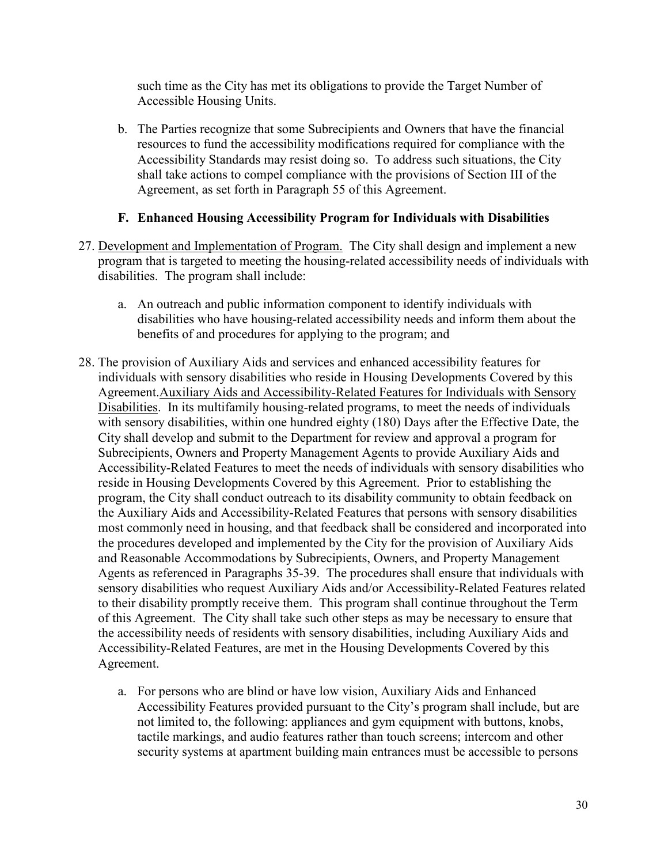such time as the City has met its obligations to provide the Target Number of Accessible Housing Units.

b. The Parties recognize that some Subrecipients and Owners that have the financial resources to fund the accessibility modifications required for compliance with the Accessibility Standards may resist doing so. To address such situations, the City shall take actions to compel compliance with the provisions of Section III of the Agreement, as set forth in Paragraph 55 of this Agreement.

### <span id="page-29-0"></span>**F. Enhanced Housing Accessibility Program for Individuals with Disabilities**

- 27. Development and Implementation of Program. The City shall design and implement a new program that is targeted to meeting the housing-related accessibility needs of individuals with disabilities. The program shall include:
	- a. An outreach and public information component to identify individuals with disabilities who have housing-related accessibility needs and inform them about the benefits of and procedures for applying to the program; and
- 28. The provision of Auxiliary Aids and services and enhanced accessibility features for individuals with sensory disabilities who reside in Housing Developments Covered by this Agreement.Auxiliary Aids and Accessibility-Related Features for Individuals with Sensory Disabilities. In its multifamily housing-related programs, to meet the needs of individuals with sensory disabilities, within one hundred eighty (180) Days after the Effective Date, the City shall develop and submit to the Department for review and approval a program for Subrecipients, Owners and Property Management Agents to provide Auxiliary Aids and Accessibility-Related Features to meet the needs of individuals with sensory disabilities who reside in Housing Developments Covered by this Agreement. Prior to establishing the program, the City shall conduct outreach to its disability community to obtain feedback on the Auxiliary Aids and Accessibility-Related Features that persons with sensory disabilities most commonly need in housing, and that feedback shall be considered and incorporated into the procedures developed and implemented by the City for the provision of Auxiliary Aids and Reasonable Accommodations by Subrecipients, Owners, and Property Management Agents as referenced in Paragraphs 35-39. The procedures shall ensure that individuals with sensory disabilities who request Auxiliary Aids and/or Accessibility-Related Features related to their disability promptly receive them. This program shall continue throughout the Term of this Agreement. The City shall take such other steps as may be necessary to ensure that the accessibility needs of residents with sensory disabilities, including Auxiliary Aids and Accessibility-Related Features, are met in the Housing Developments Covered by this Agreement.
	- a. For persons who are blind or have low vision, Auxiliary Aids and Enhanced Accessibility Features provided pursuant to the City's program shall include, but are not limited to, the following: appliances and gym equipment with buttons, knobs, tactile markings, and audio features rather than touch screens; intercom and other security systems at apartment building main entrances must be accessible to persons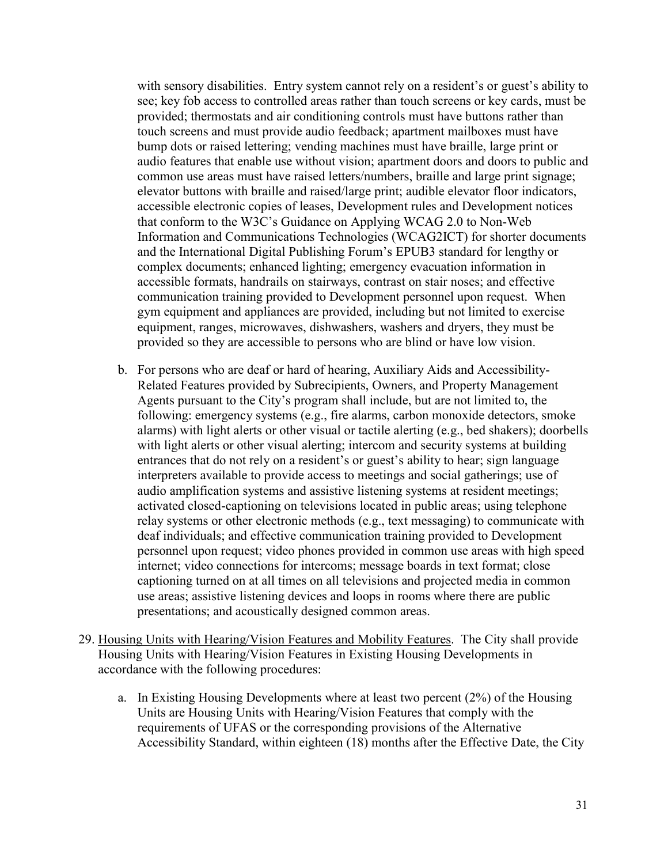with sensory disabilities. Entry system cannot rely on a resident's or guest's ability to see; key fob access to controlled areas rather than touch screens or key cards, must be provided; thermostats and air conditioning controls must have buttons rather than touch screens and must provide audio feedback; apartment mailboxes must have bump dots or raised lettering; vending machines must have braille, large print or audio features that enable use without vision; apartment doors and doors to public and common use areas must have raised letters/numbers, braille and large print signage; elevator buttons with braille and raised/large print; audible elevator floor indicators, accessible electronic copies of leases, Development rules and Development notices that conform to the W3C's Guidance on Applying WCAG 2.0 to Non-Web Information and Communications Technologies (WCAG2ICT) for shorter documents and the International Digital Publishing Forum's EPUB3 standard for lengthy or complex documents; enhanced lighting; emergency evacuation information in accessible formats, handrails on stairways, contrast on stair noses; and effective communication training provided to Development personnel upon request. When gym equipment and appliances are provided, including but not limited to exercise equipment, ranges, microwaves, dishwashers, washers and dryers, they must be provided so they are accessible to persons who are blind or have low vision.

- b. For persons who are deaf or hard of hearing, Auxiliary Aids and Accessibility-Related Features provided by Subrecipients, Owners, and Property Management Agents pursuant to the City's program shall include, but are not limited to, the following: emergency systems (e.g., fire alarms, carbon monoxide detectors, smoke alarms) with light alerts or other visual or tactile alerting (e.g., bed shakers); doorbells with light alerts or other visual alerting; intercom and security systems at building entrances that do not rely on a resident's or guest's ability to hear; sign language interpreters available to provide access to meetings and social gatherings; use of audio amplification systems and assistive listening systems at resident meetings; activated closed-captioning on televisions located in public areas; using telephone relay systems or other electronic methods (e.g., text messaging) to communicate with deaf individuals; and effective communication training provided to Development personnel upon request; video phones provided in common use areas with high speed internet; video connections for intercoms; message boards in text format; close captioning turned on at all times on all televisions and projected media in common use areas; assistive listening devices and loops in rooms where there are public presentations; and acoustically designed common areas.
- 29. Housing Units with Hearing/Vision Features and Mobility Features. The City shall provide Housing Units with Hearing/Vision Features in Existing Housing Developments in accordance with the following procedures:
	- a. In Existing Housing Developments where at least two percent (2%) of the Housing Units are Housing Units with Hearing/Vision Features that comply with the requirements of UFAS or the corresponding provisions of the Alternative Accessibility Standard, within eighteen (18) months after the Effective Date, the City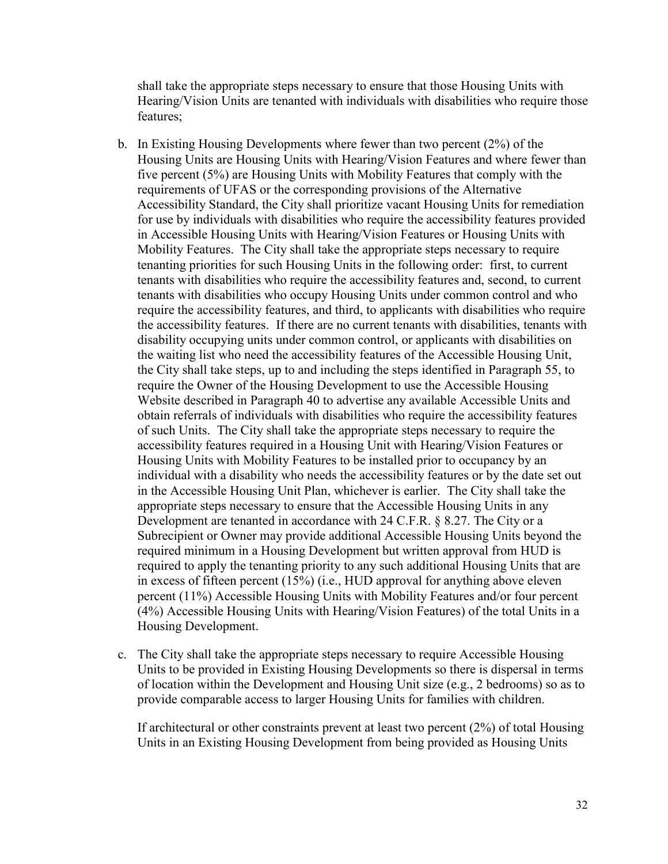shall take the appropriate steps necessary to ensure that those Housing Units with Hearing/Vision Units are tenanted with individuals with disabilities who require those features;

- b. In Existing Housing Developments where fewer than two percent (2%) of the Housing Units are Housing Units with Hearing/Vision Features and where fewer than five percent (5%) are Housing Units with Mobility Features that comply with the requirements of UFAS or the corresponding provisions of the Alternative Accessibility Standard, the City shall prioritize vacant Housing Units for remediation for use by individuals with disabilities who require the accessibility features provided in Accessible Housing Units with Hearing/Vision Features or Housing Units with Mobility Features. The City shall take the appropriate steps necessary to require tenanting priorities for such Housing Units in the following order: first, to current tenants with disabilities who require the accessibility features and, second, to current tenants with disabilities who occupy Housing Units under common control and who require the accessibility features, and third, to applicants with disabilities who require the accessibility features. If there are no current tenants with disabilities, tenants with disability occupying units under common control, or applicants with disabilities on the waiting list who need the accessibility features of the Accessible Housing Unit, the City shall take steps, up to and including the steps identified in Paragraph 55, to require the Owner of the Housing Development to use the Accessible Housing Website described in Paragraph 40 to advertise any available Accessible Units and obtain referrals of individuals with disabilities who require the accessibility features of such Units. The City shall take the appropriate steps necessary to require the accessibility features required in a Housing Unit with Hearing/Vision Features or Housing Units with Mobility Features to be installed prior to occupancy by an individual with a disability who needs the accessibility features or by the date set out in the Accessible Housing Unit Plan, whichever is earlier. The City shall take the appropriate steps necessary to ensure that the Accessible Housing Units in any Development are tenanted in accordance with 24 C.F.R. § 8.27. The City or a Subrecipient or Owner may provide additional Accessible Housing Units beyond the required minimum in a Housing Development but written approval from HUD is required to apply the tenanting priority to any such additional Housing Units that are in excess of fifteen percent (15%) (i.e., HUD approval for anything above eleven percent (11%) Accessible Housing Units with Mobility Features and/or four percent (4%) Accessible Housing Units with Hearing/Vision Features) of the total Units in a Housing Development.
- c. The City shall take the appropriate steps necessary to require Accessible Housing Units to be provided in Existing Housing Developments so there is dispersal in terms of location within the Development and Housing Unit size (e.g., 2 bedrooms) so as to provide comparable access to larger Housing Units for families with children.

If architectural or other constraints prevent at least two percent (2%) of total Housing Units in an Existing Housing Development from being provided as Housing Units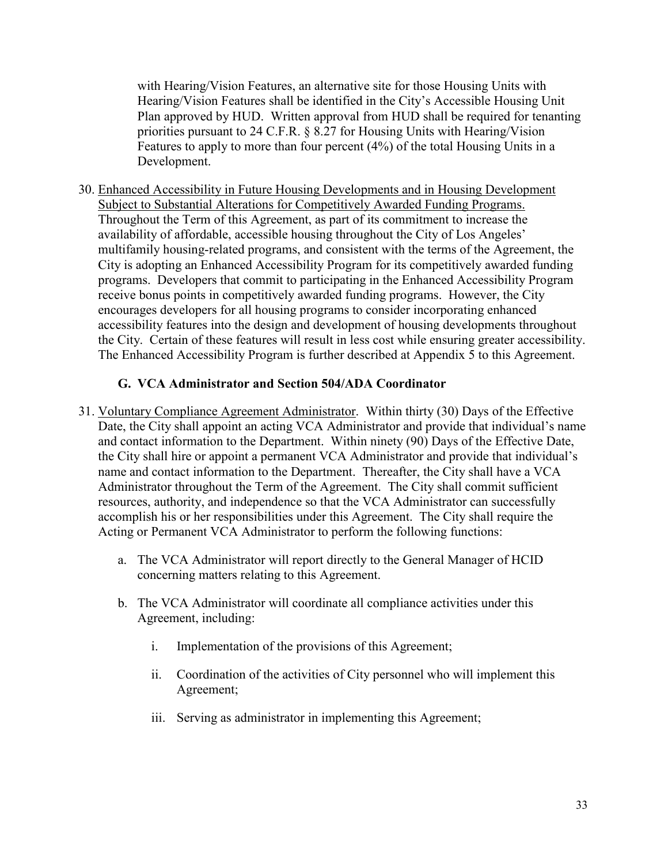with Hearing/Vision Features, an alternative site for those Housing Units with Hearing/Vision Features shall be identified in the City's Accessible Housing Unit Plan approved by HUD. Written approval from HUD shall be required for tenanting priorities pursuant to 24 C.F.R. § 8.27 for Housing Units with Hearing/Vision Features to apply to more than four percent (4%) of the total Housing Units in a Development.

30. Enhanced Accessibility in Future Housing Developments and in Housing Development Subject to Substantial Alterations for Competitively Awarded Funding Programs. Throughout the Term of this Agreement, as part of its commitment to increase the availability of affordable, accessible housing throughout the City of Los Angeles' multifamily housing-related programs, and consistent with the terms of the Agreement, the City is adopting an Enhanced Accessibility Program for its competitively awarded funding programs. Developers that commit to participating in the Enhanced Accessibility Program receive bonus points in competitively awarded funding programs. However, the City encourages developers for all housing programs to consider incorporating enhanced accessibility features into the design and development of housing developments throughout the City. Certain of these features will result in less cost while ensuring greater accessibility. The Enhanced Accessibility Program is further described at Appendix 5 to this Agreement.

## <span id="page-32-0"></span>**G. VCA Administrator and Section 504/ADA Coordinator**

- 31. Voluntary Compliance Agreement Administrator. Within thirty (30) Days of the Effective Date, the City shall appoint an acting VCA Administrator and provide that individual's name and contact information to the Department. Within ninety (90) Days of the Effective Date, the City shall hire or appoint a permanent VCA Administrator and provide that individual's name and contact information to the Department. Thereafter, the City shall have a VCA Administrator throughout the Term of the Agreement. The City shall commit sufficient resources, authority, and independence so that the VCA Administrator can successfully accomplish his or her responsibilities under this Agreement. The City shall require the Acting or Permanent VCA Administrator to perform the following functions:
	- a. The VCA Administrator will report directly to the General Manager of HCID concerning matters relating to this Agreement.
	- b. The VCA Administrator will coordinate all compliance activities under this Agreement, including:
		- i. Implementation of the provisions of this Agreement;
		- ii. Coordination of the activities of City personnel who will implement this Agreement;
		- iii. Serving as administrator in implementing this Agreement;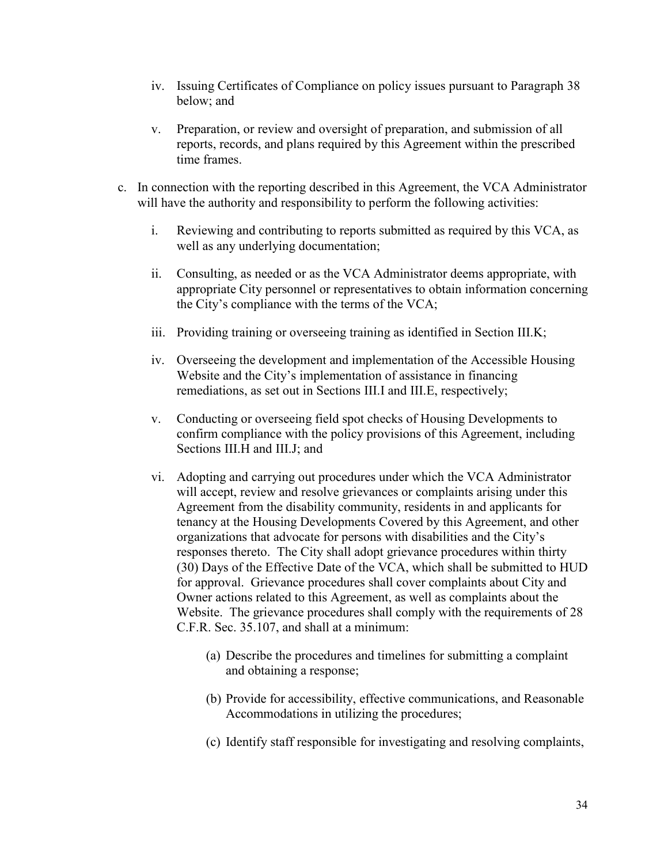- iv. Issuing Certificates of Compliance on policy issues pursuant to Paragraph 38 below; and
- v. Preparation, or review and oversight of preparation, and submission of all reports, records, and plans required by this Agreement within the prescribed time frames.
- c. In connection with the reporting described in this Agreement, the VCA Administrator will have the authority and responsibility to perform the following activities:
	- i. Reviewing and contributing to reports submitted as required by this VCA, as well as any underlying documentation;
	- ii. Consulting, as needed or as the VCA Administrator deems appropriate, with appropriate City personnel or representatives to obtain information concerning the City's compliance with the terms of the VCA;
	- iii. Providing training or overseeing training as identified in Section III.K;
	- iv. Overseeing the development and implementation of the Accessible Housing Website and the City's implementation of assistance in financing remediations, as set out in Sections III.I and III.E, respectively;
	- v. Conducting or overseeing field spot checks of Housing Developments to confirm compliance with the policy provisions of this Agreement, including Sections III.H and III.J; and
	- vi. Adopting and carrying out procedures under which the VCA Administrator will accept, review and resolve grievances or complaints arising under this Agreement from the disability community, residents in and applicants for tenancy at the Housing Developments Covered by this Agreement, and other organizations that advocate for persons with disabilities and the City's responses thereto. The City shall adopt grievance procedures within thirty (30) Days of the Effective Date of the VCA, which shall be submitted to HUD for approval. Grievance procedures shall cover complaints about City and Owner actions related to this Agreement, as well as complaints about the Website. The grievance procedures shall comply with the requirements of 28 C.F.R. Sec. 35.107, and shall at a minimum:
		- (a) Describe the procedures and timelines for submitting a complaint and obtaining a response;
		- (b) Provide for accessibility, effective communications, and Reasonable Accommodations in utilizing the procedures;
		- (c) Identify staff responsible for investigating and resolving complaints,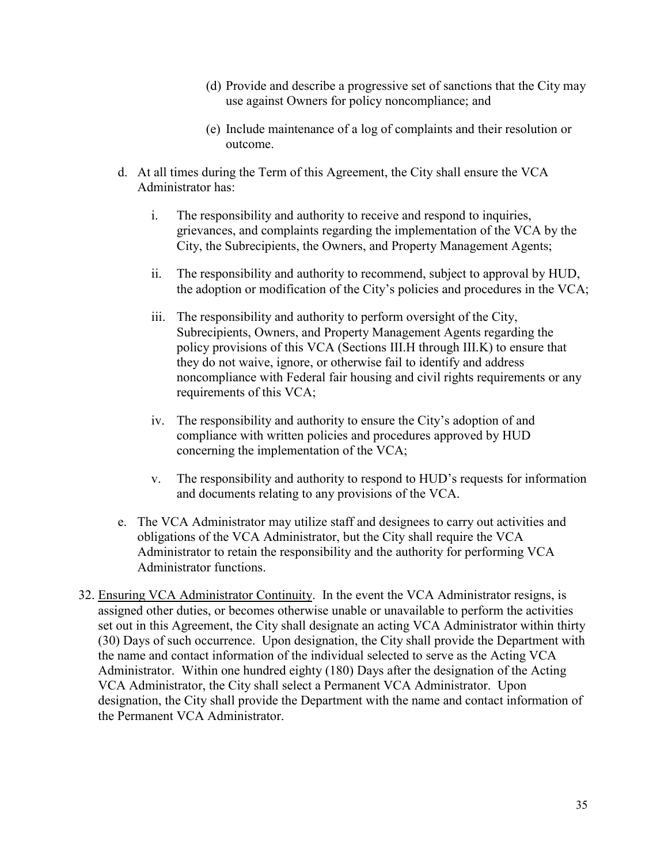- (d) Provide and describe a progressive set of sanctions that the City may use against Owners for policy noncompliance; and
- (e) Include maintenance of a log of complaints and their resolution or outcome.
- d. At all times during the Term of this Agreement, the City shall ensure the VCA Administrator has:
	- i. The responsibility and authority to receive and respond to inquiries, grievances, and complaints regarding the implementation of the VCA by the City, the Subrecipients, the Owners, and Property Management Agents;
	- ii. The responsibility and authority to recommend, subject to approval by HUD, the adoption or modification of the City's policies and procedures in the VCA;
	- iii. The responsibility and authority to perform oversight of the City, Subrecipients, Owners, and Property Management Agents regarding the policy provisions of this VCA (Sections III.H through III.K) to ensure that they do not waive, ignore, or otherwise fail to identify and address noncompliance with Federal fair housing and civil rights requirements or any requirements of this VCA;
	- iv. The responsibility and authority to ensure the City's adoption of and compliance with written policies and procedures approved by HUD concerning the implementation of the VCA;
	- v. The responsibility and authority to respond to HUD's requests for information and documents relating to any provisions of the VCA.
- e. The VCA Administrator may utilize staff and designees to carry out activities and obligations of the VCA Administrator, but the City shall require the VCA Administrator to retain the responsibility and the authority for performing VCA Administrator functions.
- 32. Ensuring VCA Administrator Continuity. In the event the VCA Administrator resigns, is assigned other duties, or becomes otherwise unable or unavailable to perform the activities set out in this Agreement, the City shall designate an acting VCA Administrator within thirty (30) Days of such occurrence. Upon designation, the City shall provide the Department with the name and contact information of the individual selected to serve as the Acting VCA Administrator. Within one hundred eighty (180) Days after the designation of the Acting VCA Administrator, the City shall select a Permanent VCA Administrator. Upon designation, the City shall provide the Department with the name and contact information of the Permanent VCA Administrator.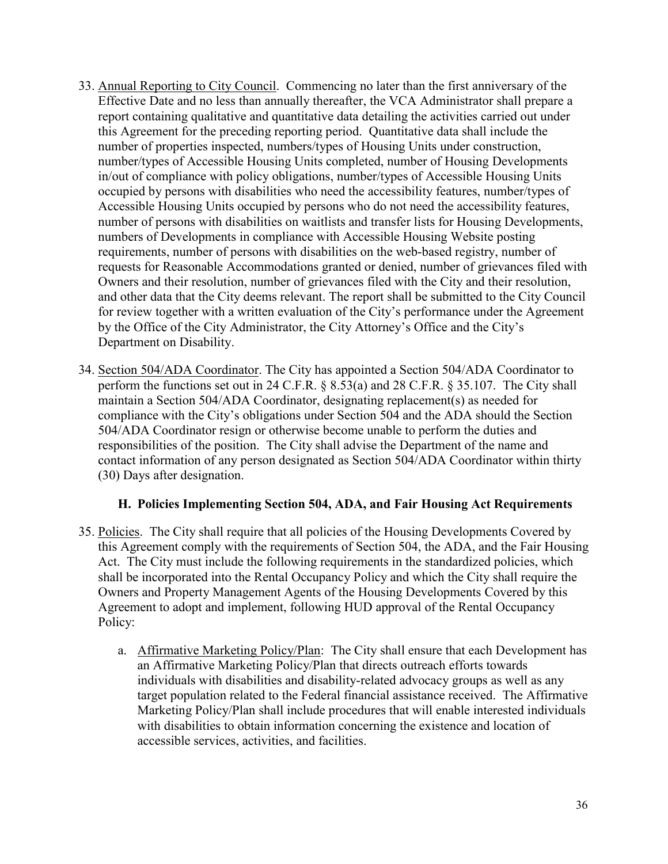- 33. Annual Reporting to City Council. Commencing no later than the first anniversary of the Effective Date and no less than annually thereafter, the VCA Administrator shall prepare a report containing qualitative and quantitative data detailing the activities carried out under this Agreement for the preceding reporting period. Quantitative data shall include the number of properties inspected, numbers/types of Housing Units under construction, number/types of Accessible Housing Units completed, number of Housing Developments in/out of compliance with policy obligations, number/types of Accessible Housing Units occupied by persons with disabilities who need the accessibility features, number/types of Accessible Housing Units occupied by persons who do not need the accessibility features, number of persons with disabilities on waitlists and transfer lists for Housing Developments, numbers of Developments in compliance with Accessible Housing Website posting requirements, number of persons with disabilities on the web-based registry, number of requests for Reasonable Accommodations granted or denied, number of grievances filed with Owners and their resolution, number of grievances filed with the City and their resolution, and other data that the City deems relevant. The report shall be submitted to the City Council for review together with a written evaluation of the City's performance under the Agreement by the Office of the City Administrator, the City Attorney's Office and the City's Department on Disability.
- 34. Section 504/ADA Coordinator. The City has appointed a Section 504/ADA Coordinator to perform the functions set out in 24 C.F.R. § 8.53(a) and 28 C.F.R. § 35.107. The City shall maintain a Section 504/ADA Coordinator, designating replacement(s) as needed for compliance with the City's obligations under Section 504 and the ADA should the Section 504/ADA Coordinator resign or otherwise become unable to perform the duties and responsibilities of the position. The City shall advise the Department of the name and contact information of any person designated as Section 504/ADA Coordinator within thirty (30) Days after designation.

## <span id="page-35-0"></span>**H. Policies Implementing Section 504, ADA, and Fair Housing Act Requirements**

- 35. Policies. The City shall require that all policies of the Housing Developments Covered by this Agreement comply with the requirements of Section 504, the ADA, and the Fair Housing Act. The City must include the following requirements in the standardized policies, which shall be incorporated into the Rental Occupancy Policy and which the City shall require the Owners and Property Management Agents of the Housing Developments Covered by this Agreement to adopt and implement, following HUD approval of the Rental Occupancy Policy:
	- a. Affirmative Marketing Policy/Plan: The City shall ensure that each Development has an Affirmative Marketing Policy/Plan that directs outreach efforts towards individuals with disabilities and disability-related advocacy groups as well as any target population related to the Federal financial assistance received. The Affirmative Marketing Policy/Plan shall include procedures that will enable interested individuals with disabilities to obtain information concerning the existence and location of accessible services, activities, and facilities.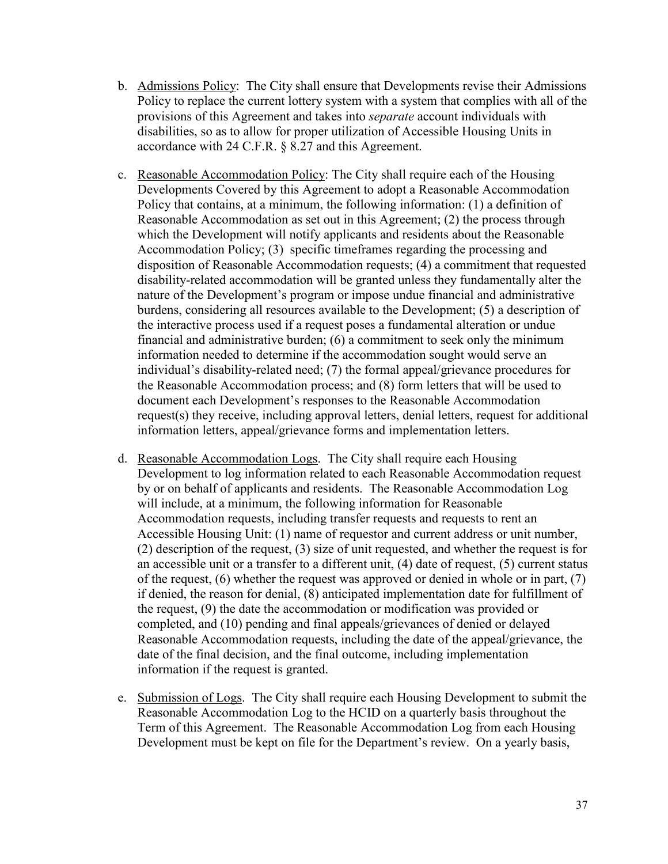- b. Admissions Policy: The City shall ensure that Developments revise their Admissions Policy to replace the current lottery system with a system that complies with all of the provisions of this Agreement and takes into *separate* account individuals with disabilities, so as to allow for proper utilization of Accessible Housing Units in accordance with 24 C.F.R. § 8.27 and this Agreement.
- c. Reasonable Accommodation Policy: The City shall require each of the Housing Developments Covered by this Agreement to adopt a Reasonable Accommodation Policy that contains, at a minimum, the following information: (1) a definition of Reasonable Accommodation as set out in this Agreement; (2) the process through which the Development will notify applicants and residents about the Reasonable Accommodation Policy; (3) specific timeframes regarding the processing and disposition of Reasonable Accommodation requests; (4) a commitment that requested disability-related accommodation will be granted unless they fundamentally alter the nature of the Development's program or impose undue financial and administrative burdens, considering all resources available to the Development; (5) a description of the interactive process used if a request poses a fundamental alteration or undue financial and administrative burden; (6) a commitment to seek only the minimum information needed to determine if the accommodation sought would serve an individual's disability-related need; (7) the formal appeal/grievance procedures for the Reasonable Accommodation process; and (8) form letters that will be used to document each Development's responses to the Reasonable Accommodation request(s) they receive, including approval letters, denial letters, request for additional information letters, appeal/grievance forms and implementation letters.
- d. Reasonable Accommodation Logs. The City shall require each Housing Development to log information related to each Reasonable Accommodation request by or on behalf of applicants and residents. The Reasonable Accommodation Log will include, at a minimum, the following information for Reasonable Accommodation requests, including transfer requests and requests to rent an Accessible Housing Unit: (1) name of requestor and current address or unit number, (2) description of the request, (3) size of unit requested, and whether the request is for an accessible unit or a transfer to a different unit, (4) date of request, (5) current status of the request, (6) whether the request was approved or denied in whole or in part, (7) if denied, the reason for denial, (8) anticipated implementation date for fulfillment of the request, (9) the date the accommodation or modification was provided or completed, and (10) pending and final appeals/grievances of denied or delayed Reasonable Accommodation requests, including the date of the appeal/grievance, the date of the final decision, and the final outcome, including implementation information if the request is granted.
- e. Submission of Logs. The City shall require each Housing Development to submit the Reasonable Accommodation Log to the HCID on a quarterly basis throughout the Term of this Agreement. The Reasonable Accommodation Log from each Housing Development must be kept on file for the Department's review. On a yearly basis,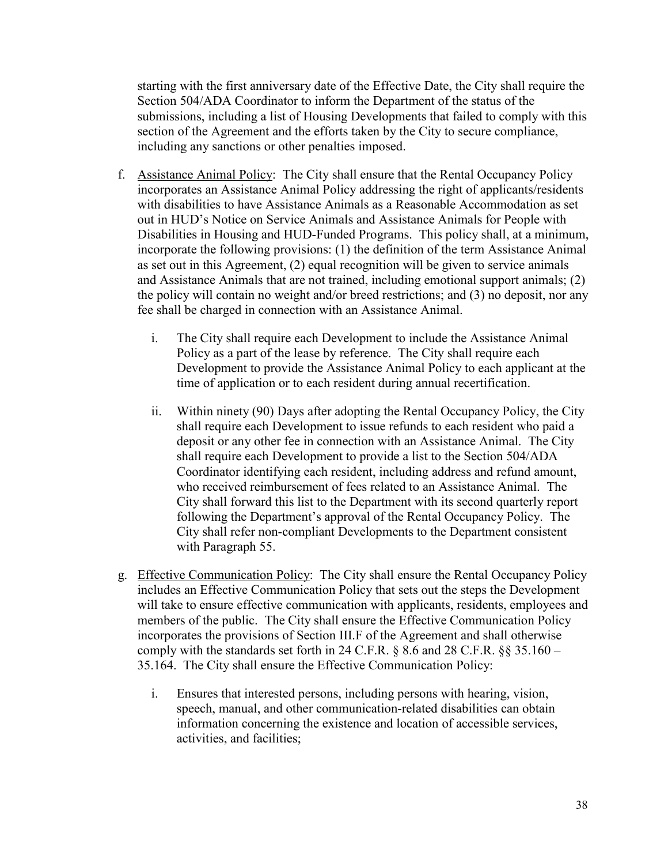starting with the first anniversary date of the Effective Date, the City shall require the Section 504/ADA Coordinator to inform the Department of the status of the submissions, including a list of Housing Developments that failed to comply with this section of the Agreement and the efforts taken by the City to secure compliance, including any sanctions or other penalties imposed.

- f. Assistance Animal Policy: The City shall ensure that the Rental Occupancy Policy incorporates an Assistance Animal Policy addressing the right of applicants/residents with disabilities to have Assistance Animals as a Reasonable Accommodation as set out in HUD's Notice on Service Animals and Assistance Animals for People with Disabilities in Housing and HUD-Funded Programs. This policy shall, at a minimum, incorporate the following provisions: (1) the definition of the term Assistance Animal as set out in this Agreement, (2) equal recognition will be given to service animals and Assistance Animals that are not trained, including emotional support animals; (2) the policy will contain no weight and/or breed restrictions; and (3) no deposit, nor any fee shall be charged in connection with an Assistance Animal.
	- i. The City shall require each Development to include the Assistance Animal Policy as a part of the lease by reference. The City shall require each Development to provide the Assistance Animal Policy to each applicant at the time of application or to each resident during annual recertification.
	- ii. Within ninety (90) Days after adopting the Rental Occupancy Policy, the City shall require each Development to issue refunds to each resident who paid a deposit or any other fee in connection with an Assistance Animal. The City shall require each Development to provide a list to the Section 504/ADA Coordinator identifying each resident, including address and refund amount, who received reimbursement of fees related to an Assistance Animal. The City shall forward this list to the Department with its second quarterly report following the Department's approval of the Rental Occupancy Policy. The City shall refer non-compliant Developments to the Department consistent with Paragraph 55.
- g. Effective Communication Policy: The City shall ensure the Rental Occupancy Policy includes an Effective Communication Policy that sets out the steps the Development will take to ensure effective communication with applicants, residents, employees and members of the public. The City shall ensure the Effective Communication Policy incorporates the provisions of Section III.F of the Agreement and shall otherwise comply with the standards set forth in 24 C.F.R.  $\S 8.6$  and 28 C.F.R.  $\S 35.160 -$ 35.164. The City shall ensure the Effective Communication Policy:
	- i. Ensures that interested persons, including persons with hearing, vision, speech, manual, and other communication-related disabilities can obtain information concerning the existence and location of accessible services, activities, and facilities;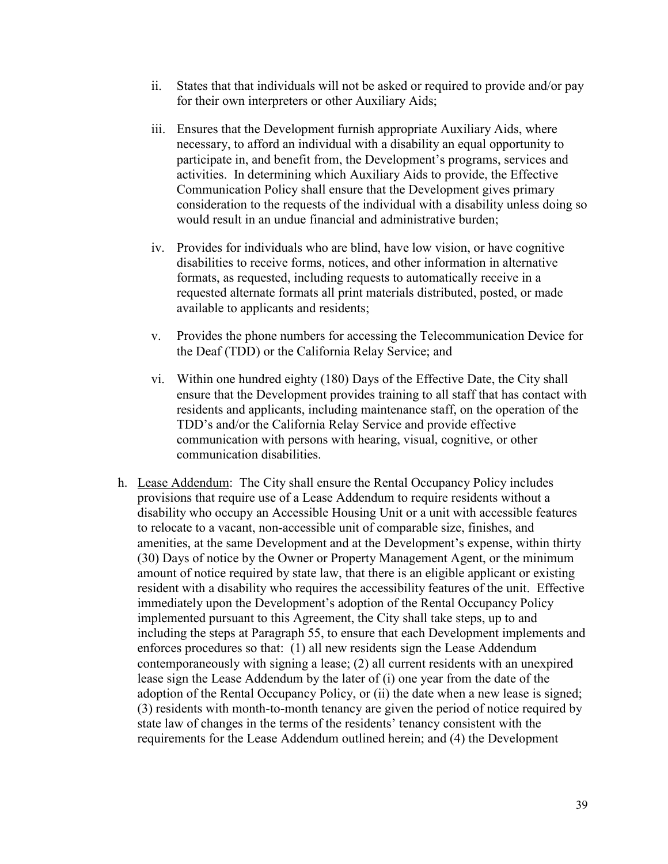- ii. States that that individuals will not be asked or required to provide and/or pay for their own interpreters or other Auxiliary Aids;
- iii. Ensures that the Development furnish appropriate Auxiliary Aids, where necessary, to afford an individual with a disability an equal opportunity to participate in, and benefit from, the Development's programs, services and activities. In determining which Auxiliary Aids to provide, the Effective Communication Policy shall ensure that the Development gives primary consideration to the requests of the individual with a disability unless doing so would result in an undue financial and administrative burden;
- iv. Provides for individuals who are blind, have low vision, or have cognitive disabilities to receive forms, notices, and other information in alternative formats, as requested, including requests to automatically receive in a requested alternate formats all print materials distributed, posted, or made available to applicants and residents;
- v. Provides the phone numbers for accessing the Telecommunication Device for the Deaf (TDD) or the California Relay Service; and
- vi. Within one hundred eighty (180) Days of the Effective Date, the City shall ensure that the Development provides training to all staff that has contact with residents and applicants, including maintenance staff, on the operation of the TDD's and/or the California Relay Service and provide effective communication with persons with hearing, visual, cognitive, or other communication disabilities.
- h. Lease Addendum: The City shall ensure the Rental Occupancy Policy includes provisions that require use of a Lease Addendum to require residents without a disability who occupy an Accessible Housing Unit or a unit with accessible features to relocate to a vacant, non-accessible unit of comparable size, finishes, and amenities, at the same Development and at the Development's expense, within thirty (30) Days of notice by the Owner or Property Management Agent, or the minimum amount of notice required by state law, that there is an eligible applicant or existing resident with a disability who requires the accessibility features of the unit. Effective immediately upon the Development's adoption of the Rental Occupancy Policy implemented pursuant to this Agreement, the City shall take steps, up to and including the steps at Paragraph 55, to ensure that each Development implements and enforces procedures so that: (1) all new residents sign the Lease Addendum contemporaneously with signing a lease; (2) all current residents with an unexpired lease sign the Lease Addendum by the later of (i) one year from the date of the adoption of the Rental Occupancy Policy, or (ii) the date when a new lease is signed; (3) residents with month-to-month tenancy are given the period of notice required by state law of changes in the terms of the residents' tenancy consistent with the requirements for the Lease Addendum outlined herein; and (4) the Development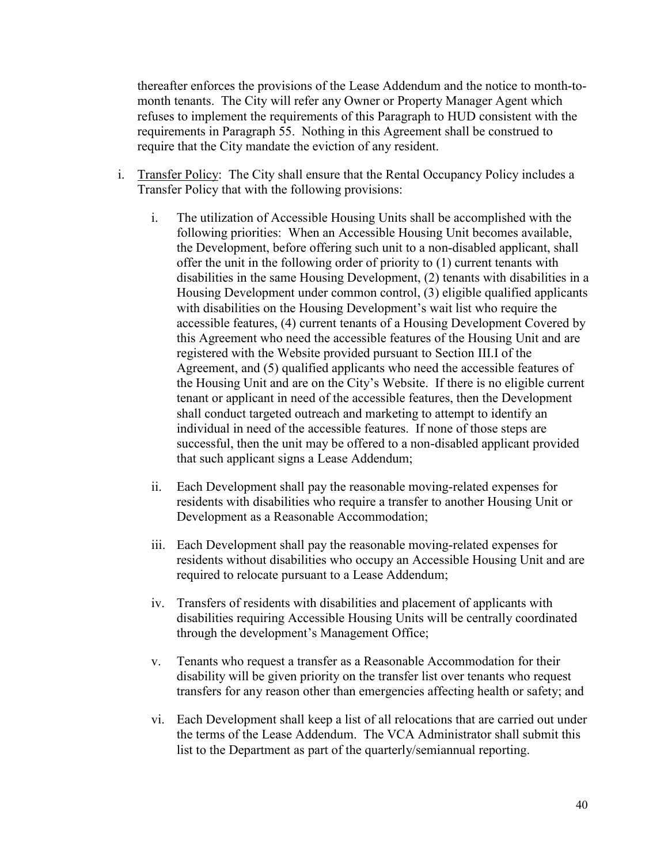thereafter enforces the provisions of the Lease Addendum and the notice to month-tomonth tenants. The City will refer any Owner or Property Manager Agent which refuses to implement the requirements of this Paragraph to HUD consistent with the requirements in Paragraph 55. Nothing in this Agreement shall be construed to require that the City mandate the eviction of any resident.

- i. Transfer Policy: The City shall ensure that the Rental Occupancy Policy includes a Transfer Policy that with the following provisions:
	- i. The utilization of Accessible Housing Units shall be accomplished with the following priorities: When an Accessible Housing Unit becomes available, the Development, before offering such unit to a non-disabled applicant, shall offer the unit in the following order of priority to (1) current tenants with disabilities in the same Housing Development, (2) tenants with disabilities in a Housing Development under common control, (3) eligible qualified applicants with disabilities on the Housing Development's wait list who require the accessible features, (4) current tenants of a Housing Development Covered by this Agreement who need the accessible features of the Housing Unit and are registered with the Website provided pursuant to Section III.I of the Agreement, and (5) qualified applicants who need the accessible features of the Housing Unit and are on the City's Website. If there is no eligible current tenant or applicant in need of the accessible features, then the Development shall conduct targeted outreach and marketing to attempt to identify an individual in need of the accessible features. If none of those steps are successful, then the unit may be offered to a non-disabled applicant provided that such applicant signs a Lease Addendum;
	- ii. Each Development shall pay the reasonable moving-related expenses for residents with disabilities who require a transfer to another Housing Unit or Development as a Reasonable Accommodation;
	- iii. Each Development shall pay the reasonable moving-related expenses for residents without disabilities who occupy an Accessible Housing Unit and are required to relocate pursuant to a Lease Addendum;
	- iv. Transfers of residents with disabilities and placement of applicants with disabilities requiring Accessible Housing Units will be centrally coordinated through the development's Management Office;
	- v. Tenants who request a transfer as a Reasonable Accommodation for their disability will be given priority on the transfer list over tenants who request transfers for any reason other than emergencies affecting health or safety; and
	- vi. Each Development shall keep a list of all relocations that are carried out under the terms of the Lease Addendum. The VCA Administrator shall submit this list to the Department as part of the quarterly/semiannual reporting.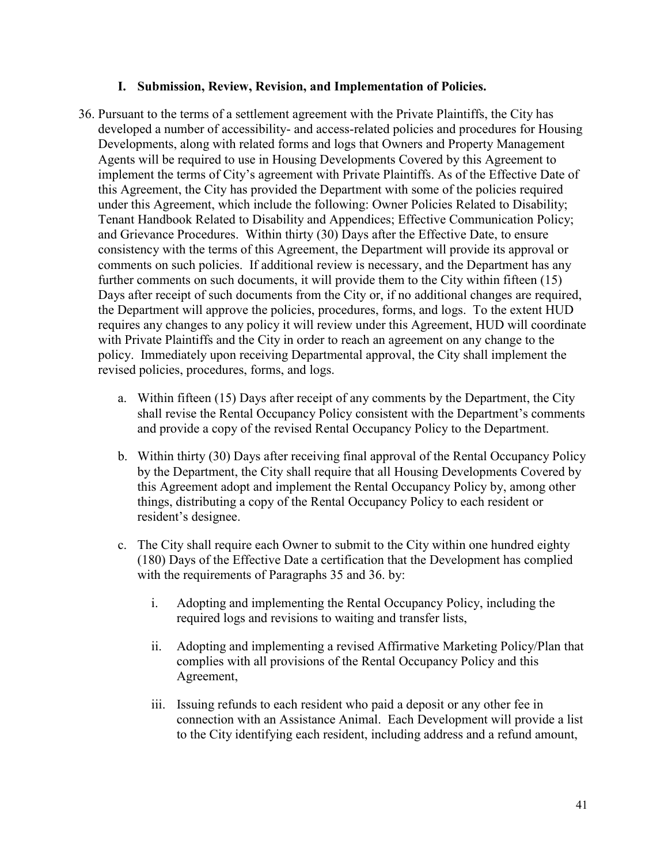#### <span id="page-40-0"></span>**I. Submission, Review, Revision, and Implementation of Policies.**

- 36. Pursuant to the terms of a settlement agreement with the Private Plaintiffs, the City has developed a number of accessibility- and access-related policies and procedures for Housing Developments, along with related forms and logs that Owners and Property Management Agents will be required to use in Housing Developments Covered by this Agreement to implement the terms of City's agreement with Private Plaintiffs. As of the Effective Date of this Agreement, the City has provided the Department with some of the policies required under this Agreement, which include the following: Owner Policies Related to Disability; Tenant Handbook Related to Disability and Appendices; Effective Communication Policy; and Grievance Procedures. Within thirty (30) Days after the Effective Date, to ensure consistency with the terms of this Agreement, the Department will provide its approval or comments on such policies. If additional review is necessary, and the Department has any further comments on such documents, it will provide them to the City within fifteen (15) Days after receipt of such documents from the City or, if no additional changes are required, the Department will approve the policies, procedures, forms, and logs. To the extent HUD requires any changes to any policy it will review under this Agreement, HUD will coordinate with Private Plaintiffs and the City in order to reach an agreement on any change to the policy. Immediately upon receiving Departmental approval, the City shall implement the revised policies, procedures, forms, and logs.
	- a. Within fifteen (15) Days after receipt of any comments by the Department, the City shall revise the Rental Occupancy Policy consistent with the Department's comments and provide a copy of the revised Rental Occupancy Policy to the Department.
	- b. Within thirty (30) Days after receiving final approval of the Rental Occupancy Policy by the Department, the City shall require that all Housing Developments Covered by this Agreement adopt and implement the Rental Occupancy Policy by, among other things, distributing a copy of the Rental Occupancy Policy to each resident or resident's designee.
	- c. The City shall require each Owner to submit to the City within one hundred eighty (180) Days of the Effective Date a certification that the Development has complied with the requirements of Paragraphs 35 and 36. by:
		- i. Adopting and implementing the Rental Occupancy Policy, including the required logs and revisions to waiting and transfer lists,
		- ii. Adopting and implementing a revised Affirmative Marketing Policy/Plan that complies with all provisions of the Rental Occupancy Policy and this Agreement,
		- iii. Issuing refunds to each resident who paid a deposit or any other fee in connection with an Assistance Animal. Each Development will provide a list to the City identifying each resident, including address and a refund amount,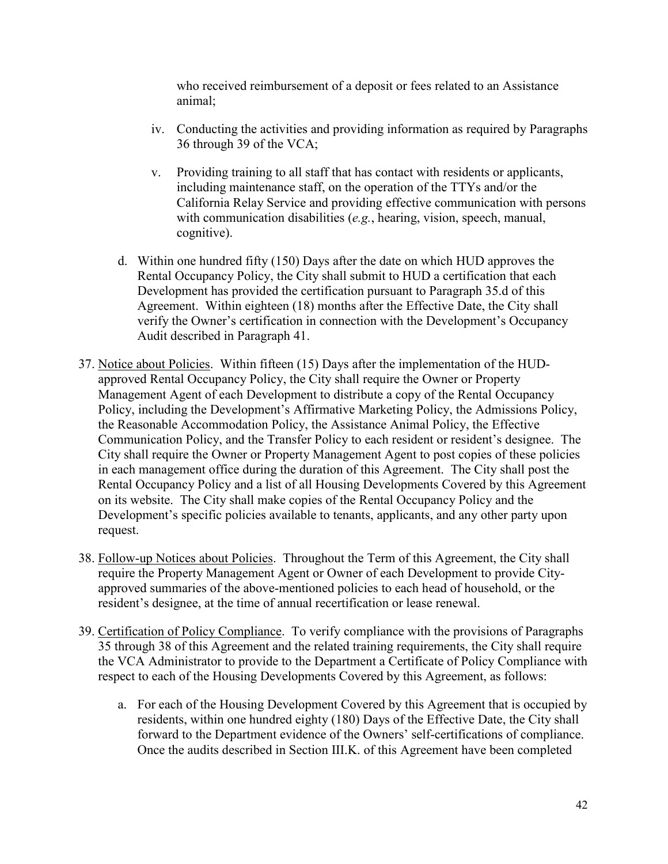who received reimbursement of a deposit or fees related to an Assistance animal;

- iv. Conducting the activities and providing information as required by Paragraphs 36 through 39 of the VCA;
- v. Providing training to all staff that has contact with residents or applicants, including maintenance staff, on the operation of the TTYs and/or the California Relay Service and providing effective communication with persons with communication disabilities (*e.g.*, hearing, vision, speech, manual, cognitive).
- d. Within one hundred fifty (150) Days after the date on which HUD approves the Rental Occupancy Policy, the City shall submit to HUD a certification that each Development has provided the certification pursuant to Paragraph 35.d of this Agreement. Within eighteen (18) months after the Effective Date, the City shall verify the Owner's certification in connection with the Development's Occupancy Audit described in Paragraph 41.
- 37. Notice about Policies. Within fifteen (15) Days after the implementation of the HUDapproved Rental Occupancy Policy, the City shall require the Owner or Property Management Agent of each Development to distribute a copy of the Rental Occupancy Policy, including the Development's Affirmative Marketing Policy, the Admissions Policy, the Reasonable Accommodation Policy, the Assistance Animal Policy, the Effective Communication Policy, and the Transfer Policy to each resident or resident's designee. The City shall require the Owner or Property Management Agent to post copies of these policies in each management office during the duration of this Agreement. The City shall post the Rental Occupancy Policy and a list of all Housing Developments Covered by this Agreement on its website. The City shall make copies of the Rental Occupancy Policy and the Development's specific policies available to tenants, applicants, and any other party upon request.
- 38. Follow-up Notices about Policies. Throughout the Term of this Agreement, the City shall require the Property Management Agent or Owner of each Development to provide Cityapproved summaries of the above-mentioned policies to each head of household, or the resident's designee, at the time of annual recertification or lease renewal.
- 39. Certification of Policy Compliance. To verify compliance with the provisions of Paragraphs 35 through 38 of this Agreement and the related training requirements, the City shall require the VCA Administrator to provide to the Department a Certificate of Policy Compliance with respect to each of the Housing Developments Covered by this Agreement, as follows:
	- a. For each of the Housing Development Covered by this Agreement that is occupied by residents, within one hundred eighty (180) Days of the Effective Date, the City shall forward to the Department evidence of the Owners' self-certifications of compliance. Once the audits described in Section III.K. of this Agreement have been completed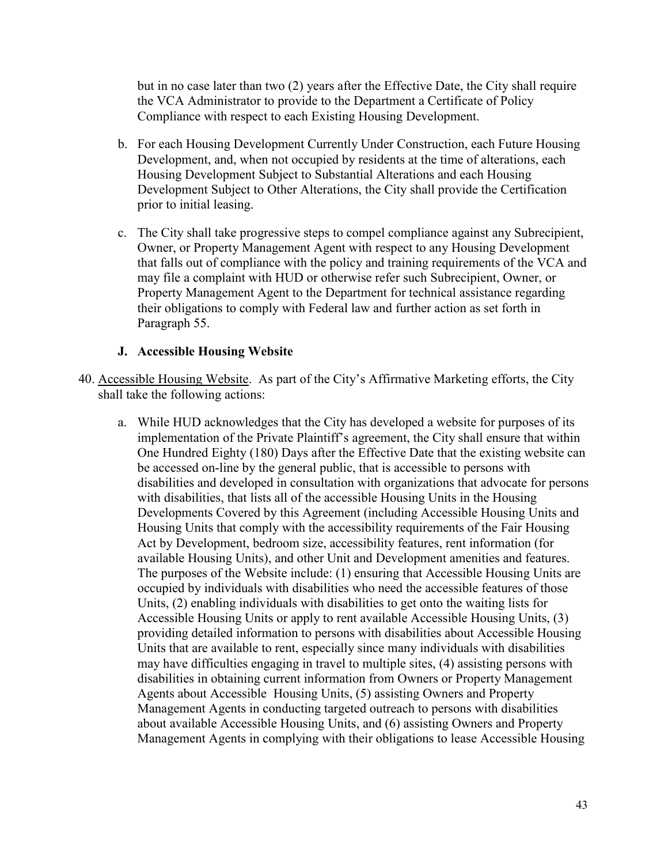but in no case later than two (2) years after the Effective Date, the City shall require the VCA Administrator to provide to the Department a Certificate of Policy Compliance with respect to each Existing Housing Development.

- b. For each Housing Development Currently Under Construction, each Future Housing Development, and, when not occupied by residents at the time of alterations, each Housing Development Subject to Substantial Alterations and each Housing Development Subject to Other Alterations, the City shall provide the Certification prior to initial leasing.
- c. The City shall take progressive steps to compel compliance against any Subrecipient, Owner, or Property Management Agent with respect to any Housing Development that falls out of compliance with the policy and training requirements of the VCA and may file a complaint with HUD or otherwise refer such Subrecipient, Owner, or Property Management Agent to the Department for technical assistance regarding their obligations to comply with Federal law and further action as set forth in Paragraph 55.

### <span id="page-42-0"></span>**J. Accessible Housing Website**

40. Accessible Housing Website. As part of the City's Affirmative Marketing efforts, the City shall take the following actions:

a. While HUD acknowledges that the City has developed a website for purposes of its implementation of the Private Plaintiff's agreement, the City shall ensure that within One Hundred Eighty (180) Days after the Effective Date that the existing website can be accessed on-line by the general public, that is accessible to persons with disabilities and developed in consultation with organizations that advocate for persons with disabilities, that lists all of the accessible Housing Units in the Housing Developments Covered by this Agreement (including Accessible Housing Units and Housing Units that comply with the accessibility requirements of the Fair Housing Act by Development, bedroom size, accessibility features, rent information (for available Housing Units), and other Unit and Development amenities and features. The purposes of the Website include: (1) ensuring that Accessible Housing Units are occupied by individuals with disabilities who need the accessible features of those Units, (2) enabling individuals with disabilities to get onto the waiting lists for Accessible Housing Units or apply to rent available Accessible Housing Units, (3) providing detailed information to persons with disabilities about Accessible Housing Units that are available to rent, especially since many individuals with disabilities may have difficulties engaging in travel to multiple sites, (4) assisting persons with disabilities in obtaining current information from Owners or Property Management Agents about Accessible Housing Units, (5) assisting Owners and Property Management Agents in conducting targeted outreach to persons with disabilities about available Accessible Housing Units, and (6) assisting Owners and Property Management Agents in complying with their obligations to lease Accessible Housing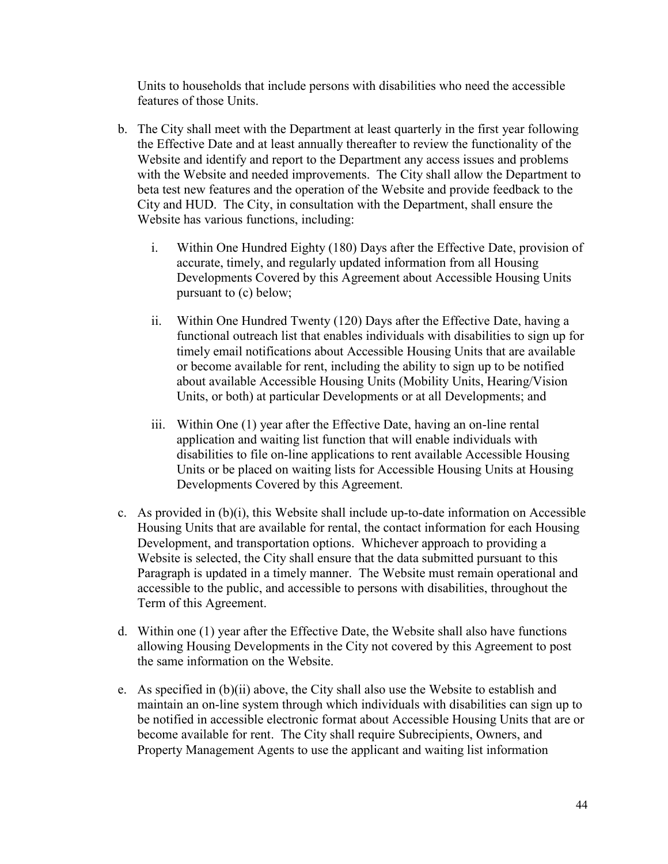Units to households that include persons with disabilities who need the accessible features of those Units.

- b. The City shall meet with the Department at least quarterly in the first year following the Effective Date and at least annually thereafter to review the functionality of the Website and identify and report to the Department any access issues and problems with the Website and needed improvements. The City shall allow the Department to beta test new features and the operation of the Website and provide feedback to the City and HUD. The City, in consultation with the Department, shall ensure the Website has various functions, including:
	- i. Within One Hundred Eighty (180) Days after the Effective Date, provision of accurate, timely, and regularly updated information from all Housing Developments Covered by this Agreement about Accessible Housing Units pursuant to (c) below;
	- ii. Within One Hundred Twenty (120) Days after the Effective Date, having a functional outreach list that enables individuals with disabilities to sign up for timely email notifications about Accessible Housing Units that are available or become available for rent, including the ability to sign up to be notified about available Accessible Housing Units (Mobility Units, Hearing/Vision Units, or both) at particular Developments or at all Developments; and
	- iii. Within One (1) year after the Effective Date, having an on-line rental application and waiting list function that will enable individuals with disabilities to file on-line applications to rent available Accessible Housing Units or be placed on waiting lists for Accessible Housing Units at Housing Developments Covered by this Agreement.
- c. As provided in (b)(i), this Website shall include up-to-date information on Accessible Housing Units that are available for rental, the contact information for each Housing Development, and transportation options. Whichever approach to providing a Website is selected, the City shall ensure that the data submitted pursuant to this Paragraph is updated in a timely manner. The Website must remain operational and accessible to the public, and accessible to persons with disabilities, throughout the Term of this Agreement.
- d. Within one (1) year after the Effective Date, the Website shall also have functions allowing Housing Developments in the City not covered by this Agreement to post the same information on the Website.
- e. As specified in (b)(ii) above, the City shall also use the Website to establish and maintain an on-line system through which individuals with disabilities can sign up to be notified in accessible electronic format about Accessible Housing Units that are or become available for rent. The City shall require Subrecipients, Owners, and Property Management Agents to use the applicant and waiting list information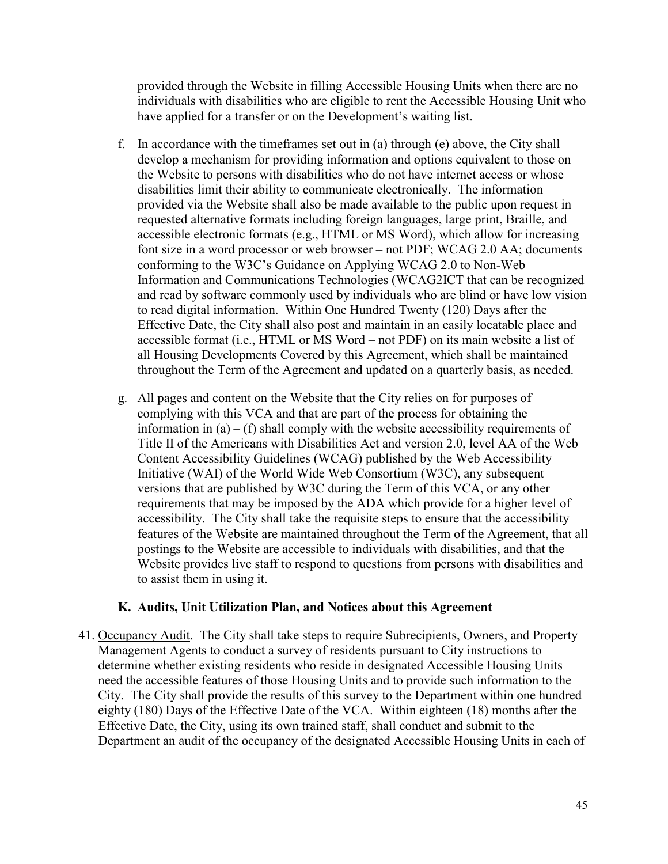provided through the Website in filling Accessible Housing Units when there are no individuals with disabilities who are eligible to rent the Accessible Housing Unit who have applied for a transfer or on the Development's waiting list.

- f. In accordance with the timeframes set out in (a) through (e) above, the City shall develop a mechanism for providing information and options equivalent to those on the Website to persons with disabilities who do not have internet access or whose disabilities limit their ability to communicate electronically. The information provided via the Website shall also be made available to the public upon request in requested alternative formats including foreign languages, large print, Braille, and accessible electronic formats (e.g., HTML or MS Word), which allow for increasing font size in a word processor or web browser – not PDF; WCAG 2.0 AA; documents conforming to the W3C's Guidance on Applying WCAG 2.0 to Non-Web Information and Communications Technologies (WCAG2ICT that can be recognized and read by software commonly used by individuals who are blind or have low vision to read digital information. Within One Hundred Twenty (120) Days after the Effective Date, the City shall also post and maintain in an easily locatable place and accessible format (i.e., HTML or MS Word – not PDF) on its main website a list of all Housing Developments Covered by this Agreement, which shall be maintained throughout the Term of the Agreement and updated on a quarterly basis, as needed.
- g. All pages and content on the Website that the City relies on for purposes of complying with this VCA and that are part of the process for obtaining the information in  $(a) - (f)$  shall comply with the website accessibility requirements of Title II of the Americans with Disabilities Act and version 2.0, level AA of the Web Content Accessibility Guidelines (WCAG) published by the Web Accessibility Initiative (WAI) of the World Wide Web Consortium (W3C), any subsequent versions that are published by W3C during the Term of this VCA, or any other requirements that may be imposed by the ADA which provide for a higher level of accessibility. The City shall take the requisite steps to ensure that the accessibility features of the Website are maintained throughout the Term of the Agreement, that all postings to the Website are accessible to individuals with disabilities, and that the Website provides live staff to respond to questions from persons with disabilities and to assist them in using it.

#### <span id="page-44-0"></span>**K. Audits, Unit Utilization Plan, and Notices about this Agreement**

41. Occupancy Audit. The City shall take steps to require Subrecipients, Owners, and Property Management Agents to conduct a survey of residents pursuant to City instructions to determine whether existing residents who reside in designated Accessible Housing Units need the accessible features of those Housing Units and to provide such information to the City. The City shall provide the results of this survey to the Department within one hundred eighty (180) Days of the Effective Date of the VCA. Within eighteen (18) months after the Effective Date, the City, using its own trained staff, shall conduct and submit to the Department an audit of the occupancy of the designated Accessible Housing Units in each of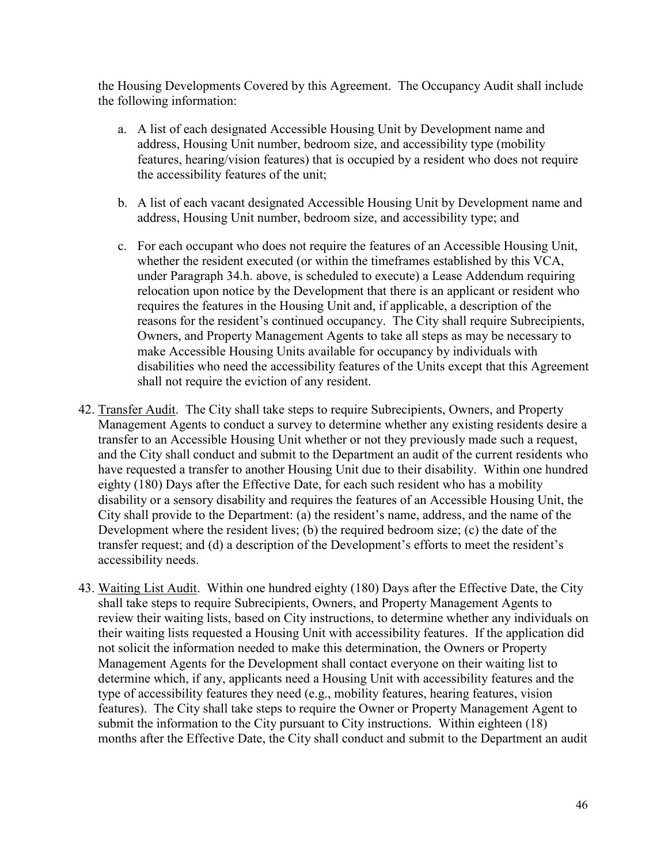the Housing Developments Covered by this Agreement. The Occupancy Audit shall include the following information:

- a. A list of each designated Accessible Housing Unit by Development name and address, Housing Unit number, bedroom size, and accessibility type (mobility features, hearing/vision features) that is occupied by a resident who does not require the accessibility features of the unit;
- b. A list of each vacant designated Accessible Housing Unit by Development name and address, Housing Unit number, bedroom size, and accessibility type; and
- c. For each occupant who does not require the features of an Accessible Housing Unit, whether the resident executed (or within the timeframes established by this VCA, under Paragraph 34.h. above, is scheduled to execute) a Lease Addendum requiring relocation upon notice by the Development that there is an applicant or resident who requires the features in the Housing Unit and, if applicable, a description of the reasons for the resident's continued occupancy. The City shall require Subrecipients, Owners, and Property Management Agents to take all steps as may be necessary to make Accessible Housing Units available for occupancy by individuals with disabilities who need the accessibility features of the Units except that this Agreement shall not require the eviction of any resident.
- 42. Transfer Audit. The City shall take steps to require Subrecipients, Owners, and Property Management Agents to conduct a survey to determine whether any existing residents desire a transfer to an Accessible Housing Unit whether or not they previously made such a request, and the City shall conduct and submit to the Department an audit of the current residents who have requested a transfer to another Housing Unit due to their disability. Within one hundred eighty (180) Days after the Effective Date, for each such resident who has a mobility disability or a sensory disability and requires the features of an Accessible Housing Unit, the City shall provide to the Department: (a) the resident's name, address, and the name of the Development where the resident lives; (b) the required bedroom size; (c) the date of the transfer request; and (d) a description of the Development's efforts to meet the resident's accessibility needs.
- 43. Waiting List Audit. Within one hundred eighty (180) Days after the Effective Date, the City shall take steps to require Subrecipients, Owners, and Property Management Agents to review their waiting lists, based on City instructions, to determine whether any individuals on their waiting lists requested a Housing Unit with accessibility features. If the application did not solicit the information needed to make this determination, the Owners or Property Management Agents for the Development shall contact everyone on their waiting list to determine which, if any, applicants need a Housing Unit with accessibility features and the type of accessibility features they need (e.g., mobility features, hearing features, vision features). The City shall take steps to require the Owner or Property Management Agent to submit the information to the City pursuant to City instructions. Within eighteen (18) months after the Effective Date, the City shall conduct and submit to the Department an audit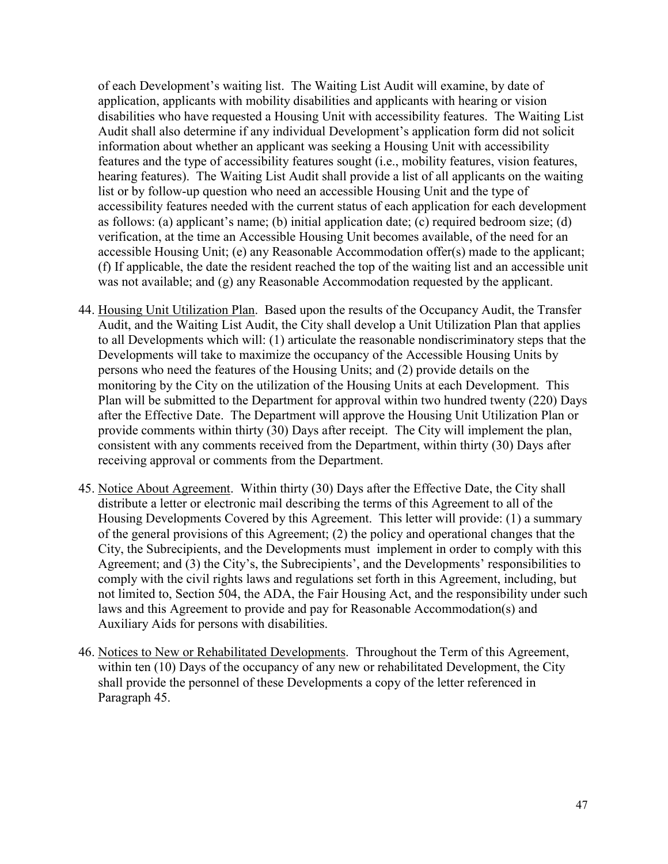of each Development's waiting list. The Waiting List Audit will examine, by date of application, applicants with mobility disabilities and applicants with hearing or vision disabilities who have requested a Housing Unit with accessibility features. The Waiting List Audit shall also determine if any individual Development's application form did not solicit information about whether an applicant was seeking a Housing Unit with accessibility features and the type of accessibility features sought (i.e., mobility features, vision features, hearing features). The Waiting List Audit shall provide a list of all applicants on the waiting list or by follow-up question who need an accessible Housing Unit and the type of accessibility features needed with the current status of each application for each development as follows: (a) applicant's name; (b) initial application date; (c) required bedroom size; (d) verification, at the time an Accessible Housing Unit becomes available, of the need for an accessible Housing Unit; (e) any Reasonable Accommodation offer(s) made to the applicant; (f) If applicable, the date the resident reached the top of the waiting list and an accessible unit was not available; and (g) any Reasonable Accommodation requested by the applicant.

- 44. Housing Unit Utilization Plan. Based upon the results of the Occupancy Audit, the Transfer Audit, and the Waiting List Audit, the City shall develop a Unit Utilization Plan that applies to all Developments which will: (1) articulate the reasonable nondiscriminatory steps that the Developments will take to maximize the occupancy of the Accessible Housing Units by persons who need the features of the Housing Units; and (2) provide details on the monitoring by the City on the utilization of the Housing Units at each Development. This Plan will be submitted to the Department for approval within two hundred twenty (220) Days after the Effective Date. The Department will approve the Housing Unit Utilization Plan or provide comments within thirty (30) Days after receipt. The City will implement the plan, consistent with any comments received from the Department, within thirty (30) Days after receiving approval or comments from the Department.
- 45. Notice About Agreement. Within thirty (30) Days after the Effective Date, the City shall distribute a letter or electronic mail describing the terms of this Agreement to all of the Housing Developments Covered by this Agreement. This letter will provide: (1) a summary of the general provisions of this Agreement; (2) the policy and operational changes that the City, the Subrecipients, and the Developments must implement in order to comply with this Agreement; and (3) the City's, the Subrecipients', and the Developments' responsibilities to comply with the civil rights laws and regulations set forth in this Agreement, including, but not limited to, Section 504, the ADA, the Fair Housing Act, and the responsibility under such laws and this Agreement to provide and pay for Reasonable Accommodation(s) and Auxiliary Aids for persons with disabilities.
- 46. Notices to New or Rehabilitated Developments. Throughout the Term of this Agreement, within ten (10) Days of the occupancy of any new or rehabilitated Development, the City shall provide the personnel of these Developments a copy of the letter referenced in Paragraph 45.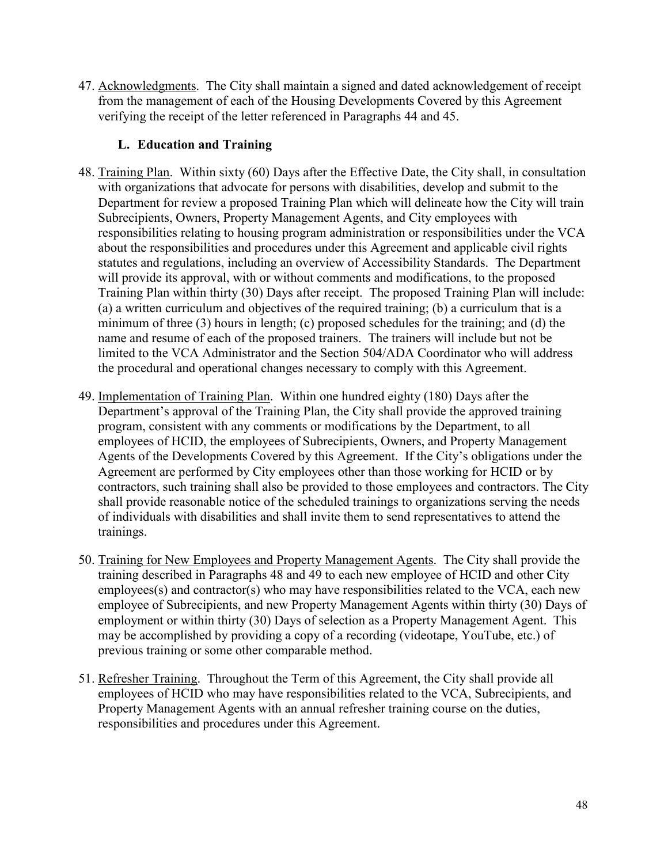47. Acknowledgments. The City shall maintain a signed and dated acknowledgement of receipt from the management of each of the Housing Developments Covered by this Agreement verifying the receipt of the letter referenced in Paragraphs 44 and 45.

## <span id="page-47-0"></span>**L. Education and Training**

- 48. Training Plan. Within sixty (60) Days after the Effective Date, the City shall, in consultation with organizations that advocate for persons with disabilities, develop and submit to the Department for review a proposed Training Plan which will delineate how the City will train Subrecipients, Owners, Property Management Agents, and City employees with responsibilities relating to housing program administration or responsibilities under the VCA about the responsibilities and procedures under this Agreement and applicable civil rights statutes and regulations, including an overview of Accessibility Standards. The Department will provide its approval, with or without comments and modifications, to the proposed Training Plan within thirty (30) Days after receipt. The proposed Training Plan will include: (a) a written curriculum and objectives of the required training; (b) a curriculum that is a minimum of three (3) hours in length; (c) proposed schedules for the training; and (d) the name and resume of each of the proposed trainers. The trainers will include but not be limited to the VCA Administrator and the Section 504/ADA Coordinator who will address the procedural and operational changes necessary to comply with this Agreement.
- 49. Implementation of Training Plan. Within one hundred eighty (180) Days after the Department's approval of the Training Plan, the City shall provide the approved training program, consistent with any comments or modifications by the Department, to all employees of HCID, the employees of Subrecipients, Owners, and Property Management Agents of the Developments Covered by this Agreement. If the City's obligations under the Agreement are performed by City employees other than those working for HCID or by contractors, such training shall also be provided to those employees and contractors. The City shall provide reasonable notice of the scheduled trainings to organizations serving the needs of individuals with disabilities and shall invite them to send representatives to attend the trainings.
- 50. Training for New Employees and Property Management Agents. The City shall provide the training described in Paragraphs 48 and 49 to each new employee of HCID and other City employees(s) and contractor(s) who may have responsibilities related to the VCA, each new employee of Subrecipients, and new Property Management Agents within thirty (30) Days of employment or within thirty (30) Days of selection as a Property Management Agent. This may be accomplished by providing a copy of a recording (videotape, YouTube, etc.) of previous training or some other comparable method.
- 51. Refresher Training. Throughout the Term of this Agreement, the City shall provide all employees of HCID who may have responsibilities related to the VCA, Subrecipients, and Property Management Agents with an annual refresher training course on the duties, responsibilities and procedures under this Agreement.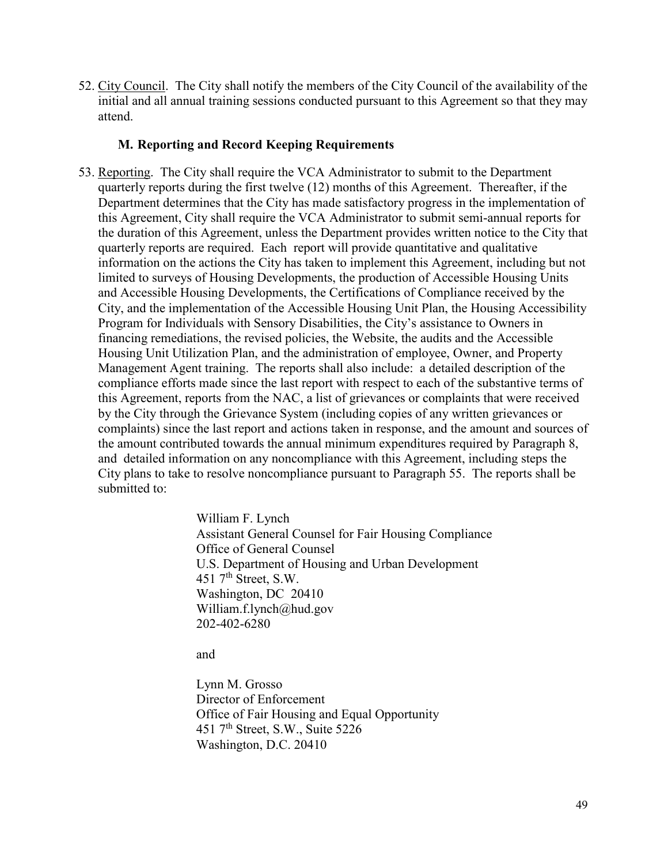52. City Council. The City shall notify the members of the City Council of the availability of the initial and all annual training sessions conducted pursuant to this Agreement so that they may attend.

#### <span id="page-48-0"></span>**M. Reporting and Record Keeping Requirements**

53. Reporting. The City shall require the VCA Administrator to submit to the Department quarterly reports during the first twelve (12) months of this Agreement. Thereafter, if the Department determines that the City has made satisfactory progress in the implementation of this Agreement, City shall require the VCA Administrator to submit semi-annual reports for the duration of this Agreement, unless the Department provides written notice to the City that quarterly reports are required. Each report will provide quantitative and qualitative information on the actions the City has taken to implement this Agreement, including but not limited to surveys of Housing Developments, the production of Accessible Housing Units and Accessible Housing Developments, the Certifications of Compliance received by the City, and the implementation of the Accessible Housing Unit Plan, the Housing Accessibility Program for Individuals with Sensory Disabilities, the City's assistance to Owners in financing remediations, the revised policies, the Website, the audits and the Accessible Housing Unit Utilization Plan, and the administration of employee, Owner, and Property Management Agent training. The reports shall also include: a detailed description of the compliance efforts made since the last report with respect to each of the substantive terms of this Agreement, reports from the NAC, a list of grievances or complaints that were received by the City through the Grievance System (including copies of any written grievances or complaints) since the last report and actions taken in response, and the amount and sources of the amount contributed towards the annual minimum expenditures required by Paragraph 8, and detailed information on any noncompliance with this Agreement, including steps the City plans to take to resolve noncompliance pursuant to Paragraph 55. The reports shall be submitted to:

> William F. Lynch Assistant General Counsel for Fair Housing Compliance Office of General Counsel U.S. Department of Housing and Urban Development  $451$   $7^{\text{th}}$  Street, S.W. Washington, DC 20410 William.f.lynch@hud.gov 202-402-6280

and

Lynn M. Grosso Director of Enforcement Office of Fair Housing and Equal Opportunity 451 7<sup>th</sup> Street, S.W., Suite 5226 Washington, D.C. 20410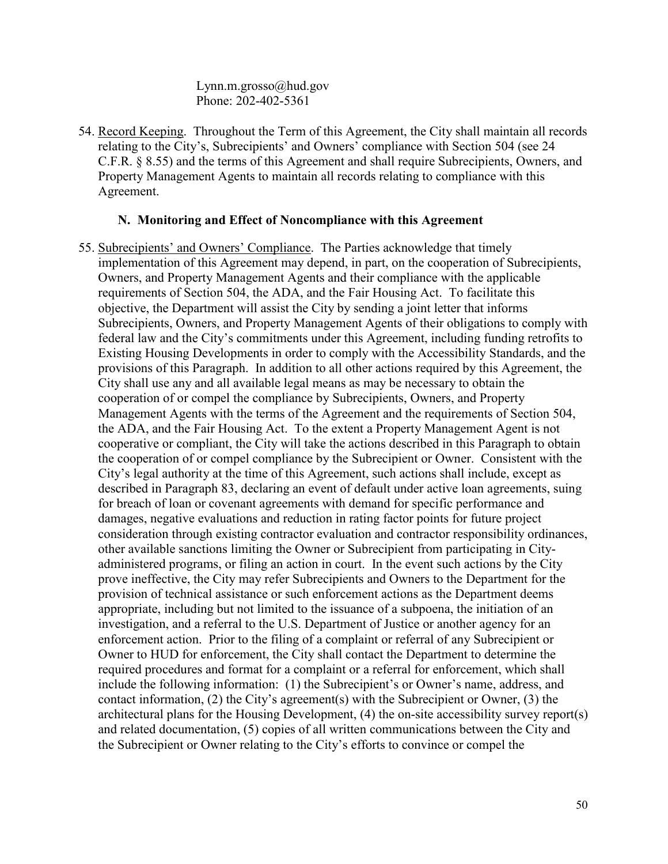Lynn.m.grosso@hud.gov Phone: 202-402-5361

54. Record Keeping. Throughout the Term of this Agreement, the City shall maintain all records relating to the City's, Subrecipients' and Owners' compliance with Section 504 (see 24 C.F.R. § 8.55) and the terms of this Agreement and shall require Subrecipients, Owners, and Property Management Agents to maintain all records relating to compliance with this Agreement.

#### <span id="page-49-0"></span>**N. Monitoring and Effect of Noncompliance with this Agreement**

55. Subrecipients' and Owners' Compliance. The Parties acknowledge that timely implementation of this Agreement may depend, in part, on the cooperation of Subrecipients, Owners, and Property Management Agents and their compliance with the applicable requirements of Section 504, the ADA, and the Fair Housing Act. To facilitate this objective, the Department will assist the City by sending a joint letter that informs Subrecipients, Owners, and Property Management Agents of their obligations to comply with federal law and the City's commitments under this Agreement, including funding retrofits to Existing Housing Developments in order to comply with the Accessibility Standards, and the provisions of this Paragraph. In addition to all other actions required by this Agreement, the City shall use any and all available legal means as may be necessary to obtain the cooperation of or compel the compliance by Subrecipients, Owners, and Property Management Agents with the terms of the Agreement and the requirements of Section 504, the ADA, and the Fair Housing Act. To the extent a Property Management Agent is not cooperative or compliant, the City will take the actions described in this Paragraph to obtain the cooperation of or compel compliance by the Subrecipient or Owner. Consistent with the City's legal authority at the time of this Agreement, such actions shall include, except as described in Paragraph 83, declaring an event of default under active loan agreements, suing for breach of loan or covenant agreements with demand for specific performance and damages, negative evaluations and reduction in rating factor points for future project consideration through existing contractor evaluation and contractor responsibility ordinances, other available sanctions limiting the Owner or Subrecipient from participating in Cityadministered programs, or filing an action in court. In the event such actions by the City prove ineffective, the City may refer Subrecipients and Owners to the Department for the provision of technical assistance or such enforcement actions as the Department deems appropriate, including but not limited to the issuance of a subpoena, the initiation of an investigation, and a referral to the U.S. Department of Justice or another agency for an enforcement action. Prior to the filing of a complaint or referral of any Subrecipient or Owner to HUD for enforcement, the City shall contact the Department to determine the required procedures and format for a complaint or a referral for enforcement, which shall include the following information: (1) the Subrecipient's or Owner's name, address, and contact information, (2) the City's agreement(s) with the Subrecipient or Owner, (3) the architectural plans for the Housing Development, (4) the on-site accessibility survey report(s) and related documentation, (5) copies of all written communications between the City and the Subrecipient or Owner relating to the City's efforts to convince or compel the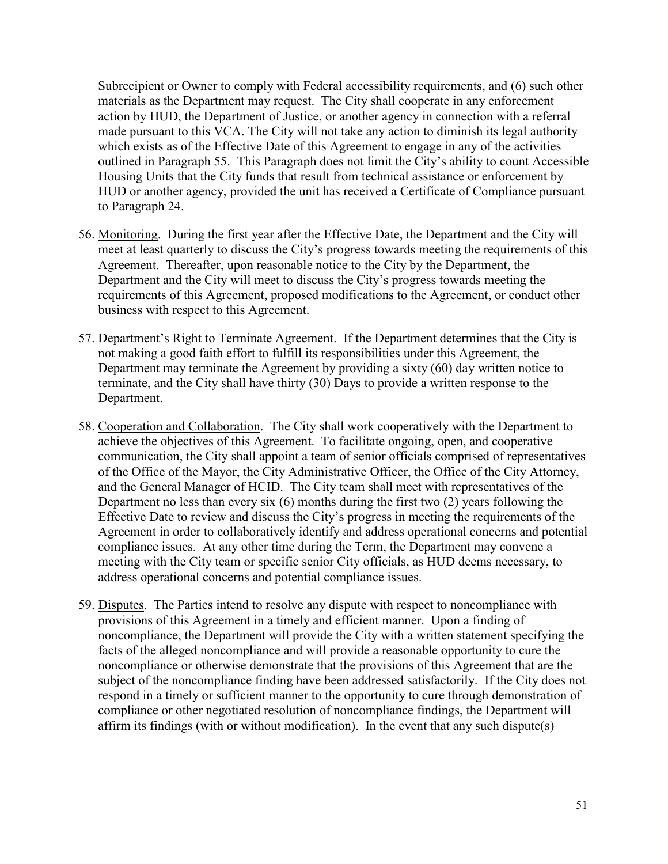Subrecipient or Owner to comply with Federal accessibility requirements, and (6) such other materials as the Department may request. The City shall cooperate in any enforcement action by HUD, the Department of Justice, or another agency in connection with a referral made pursuant to this VCA. The City will not take any action to diminish its legal authority which exists as of the Effective Date of this Agreement to engage in any of the activities outlined in Paragraph 55. This Paragraph does not limit the City's ability to count Accessible Housing Units that the City funds that result from technical assistance or enforcement by HUD or another agency, provided the unit has received a Certificate of Compliance pursuant to Paragraph 24.

- 56. Monitoring. During the first year after the Effective Date, the Department and the City will meet at least quarterly to discuss the City's progress towards meeting the requirements of this Agreement. Thereafter, upon reasonable notice to the City by the Department, the Department and the City will meet to discuss the City's progress towards meeting the requirements of this Agreement, proposed modifications to the Agreement, or conduct other business with respect to this Agreement.
- 57. Department's Right to Terminate Agreement. If the Department determines that the City is not making a good faith effort to fulfill its responsibilities under this Agreement, the Department may terminate the Agreement by providing a sixty (60) day written notice to terminate, and the City shall have thirty (30) Days to provide a written response to the Department.
- 58. Cooperation and Collaboration. The City shall work cooperatively with the Department to achieve the objectives of this Agreement. To facilitate ongoing, open, and cooperative communication, the City shall appoint a team of senior officials comprised of representatives of the Office of the Mayor, the City Administrative Officer, the Office of the City Attorney, and the General Manager of HCID. The City team shall meet with representatives of the Department no less than every six (6) months during the first two (2) years following the Effective Date to review and discuss the City's progress in meeting the requirements of the Agreement in order to collaboratively identify and address operational concerns and potential compliance issues. At any other time during the Term, the Department may convene a meeting with the City team or specific senior City officials, as HUD deems necessary, to address operational concerns and potential compliance issues.
- 59. Disputes. The Parties intend to resolve any dispute with respect to noncompliance with provisions of this Agreement in a timely and efficient manner. Upon a finding of noncompliance, the Department will provide the City with a written statement specifying the facts of the alleged noncompliance and will provide a reasonable opportunity to cure the noncompliance or otherwise demonstrate that the provisions of this Agreement that are the subject of the noncompliance finding have been addressed satisfactorily. If the City does not respond in a timely or sufficient manner to the opportunity to cure through demonstration of compliance or other negotiated resolution of noncompliance findings, the Department will affirm its findings (with or without modification). In the event that any such dispute(s)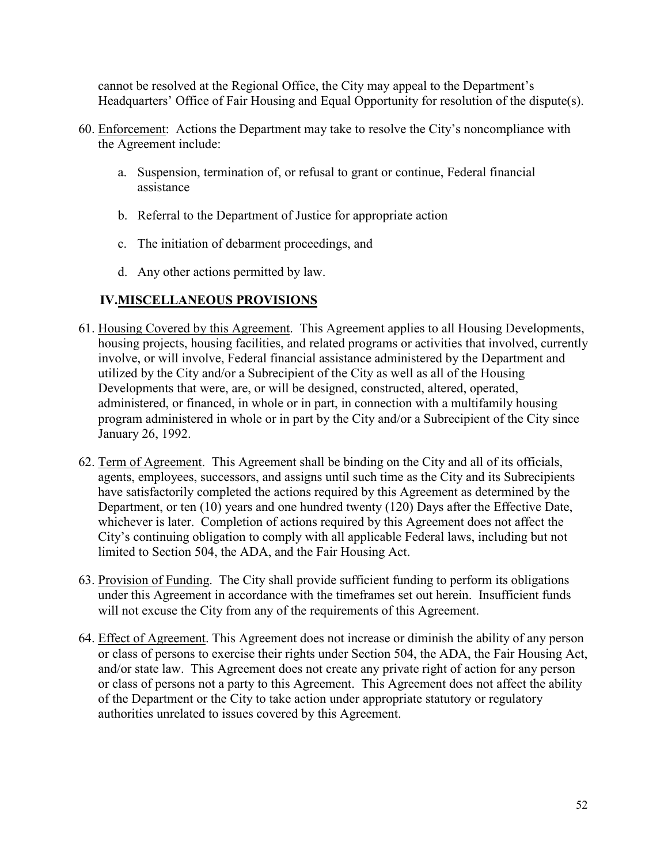cannot be resolved at the Regional Office, the City may appeal to the Department's Headquarters' Office of Fair Housing and Equal Opportunity for resolution of the dispute(s).

- 60. Enforcement: Actions the Department may take to resolve the City's noncompliance with the Agreement include:
	- a. Suspension, termination of, or refusal to grant or continue, Federal financial assistance
	- b. Referral to the Department of Justice for appropriate action
	- c. The initiation of debarment proceedings, and
	- d. Any other actions permitted by law.

# <span id="page-51-0"></span>**IV.MISCELLANEOUS PROVISIONS**

- 61. Housing Covered by this Agreement. This Agreement applies to all Housing Developments, housing projects, housing facilities, and related programs or activities that involved, currently involve, or will involve, Federal financial assistance administered by the Department and utilized by the City and/or a Subrecipient of the City as well as all of the Housing Developments that were, are, or will be designed, constructed, altered, operated, administered, or financed, in whole or in part, in connection with a multifamily housing program administered in whole or in part by the City and/or a Subrecipient of the City since January 26, 1992.
- 62. Term of Agreement. This Agreement shall be binding on the City and all of its officials, agents, employees, successors, and assigns until such time as the City and its Subrecipients have satisfactorily completed the actions required by this Agreement as determined by the Department, or ten (10) years and one hundred twenty (120) Days after the Effective Date, whichever is later. Completion of actions required by this Agreement does not affect the City's continuing obligation to comply with all applicable Federal laws, including but not limited to Section 504, the ADA, and the Fair Housing Act.
- 63. Provision of Funding. The City shall provide sufficient funding to perform its obligations under this Agreement in accordance with the timeframes set out herein. Insufficient funds will not excuse the City from any of the requirements of this Agreement.
- 64. Effect of Agreement. This Agreement does not increase or diminish the ability of any person or class of persons to exercise their rights under Section 504, the ADA, the Fair Housing Act, and/or state law. This Agreement does not create any private right of action for any person or class of persons not a party to this Agreement. This Agreement does not affect the ability of the Department or the City to take action under appropriate statutory or regulatory authorities unrelated to issues covered by this Agreement.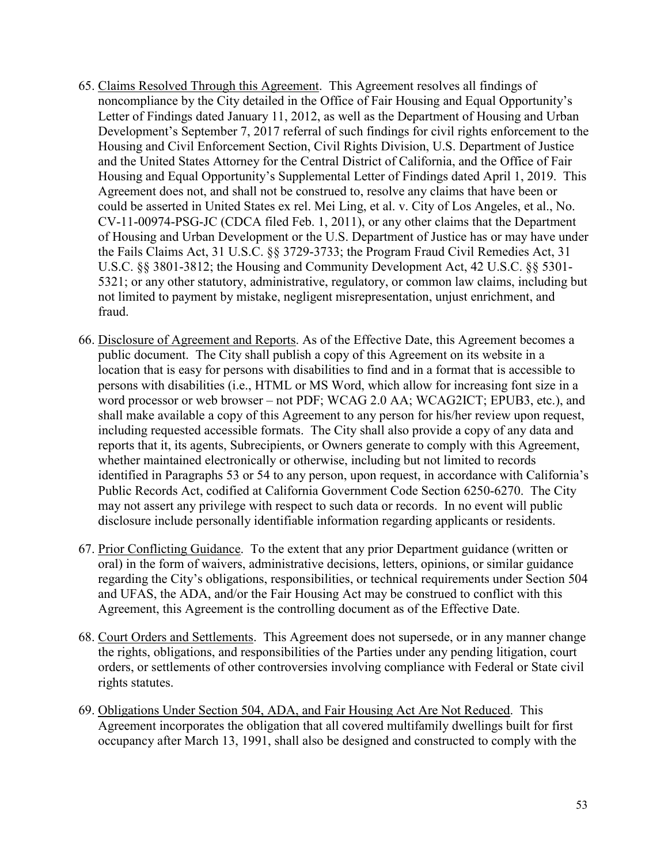- 65. Claims Resolved Through this Agreement. This Agreement resolves all findings of noncompliance by the City detailed in the Office of Fair Housing and Equal Opportunity's Letter of Findings dated January 11, 2012, as well as the Department of Housing and Urban Development's September 7, 2017 referral of such findings for civil rights enforcement to the Housing and Civil Enforcement Section, Civil Rights Division, U.S. Department of Justice and the United States Attorney for the Central District of California, and the Office of Fair Housing and Equal Opportunity's Supplemental Letter of Findings dated April 1, 2019. This Agreement does not, and shall not be construed to, resolve any claims that have been or could be asserted in United States ex rel. Mei Ling, et al. v. City of Los Angeles, et al., No. CV-11-00974-PSG-JC (CDCA filed Feb. 1, 2011), or any other claims that the Department of Housing and Urban Development or the U.S. Department of Justice has or may have under the Fails Claims Act, 31 U.S.C. §§ 3729-3733; the Program Fraud Civil Remedies Act, 31 U.S.C. §§ 3801-3812; the Housing and Community Development Act, 42 U.S.C. §§ 5301- 5321; or any other statutory, administrative, regulatory, or common law claims, including but not limited to payment by mistake, negligent misrepresentation, unjust enrichment, and fraud.
- 66. Disclosure of Agreement and Reports. As of the Effective Date, this Agreement becomes a public document. The City shall publish a copy of this Agreement on its website in a location that is easy for persons with disabilities to find and in a format that is accessible to persons with disabilities (i.e., HTML or MS Word, which allow for increasing font size in a word processor or web browser – not PDF; WCAG 2.0 AA; WCAG2ICT; EPUB3, etc.), and shall make available a copy of this Agreement to any person for his/her review upon request, including requested accessible formats. The City shall also provide a copy of any data and reports that it, its agents, Subrecipients, or Owners generate to comply with this Agreement, whether maintained electronically or otherwise, including but not limited to records identified in Paragraphs 53 or 54 to any person, upon request, in accordance with California's Public Records Act, codified at California Government Code Section 6250-6270. The City may not assert any privilege with respect to such data or records. In no event will public disclosure include personally identifiable information regarding applicants or residents.
- 67. Prior Conflicting Guidance. To the extent that any prior Department guidance (written or oral) in the form of waivers, administrative decisions, letters, opinions, or similar guidance regarding the City's obligations, responsibilities, or technical requirements under Section 504 and UFAS, the ADA, and/or the Fair Housing Act may be construed to conflict with this Agreement, this Agreement is the controlling document as of the Effective Date.
- 68. Court Orders and Settlements. This Agreement does not supersede, or in any manner change the rights, obligations, and responsibilities of the Parties under any pending litigation, court orders, or settlements of other controversies involving compliance with Federal or State civil rights statutes.
- 69. Obligations Under Section 504, ADA, and Fair Housing Act Are Not Reduced. This Agreement incorporates the obligation that all covered multifamily dwellings built for first occupancy after March 13, 1991, shall also be designed and constructed to comply with the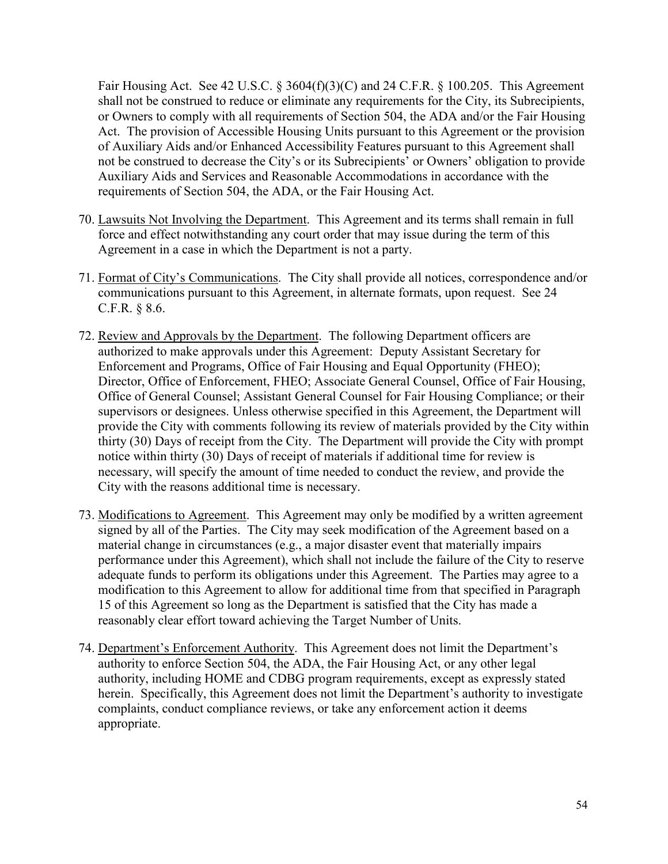Fair Housing Act. See 42 U.S.C. § 3604(f)(3)(C) and 24 C.F.R. § 100.205. This Agreement shall not be construed to reduce or eliminate any requirements for the City, its Subrecipients, or Owners to comply with all requirements of Section 504, the ADA and/or the Fair Housing Act. The provision of Accessible Housing Units pursuant to this Agreement or the provision of Auxiliary Aids and/or Enhanced Accessibility Features pursuant to this Agreement shall not be construed to decrease the City's or its Subrecipients' or Owners' obligation to provide Auxiliary Aids and Services and Reasonable Accommodations in accordance with the requirements of Section 504, the ADA, or the Fair Housing Act.

- 70. Lawsuits Not Involving the Department. This Agreement and its terms shall remain in full force and effect notwithstanding any court order that may issue during the term of this Agreement in a case in which the Department is not a party.
- 71. Format of City's Communications. The City shall provide all notices, correspondence and/or communications pursuant to this Agreement, in alternate formats, upon request. See 24 C.F.R. § 8.6.
- 72. Review and Approvals by the Department. The following Department officers are authorized to make approvals under this Agreement: Deputy Assistant Secretary for Enforcement and Programs, Office of Fair Housing and Equal Opportunity (FHEO); Director, Office of Enforcement, FHEO; Associate General Counsel, Office of Fair Housing, Office of General Counsel; Assistant General Counsel for Fair Housing Compliance; or their supervisors or designees. Unless otherwise specified in this Agreement, the Department will provide the City with comments following its review of materials provided by the City within thirty (30) Days of receipt from the City. The Department will provide the City with prompt notice within thirty (30) Days of receipt of materials if additional time for review is necessary, will specify the amount of time needed to conduct the review, and provide the City with the reasons additional time is necessary.
- 73. Modifications to Agreement. This Agreement may only be modified by a written agreement signed by all of the Parties. The City may seek modification of the Agreement based on a material change in circumstances (e.g., a major disaster event that materially impairs performance under this Agreement), which shall not include the failure of the City to reserve adequate funds to perform its obligations under this Agreement. The Parties may agree to a modification to this Agreement to allow for additional time from that specified in Paragraph 15 of this Agreement so long as the Department is satisfied that the City has made a reasonably clear effort toward achieving the Target Number of Units.
- 74. Department's Enforcement Authority. This Agreement does not limit the Department's authority to enforce Section 504, the ADA, the Fair Housing Act, or any other legal authority, including HOME and CDBG program requirements, except as expressly stated herein. Specifically, this Agreement does not limit the Department's authority to investigate complaints, conduct compliance reviews, or take any enforcement action it deems appropriate.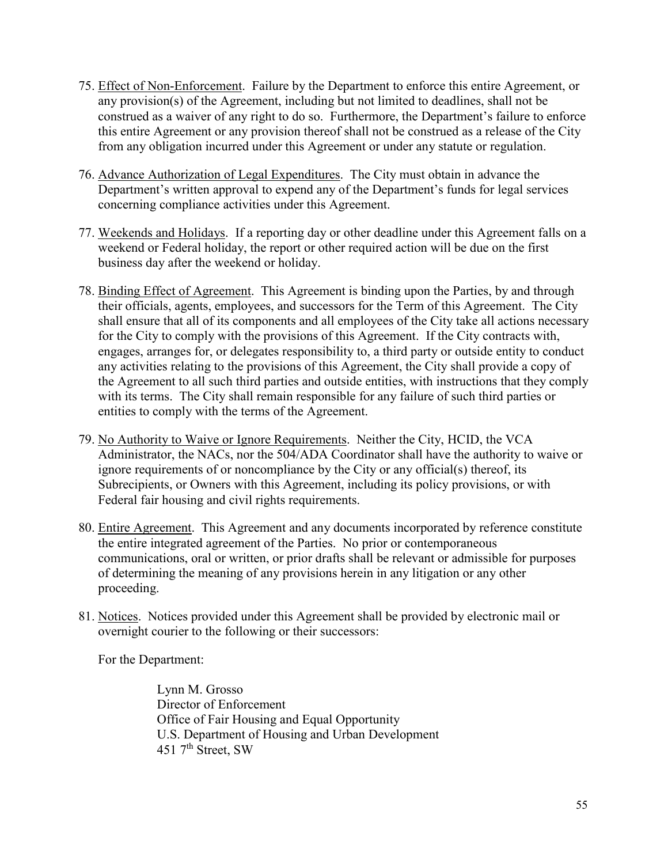- 75. Effect of Non-Enforcement. Failure by the Department to enforce this entire Agreement, or any provision(s) of the Agreement, including but not limited to deadlines, shall not be construed as a waiver of any right to do so. Furthermore, the Department's failure to enforce this entire Agreement or any provision thereof shall not be construed as a release of the City from any obligation incurred under this Agreement or under any statute or regulation.
- 76. Advance Authorization of Legal Expenditures. The City must obtain in advance the Department's written approval to expend any of the Department's funds for legal services concerning compliance activities under this Agreement.
- 77. Weekends and Holidays. If a reporting day or other deadline under this Agreement falls on a weekend or Federal holiday, the report or other required action will be due on the first business day after the weekend or holiday.
- 78. Binding Effect of Agreement. This Agreement is binding upon the Parties, by and through their officials, agents, employees, and successors for the Term of this Agreement. The City shall ensure that all of its components and all employees of the City take all actions necessary for the City to comply with the provisions of this Agreement. If the City contracts with, engages, arranges for, or delegates responsibility to, a third party or outside entity to conduct any activities relating to the provisions of this Agreement, the City shall provide a copy of the Agreement to all such third parties and outside entities, with instructions that they comply with its terms. The City shall remain responsible for any failure of such third parties or entities to comply with the terms of the Agreement.
- 79. No Authority to Waive or Ignore Requirements. Neither the City, HCID, the VCA Administrator, the NACs, nor the 504/ADA Coordinator shall have the authority to waive or ignore requirements of or noncompliance by the City or any official(s) thereof, its Subrecipients, or Owners with this Agreement, including its policy provisions, or with Federal fair housing and civil rights requirements.
- 80. Entire Agreement. This Agreement and any documents incorporated by reference constitute the entire integrated agreement of the Parties. No prior or contemporaneous communications, oral or written, or prior drafts shall be relevant or admissible for purposes of determining the meaning of any provisions herein in any litigation or any other proceeding.
- 81. Notices. Notices provided under this Agreement shall be provided by electronic mail or overnight courier to the following or their successors:

For the Department:

Lynn M. Grosso Director of Enforcement Office of Fair Housing and Equal Opportunity U.S. Department of Housing and Urban Development  $451$   $7<sup>th</sup>$  Street, SW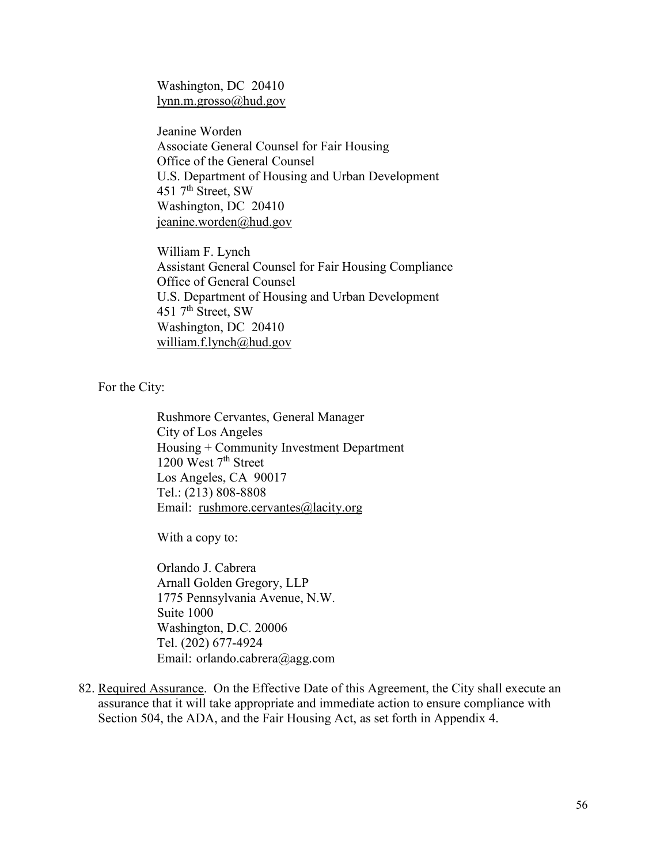Washington, DC 20410 [lynn.m.grosso@hud.gov](mailto:lynn.m.grosso@hud.gov)

Jeanine Worden Associate General Counsel for Fair Housing Office of the General Counsel U.S. Department of Housing and Urban Development  $451$   $7<sup>th</sup>$  Street, SW Washington, DC 20410 [jeanine.worden@hud.gov](mailto:jeanine.worden@hud.gov)

William F. Lynch Assistant General Counsel for Fair Housing Compliance Office of General Counsel U.S. Department of Housing and Urban Development  $451$   $7<sup>th</sup>$  Street, SW Washington, DC 20410 [william.f.lynch@hud.gov](mailto:william.f.lynch@hud.gov)

For the City:

Rushmore Cervantes, General Manager City of Los Angeles Housing + Community Investment Department 1200 West 7<sup>th</sup> Street Los Angeles, CA 90017 Tel.: (213) 808-8808 Email: [rushmore.cervantes@lacity.org](mailto:rushmore.cervantes@lacity.org)

With a copy to:

Orlando J. Cabrera Arnall Golden Gregory, LLP 1775 Pennsylvania Avenue, N.W. Suite 1000 Washington, D.C. 20006 Tel. (202) 677-4924 Email: orlando.cabrera@agg.com

82. Required Assurance. On the Effective Date of this Agreement, the City shall execute an assurance that it will take appropriate and immediate action to ensure compliance with Section 504, the ADA, and the Fair Housing Act, as set forth in Appendix 4.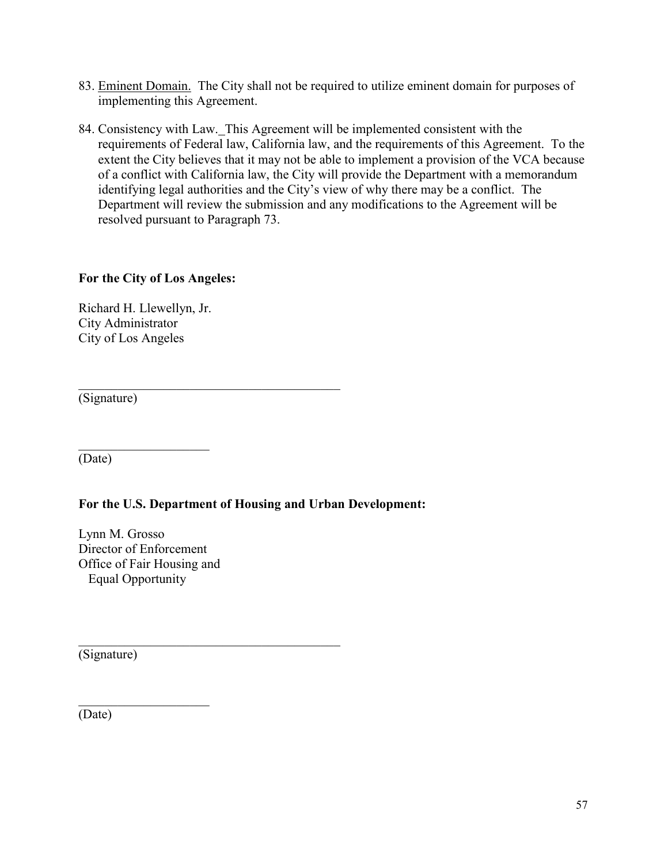- 83. Eminent Domain. The City shall not be required to utilize eminent domain for purposes of implementing this Agreement.
- 84. Consistency with Law. This Agreement will be implemented consistent with the requirements of Federal law, California law, and the requirements of this Agreement. To the extent the City believes that it may not be able to implement a provision of the VCA because of a conflict with California law, the City will provide the Department with a memorandum identifying legal authorities and the City's view of why there may be a conflict. The Department will review the submission and any modifications to the Agreement will be resolved pursuant to Paragraph 73.

### **For the City of Los Angeles:**

Richard H. Llewellyn, Jr. City Administrator City of Los Angeles

 $\overline{\phantom{a}}$  . The set of the set of the set of the set of the set of the set of the set of the set of the set of the set of the set of the set of the set of the set of the set of the set of the set of the set of the set o

(Signature)

(Date)

## **For the U.S. Department of Housing and Urban Development:**

 $\mathcal{L}_\mathcal{L}$  , which is a set of the set of the set of the set of the set of the set of the set of the set of the set of the set of the set of the set of the set of the set of the set of the set of the set of the set of

Lynn M. Grosso Director of Enforcement Office of Fair Housing and Equal Opportunity

(Signature)

 $\overline{\phantom{a}}$  . The set of the set of the set of the set of the set of the set of the set of the set of the set of the set of the set of the set of the set of the set of the set of the set of the set of the set of the set o (Date)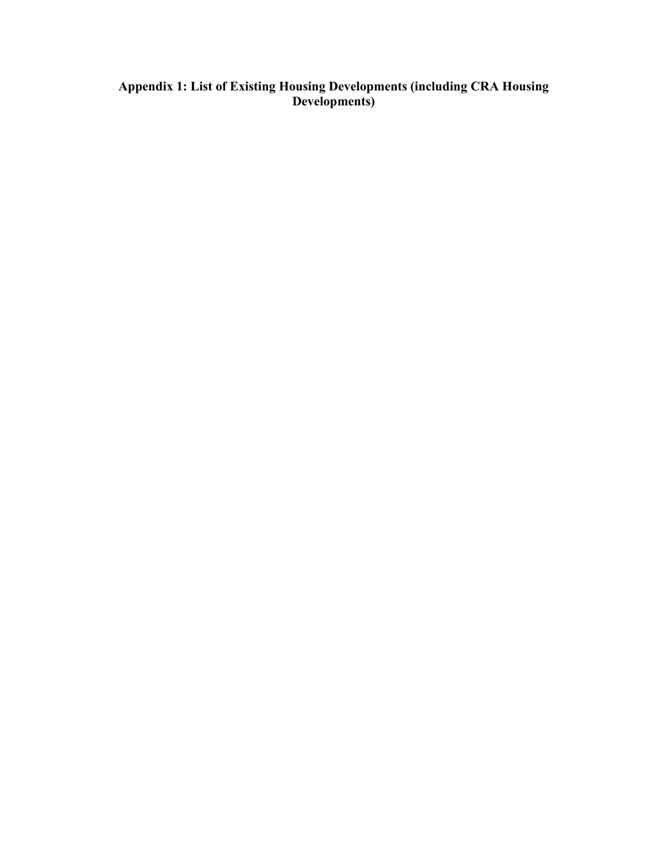#### <span id="page-57-0"></span>**Appendix 1: List of Existing Housing Developments (including CRA Housing Developments)**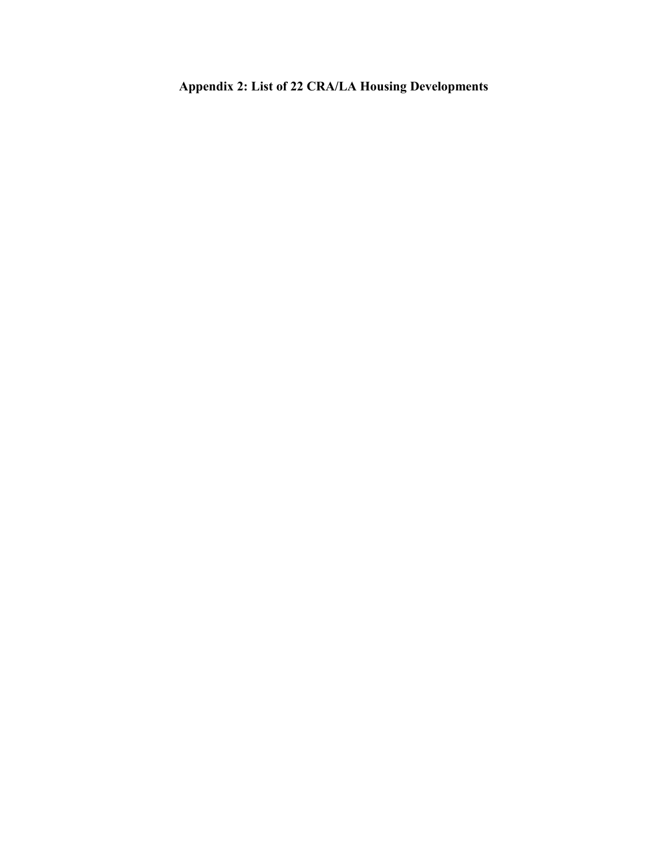<span id="page-58-0"></span>**Appendix 2: List of 22 CRA/LA Housing Developments**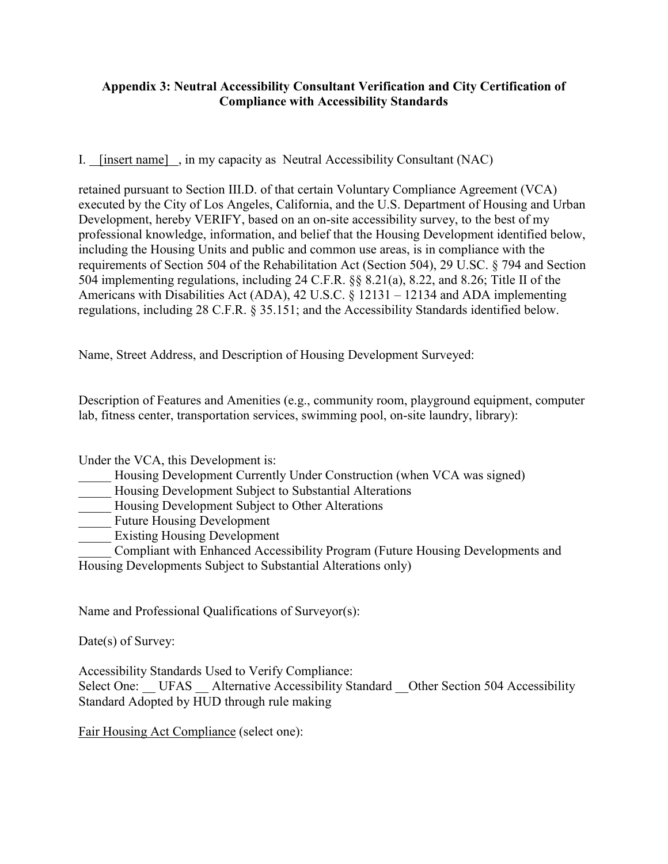## <span id="page-59-0"></span>**Appendix 3: Neutral Accessibility Consultant Verification and City Certification of Compliance with Accessibility Standards**

I. [insert name] , in my capacity as Neutral Accessibility Consultant (NAC)

retained pursuant to Section III.D. of that certain Voluntary Compliance Agreement (VCA) executed by the City of Los Angeles, California, and the U.S. Department of Housing and Urban Development, hereby VERIFY, based on an on-site accessibility survey, to the best of my professional knowledge, information, and belief that the Housing Development identified below, including the Housing Units and public and common use areas, is in compliance with the requirements of Section 504 of the Rehabilitation Act (Section 504), 29 U.SC. § 794 and Section 504 implementing regulations, including 24 C.F.R. §§ 8.21(a), 8.22, and 8.26; Title II of the Americans with Disabilities Act (ADA), 42 U.S.C. § 12131 – 12134 and ADA implementing regulations, including 28 C.F.R. § 35.151; and the Accessibility Standards identified below.

Name, Street Address, and Description of Housing Development Surveyed:

Description of Features and Amenities (e.g., community room, playground equipment, computer lab, fitness center, transportation services, swimming pool, on-site laundry, library):

Under the VCA, this Development is:

Housing Development Currently Under Construction (when VCA was signed)

\_\_\_\_\_ Housing Development Subject to Substantial Alterations

Housing Development Subject to Other Alterations

Future Housing Development

Existing Housing Development

\_\_\_\_\_ Compliant with Enhanced Accessibility Program (Future Housing Developments and Housing Developments Subject to Substantial Alterations only)

Name and Professional Qualifications of Surveyor(s):

Date(s) of Survey:

Accessibility Standards Used to Verify Compliance: Select One: UFAS Alternative Accessibility Standard Other Section 504 Accessibility Standard Adopted by HUD through rule making

Fair Housing Act Compliance (select one):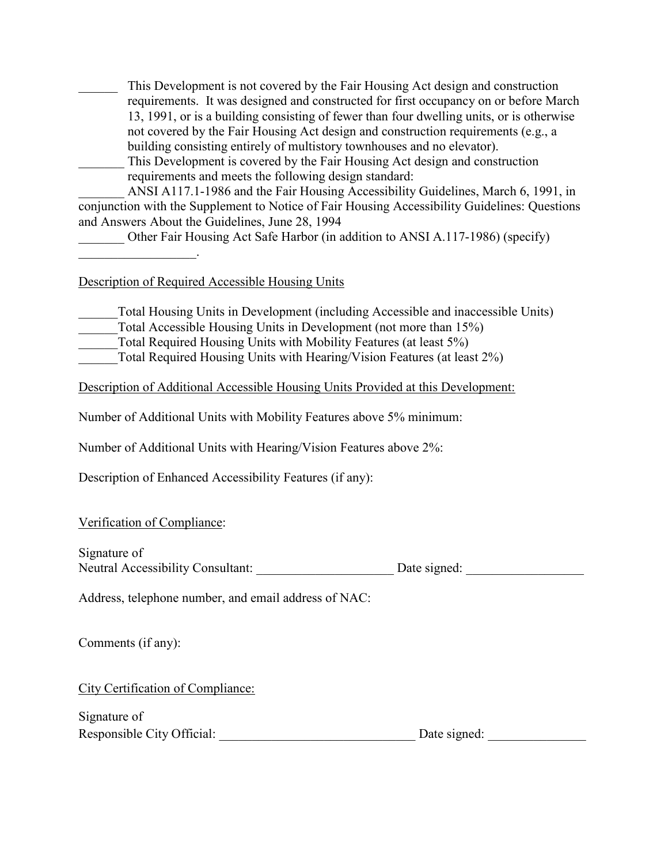\_\_\_\_\_\_ This Development is not covered by the Fair Housing Act design and construction requirements. It was designed and constructed for first occupancy on or before March 13, 1991, or is a building consisting of fewer than four dwelling units, or is otherwise not covered by the Fair Housing Act design and construction requirements (e.g., a building consisting entirely of multistory townhouses and no elevator).

This Development is covered by the Fair Housing Act design and construction requirements and meets the following design standard:

ANSI A117.1-1986 and the Fair Housing Accessibility Guidelines, March 6, 1991, in conjunction with the Supplement to Notice of Fair Housing Accessibility Guidelines: Questions and Answers About the Guidelines, June 28, 1994

Other Fair Housing Act Safe Harbor (in addition to ANSI A.117-1986) (specify)

 $\mathcal{L}_\text{max}$  , where  $\mathcal{L}_\text{max}$ 

Description of Required Accessible Housing Units

Total Housing Units in Development (including Accessible and inaccessible Units)

Total Accessible Housing Units in Development (not more than 15%)

Total Required Housing Units with Mobility Features (at least 5%)

Total Required Housing Units with Hearing/Vision Features (at least 2%)

Description of Additional Accessible Housing Units Provided at this Development:

Number of Additional Units with Mobility Features above 5% minimum:

Number of Additional Units with Hearing/Vision Features above 2%:

Description of Enhanced Accessibility Features (if any):

## Verification of Compliance:

Signature of

Neutral Accessibility Consultant: Date signed: Date signed:

Address, telephone number, and email address of NAC:

Comments (if any):

City Certification of Compliance:

| Signature of               |              |
|----------------------------|--------------|
| Responsible City Official: | Date signed: |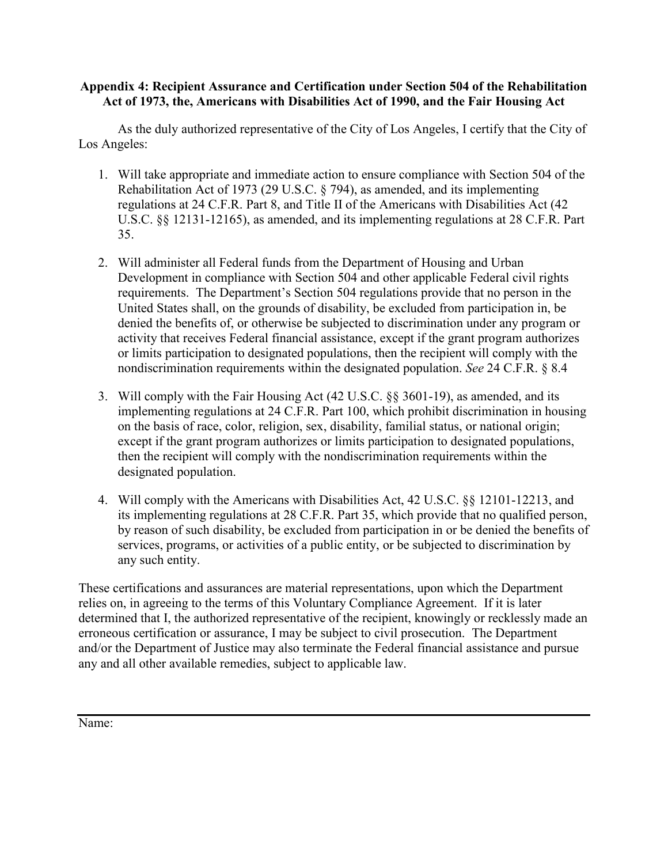### <span id="page-61-0"></span>**Appendix 4: Recipient Assurance and Certification under Section 504 of the Rehabilitation Act of 1973, the, Americans with Disabilities Act of 1990, and the Fair Housing Act**

As the duly authorized representative of the City of Los Angeles, I certify that the City of Los Angeles:

- 1. Will take appropriate and immediate action to ensure compliance with Section 504 of the Rehabilitation Act of 1973 (29 U.S.C. § 794), as amended, and its implementing regulations at 24 C.F.R. Part 8, and Title II of the Americans with Disabilities Act (42 U.S.C. §§ 12131-12165), as amended, and its implementing regulations at 28 C.F.R. Part 35.
- 2. Will administer all Federal funds from the Department of Housing and Urban Development in compliance with Section 504 and other applicable Federal civil rights requirements. The Department's Section 504 regulations provide that no person in the United States shall, on the grounds of disability, be excluded from participation in, be denied the benefits of, or otherwise be subjected to discrimination under any program or activity that receives Federal financial assistance, except if the grant program authorizes or limits participation to designated populations, then the recipient will comply with the nondiscrimination requirements within the designated population. *See* 24 C.F.R. § 8.4
- 3. Will comply with the Fair Housing Act (42 U.S.C. §§ 3601-19), as amended, and its implementing regulations at 24 C.F.R. Part 100, which prohibit discrimination in housing on the basis of race, color, religion, sex, disability, familial status, or national origin; except if the grant program authorizes or limits participation to designated populations, then the recipient will comply with the nondiscrimination requirements within the designated population.
- 4. Will comply with the Americans with Disabilities Act, 42 U.S.C. §§ 12101-12213, and its implementing regulations at 28 C.F.R. Part 35, which provide that no qualified person, by reason of such disability, be excluded from participation in or be denied the benefits of services, programs, or activities of a public entity, or be subjected to discrimination by any such entity.

These certifications and assurances are material representations, upon which the Department relies on, in agreeing to the terms of this Voluntary Compliance Agreement. If it is later determined that I, the authorized representative of the recipient, knowingly or recklessly made an erroneous certification or assurance, I may be subject to civil prosecution. The Department and/or the Department of Justice may also terminate the Federal financial assistance and pursue any and all other available remedies, subject to applicable law.

Name: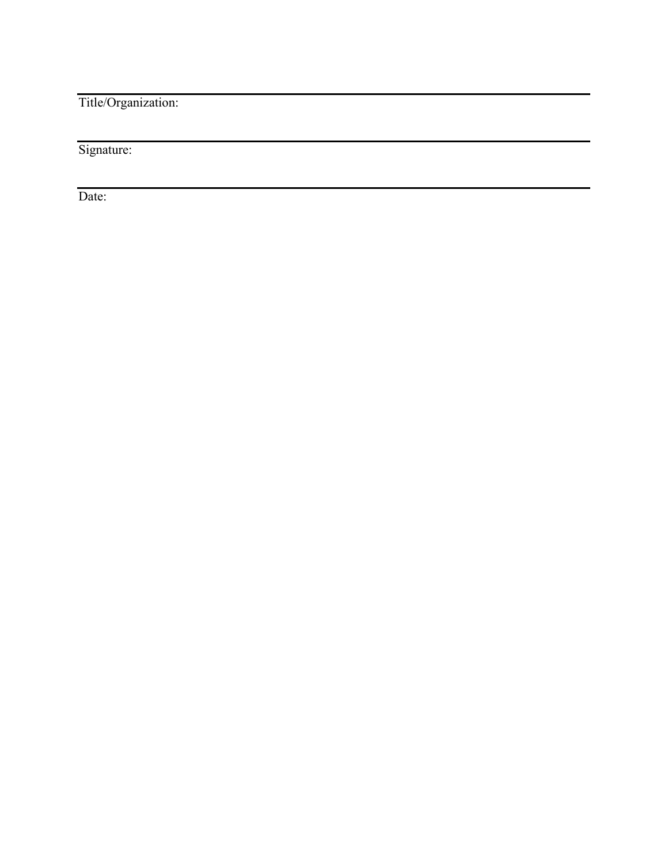Title/Organization:

Signature:

Date: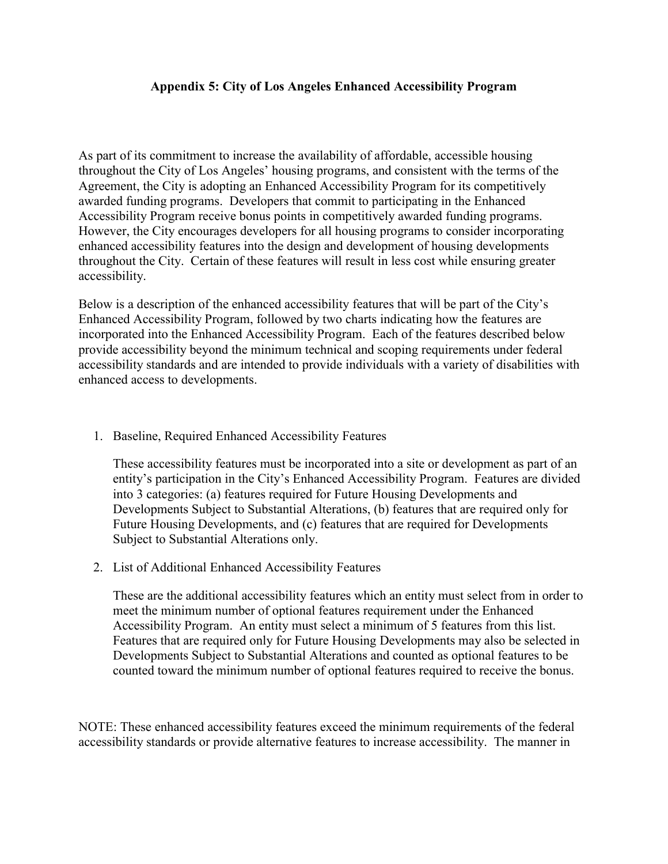### **Appendix 5: City of Los Angeles Enhanced Accessibility Program**

<span id="page-63-0"></span>As part of its commitment to increase the availability of affordable, accessible housing throughout the City of Los Angeles' housing programs, and consistent with the terms of the Agreement, the City is adopting an Enhanced Accessibility Program for its competitively awarded funding programs. Developers that commit to participating in the Enhanced Accessibility Program receive bonus points in competitively awarded funding programs. However, the City encourages developers for all housing programs to consider incorporating enhanced accessibility features into the design and development of housing developments throughout the City. Certain of these features will result in less cost while ensuring greater accessibility.

Below is a description of the enhanced accessibility features that will be part of the City's Enhanced Accessibility Program, followed by two charts indicating how the features are incorporated into the Enhanced Accessibility Program. Each of the features described below provide accessibility beyond the minimum technical and scoping requirements under federal accessibility standards and are intended to provide individuals with a variety of disabilities with enhanced access to developments.

1. Baseline, Required Enhanced Accessibility Features

These accessibility features must be incorporated into a site or development as part of an entity's participation in the City's Enhanced Accessibility Program. Features are divided into 3 categories: (a) features required for Future Housing Developments and Developments Subject to Substantial Alterations, (b) features that are required only for Future Housing Developments, and (c) features that are required for Developments Subject to Substantial Alterations only.

2. List of Additional Enhanced Accessibility Features

These are the additional accessibility features which an entity must select from in order to meet the minimum number of optional features requirement under the Enhanced Accessibility Program. An entity must select a minimum of 5 features from this list. Features that are required only for Future Housing Developments may also be selected in Developments Subject to Substantial Alterations and counted as optional features to be counted toward the minimum number of optional features required to receive the bonus.

NOTE: These enhanced accessibility features exceed the minimum requirements of the federal accessibility standards or provide alternative features to increase accessibility. The manner in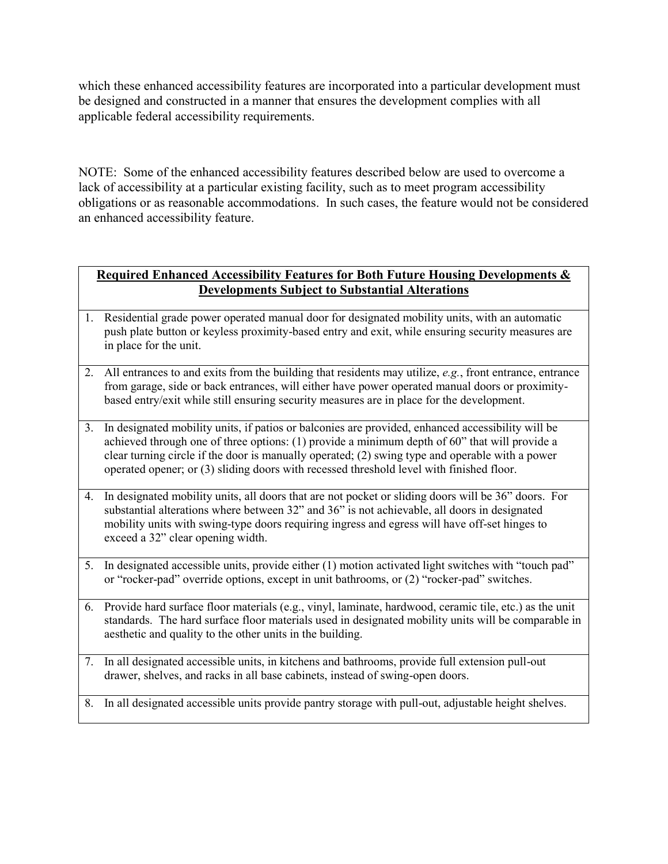which these enhanced accessibility features are incorporated into a particular development must be designed and constructed in a manner that ensures the development complies with all applicable federal accessibility requirements.

NOTE: Some of the enhanced accessibility features described below are used to overcome a lack of accessibility at a particular existing facility, such as to meet program accessibility obligations or as reasonable accommodations. In such cases, the feature would not be considered an enhanced accessibility feature.

## **Required Enhanced Accessibility Features for Both Future Housing Developments & Developments Subject to Substantial Alterations**

- 1. Residential grade power operated manual door for designated mobility units, with an automatic push plate button or keyless proximity-based entry and exit, while ensuring security measures are in place for the unit.
- 2. All entrances to and exits from the building that residents may utilize, *e.g.*, front entrance, entrance from garage, side or back entrances, will either have power operated manual doors or proximitybased entry/exit while still ensuring security measures are in place for the development.
- 3. In designated mobility units, if patios or balconies are provided, enhanced accessibility will be achieved through one of three options: (1) provide a minimum depth of 60" that will provide a clear turning circle if the door is manually operated; (2) swing type and operable with a power operated opener; or (3) sliding doors with recessed threshold level with finished floor.
- 4. In designated mobility units, all doors that are not pocket or sliding doors will be 36" doors. For substantial alterations where between 32" and 36" is not achievable, all doors in designated mobility units with swing-type doors requiring ingress and egress will have off-set hinges to exceed a 32" clear opening width.
- 5. In designated accessible units, provide either (1) motion activated light switches with "touch pad" or "rocker-pad" override options, except in unit bathrooms, or (2) "rocker-pad" switches.
- 6. Provide hard surface floor materials (e.g., vinyl, laminate, hardwood, ceramic tile, etc.) as the unit standards. The hard surface floor materials used in designated mobility units will be comparable in aesthetic and quality to the other units in the building.
- 7. In all designated accessible units, in kitchens and bathrooms, provide full extension pull-out drawer, shelves, and racks in all base cabinets, instead of swing-open doors.
- 8. In all designated accessible units provide pantry storage with pull-out, adjustable height shelves.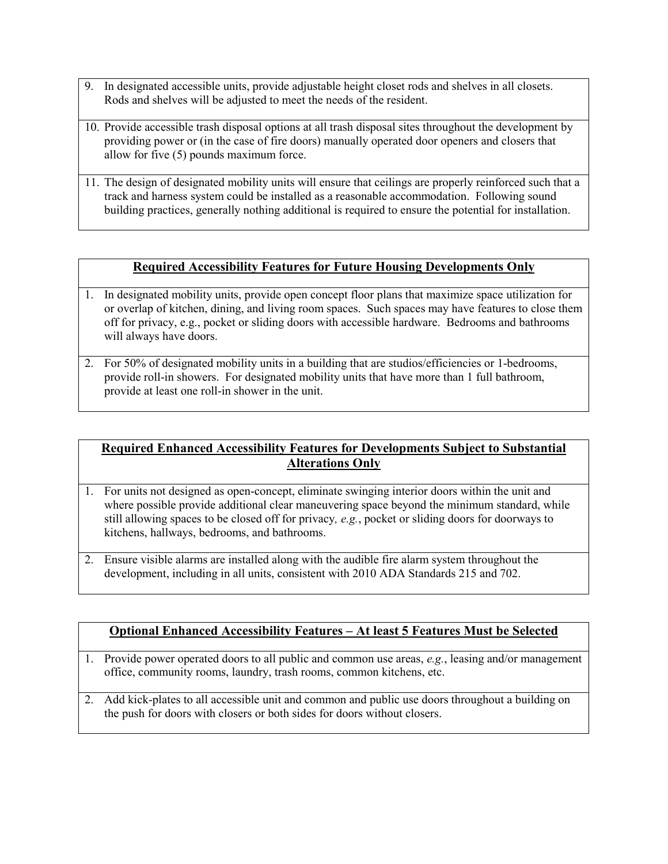- 9. In designated accessible units, provide adjustable height closet rods and shelves in all closets. Rods and shelves will be adjusted to meet the needs of the resident.
- 10. Provide accessible trash disposal options at all trash disposal sites throughout the development by providing power or (in the case of fire doors) manually operated door openers and closers that allow for five (5) pounds maximum force.
- 11. The design of designated mobility units will ensure that ceilings are properly reinforced such that a track and harness system could be installed as a reasonable accommodation. Following sound building practices, generally nothing additional is required to ensure the potential for installation.

## **Required Accessibility Features for Future Housing Developments Only**

- 1. In designated mobility units, provide open concept floor plans that maximize space utilization for or overlap of kitchen, dining, and living room spaces. Such spaces may have features to close them off for privacy, e.g., pocket or sliding doors with accessible hardware. Bedrooms and bathrooms will always have doors.
- 2. For 50% of designated mobility units in a building that are studios/efficiencies or 1-bedrooms, provide roll-in showers. For designated mobility units that have more than 1 full bathroom, provide at least one roll-in shower in the unit.

## **Required Enhanced Accessibility Features for Developments Subject to Substantial Alterations Only**

- 1. For units not designed as open-concept, eliminate swinging interior doors within the unit and where possible provide additional clear maneuvering space beyond the minimum standard, while still allowing spaces to be closed off for privacy*, e.g.*, pocket or sliding doors for doorways to kitchens, hallways, bedrooms, and bathrooms.
- 2. Ensure visible alarms are installed along with the audible fire alarm system throughout the development, including in all units, consistent with 2010 ADA Standards 215 and 702.

## **Optional Enhanced Accessibility Features – At least 5 Features Must be Selected**

- 1. Provide power operated doors to all public and common use areas, *e.g.*, leasing and/or management office, community rooms, laundry, trash rooms, common kitchens, etc.
- 2. Add kick-plates to all accessible unit and common and public use doors throughout a building on the push for doors with closers or both sides for doors without closers.